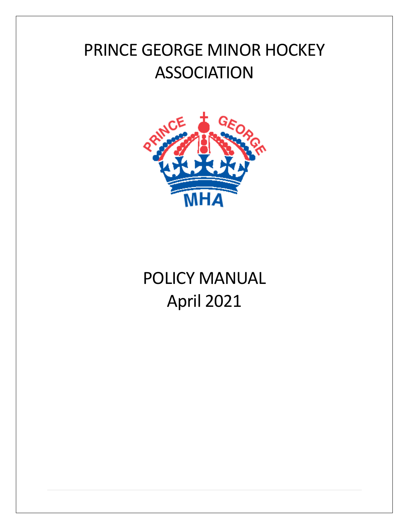# PRINCE GEORGE MINOR HOCKEY ASSOCIATION



# POLICY MANUAL April 2021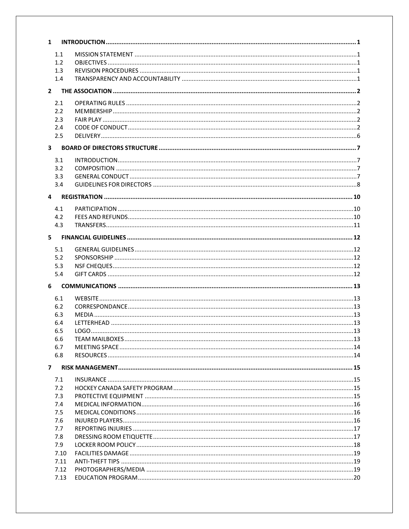| $\mathbf{1}$            |  |
|-------------------------|--|
| 1.1                     |  |
| 1.2                     |  |
| 1.3                     |  |
| 1.4                     |  |
| $\mathbf{2}$            |  |
|                         |  |
| 2.1                     |  |
| 2.2                     |  |
| 2.3                     |  |
| 2.4                     |  |
| 2.5                     |  |
| $\overline{\mathbf{3}}$ |  |
| 3.1                     |  |
| 3.2                     |  |
| 3.3                     |  |
| 3.4                     |  |
| 4                       |  |
| 4.1                     |  |
| 4.2                     |  |
| 4.3                     |  |
|                         |  |
| 5                       |  |
| 5.1                     |  |
| 5.2                     |  |
| 5.3                     |  |
| 5.4                     |  |
| 6                       |  |
| 6.1                     |  |
| 6.2                     |  |
| 6.3                     |  |
| 6.4                     |  |
| 6.5                     |  |
| 6.6                     |  |
| 6.7                     |  |
| 6.8                     |  |
| 7                       |  |
| 7.1                     |  |
| 7.2                     |  |
| 7.3                     |  |
| 7.4                     |  |
| 7.5                     |  |
| 7.6                     |  |
| 7.7                     |  |
| 7.8                     |  |
| 7.9                     |  |
| 7.10                    |  |
| 7.11                    |  |
| 7.12                    |  |
| 7.13                    |  |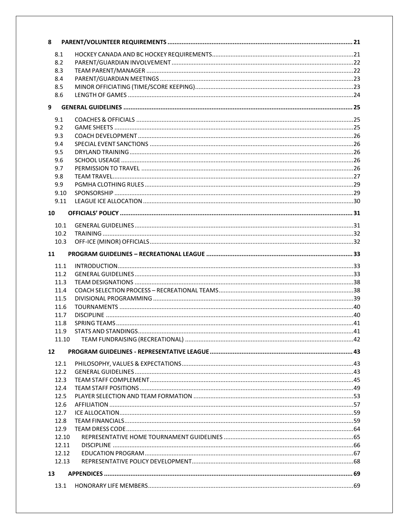| 8                 |  |
|-------------------|--|
| 8.1               |  |
| 8.2               |  |
| 8.3               |  |
| 8.4               |  |
| 8.5               |  |
| 8.6               |  |
| 9                 |  |
|                   |  |
| 9.1               |  |
| 9.2               |  |
| 9.3               |  |
| 9.4               |  |
| 9.5               |  |
| 9.6               |  |
| 9.7               |  |
| 9.8               |  |
| 9.9               |  |
| 9.10              |  |
| 9.11              |  |
| 10                |  |
| 10.1              |  |
| 10.2              |  |
| 10.3              |  |
|                   |  |
| 11                |  |
| 11.1              |  |
| 11.2              |  |
| 11.3              |  |
| 11.4              |  |
| 11.5              |  |
| 11.6              |  |
| 11.7              |  |
| 11.8              |  |
| 11.9              |  |
| 11.10             |  |
| $12 \overline{ }$ |  |
|                   |  |
|                   |  |
| 12.1              |  |
| 12.2              |  |
| 12.3              |  |
| 12.4              |  |
| 12.5              |  |
| 12.6              |  |
| 12.7              |  |
| 12.8              |  |
| 12.9              |  |
| 12.10             |  |
| 12.11<br>12.12    |  |
| 12.13             |  |
|                   |  |
| 13                |  |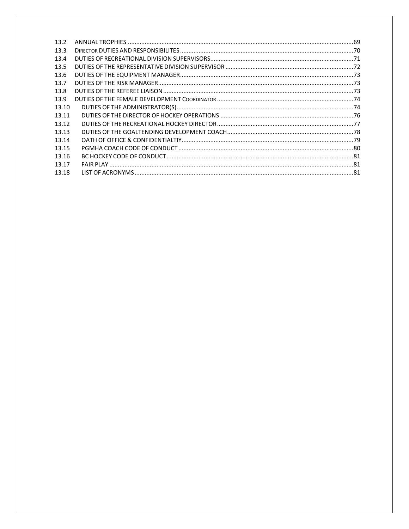| 13.2  |  |
|-------|--|
| 13.3  |  |
| 13.4  |  |
| 13.5  |  |
| 13.6  |  |
| 13.7  |  |
| 13.8  |  |
| 13.9  |  |
| 13.10 |  |
| 13.11 |  |
| 13.12 |  |
| 13.13 |  |
| 13.14 |  |
| 13.15 |  |
| 13.16 |  |
| 13.17 |  |
| 13.18 |  |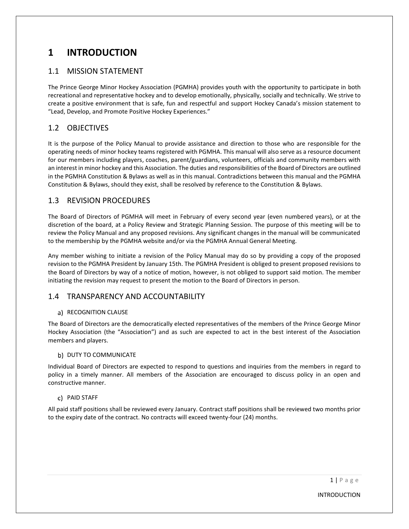# <span id="page-4-0"></span>**1 INTRODUCTION**

# <span id="page-4-1"></span>1.1 MISSION STATEMENT

The Prince George Minor Hockey Association (PGMHA) provides youth with the opportunity to participate in both recreational and representative hockey and to develop emotionally, physically, socially and technically. We strive to create a positive environment that is safe, fun and respectful and support Hockey Canada's mission statement to "Lead, Develop, and Promote Positive Hockey Experiences."

# <span id="page-4-2"></span>1.2 OBJECTIVES

It is the purpose of the Policy Manual to provide assistance and direction to those who are responsible for the operating needs of minor hockey teams registered with PGMHA. This manual will also serve as a resource document for our members including players, coaches, parent/guardians, volunteers, officials and community members with an interest in minor hockey and this Association. The duties and responsibilities of the Board of Directors are outlined in the PGMHA Constitution & Bylaws as well as in this manual. Contradictions between this manual and the PGMHA Constitution & Bylaws, should they exist, shall be resolved by reference to the Constitution & Bylaws.

# <span id="page-4-3"></span>1.3 REVISION PROCEDURES

The Board of Directors of PGMHA will meet in February of every second year (even numbered years), or at the discretion of the board, at a Policy Review and Strategic Planning Session. The purpose of this meeting will be to review the Policy Manual and any proposed revisions. Any significant changes in the manual will be communicated to the membership by the PGMHA website and/or via the PGMHA Annual General Meeting.

Any member wishing to initiate a revision of the Policy Manual may do so by providing a copy of the proposed revision to the PGMHA President by January 15th. The PGMHA President is obliged to present proposed revisions to the Board of Directors by way of a notice of motion, however, is not obliged to support said motion. The member initiating the revision may request to present the motion to the Board of Directors in person.

# <span id="page-4-4"></span>1.4 TRANSPARENCY AND ACCOUNTABILITY

#### a) RECOGNITION CLAUSE

The Board of Directors are the democratically elected representatives of the members of the Prince George Minor Hockey Association (the "Association") and as such are expected to act in the best interest of the Association members and players.

#### b) DUTY TO COMMUNICATE

Individual Board of Directors are expected to respond to questions and inquiries from the members in regard to policy in a timely manner. All members of the Association are encouraged to discuss policy in an open and constructive manner.

#### PAID STAFF

All paid staff positions shall be reviewed every January. Contract staff positions shall be reviewed two months prior to the expiry date of the contract. No contracts will exceed twenty-four (24) months.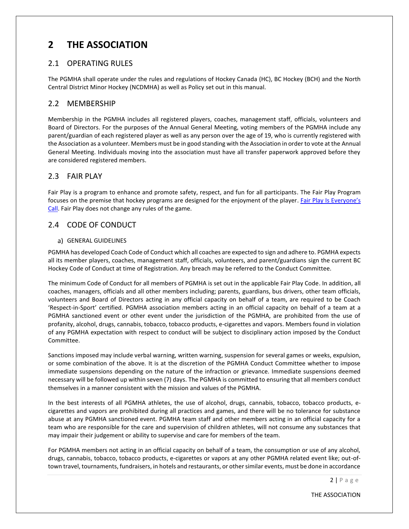# <span id="page-5-0"></span>**2 THE ASSOCIATION**

#### <span id="page-5-1"></span>2.1 OPERATING RULES

The PGMHA shall operate under the rules and regulations of Hockey Canada (HC), BC Hockey (BCH) and the North Central District Minor Hockey (NCDMHA) as well as Policy set out in this manual.

#### <span id="page-5-2"></span>2.2 MEMBERSHIP

Membership in the PGMHA includes all registered players, coaches, management staff, officials, volunteers and Board of Directors. For the purposes of the Annual General Meeting, voting members of the PGMHA include any parent/guardian of each registered player as well as any person over the age of 19, who is currently registered with the Association as a volunteer. Members must be in good standing with the Association in order to vote at the Annual General Meeting. Individuals moving into the association must have all transfer paperwork approved before they are considered registered members.

# <span id="page-5-3"></span>2.3 FAIR PLAY

Fair Play is a program to enhance and promote safety, respect, and fun for all participants. The Fair Play Program focuses on the premise that hockey programs are designed for the enjoyment of the player. Fair Play Is Everyone's [Call.](https://cdn.hockeycanada.ca/hockey-canada/Hockey-Programs/Safety/Safety-Program/Downloads/fair_play_codes_e.pdf) Fair Play does not change any rules of the game.

# <span id="page-5-4"></span>2.4 CODE OF CONDUCT

#### a) GENERAL GUIDELINES

PGMHA has developed Coach Code of Conduct which all coaches are expected to sign and adhere to. PGMHA expects all its member players, coaches, management staff, officials, volunteers, and parent/guardians sign the current BC Hockey Code of Conduct at time of Registration. Any breach may be referred to the Conduct Committee.

The minimum Code of Conduct for all members of PGMHA is set out in the applicable Fair Play Code. In addition, all coaches, managers, officials and all other members including; parents, guardians, bus drivers, other team officials, volunteers and Board of Directors acting in any official capacity on behalf of a team, are required to be Coach 'Respect-in-Sport' certified. PGMHA association members acting in an official capacity on behalf of a team at a PGMHA sanctioned event or other event under the jurisdiction of the PGMHA, are prohibited from the use of profanity, alcohol, drugs, cannabis, tobacco, tobacco products, e-cigarettes and vapors. Members found in violation of any PGMHA expectation with respect to conduct will be subject to disciplinary action imposed by the Conduct Committee.

Sanctions imposed may include verbal warning, written warning, suspension for several games or weeks, expulsion, or some combination of the above. It is at the discretion of the PGMHA Conduct Committee whether to impose immediate suspensions depending on the nature of the infraction or grievance. Immediate suspensions deemed necessary will be followed up within seven (7) days. The PGMHA is committed to ensuring that all members conduct themselves in a manner consistent with the mission and values of the PGMHA.

In the best interests of all PGMHA athletes, the use of alcohol, drugs, cannabis, tobacco, tobacco products, ecigarettes and vapors are prohibited during all practices and games, and there will be no tolerance for substance abuse at any PGMHA sanctioned event. PGMHA team staff and other members acting in an official capacity for a team who are responsible for the care and supervision of children athletes, will not consume any substances that may impair their judgement or ability to supervise and care for members of the team.

For PGMHA members not acting in an official capacity on behalf of a team, the consumption or use of any alcohol, drugs, cannabis, tobacco, tobacco products, e-cigarettes or vapors at any other PGMHA related event like; out-oftown travel, tournaments, fundraisers, in hotels and restaurants, or other similar events, must be done in accordance

 $2 | P \text{ a g e}$ 

THE ASSOCIATION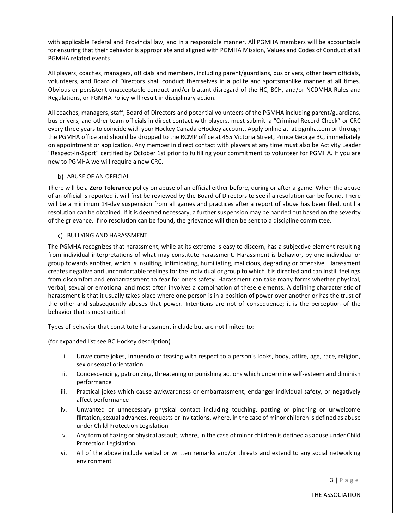with applicable Federal and Provincial law, and in a responsible manner. All PGMHA members will be accountable for ensuring that their behavior is appropriate and aligned with PGMHA Mission, Values and Codes of Conduct at all PGMHA related events

All players, coaches, managers, officials and members, including parent/guardians, bus drivers, other team officials, volunteers, and Board of Directors shall conduct themselves in a polite and sportsmanlike manner at all times. Obvious or persistent unacceptable conduct and/or blatant disregard of the HC, BCH, and/or NCDMHA Rules and Regulations, or PGMHA Policy will result in disciplinary action.

All coaches, managers, staff, Board of Directors and potential volunteers of the PGMHA including parent/guardians, bus drivers, and other team officials in direct contact with players, must submit a "Criminal Record Check" or CRC every three years to coincide with your Hockey Canada eHockey account. Apply online at at pgmha.com or through the PGMHA office and should be dropped to the RCMP office at 455 Victoria Street, Prince George BC, immediately on appointment or application. Any member in direct contact with players at any time must also be Activity Leader "Respect-in-Sport" certified by October 1st prior to fulfilling your commitment to volunteer for PGMHA. If you are new to PGMHA we will require a new CRC.

#### b) ABUSE OF AN OFFICIAL

There will be a **Zero Tolerance** policy on abuse of an official either before, during or after a game. When the abuse of an official is reported it will first be reviewed by the Board of Directors to see if a resolution can be found. There will be a minimum 14-day suspension from all games and practices after a report of abuse has been filed, until a resolution can be obtained. If it is deemed necessary, a further suspension may be handed out based on the severity of the grievance. If no resolution can be found, the grievance will then be sent to a discipline committee.

#### c) BULLYING AND HARASSMENT

The PGMHA recognizes that harassment, while at its extreme is easy to discern, has a subjective element resulting from individual interpretations of what may constitute harassment. Harassment is behavior, by one individual or group towards another, which is insulting, intimidating, humiliating, malicious, degrading or offensive. Harassment creates negative and uncomfortable feelings for the individual or group to which it is directed and can instill feelings from discomfort and embarrassment to fear for one's safety. Harassment can take many forms whether physical, verbal, sexual or emotional and most often involves a combination of these elements. A defining characteristic of harassment is that it usually takes place where one person is in a position of power over another or has the trust of the other and subsequently abuses that power. Intentions are not of consequence; it is the perception of the behavior that is most critical.

Types of behavior that constitute harassment include but are not limited to:

(for expanded list see BC Hockey description)

- i. Unwelcome jokes, innuendo or teasing with respect to a person's looks, body, attire, age, race, religion, sex or sexual orientation
- ii. Condescending, patronizing, threatening or punishing actions which undermine self-esteem and diminish performance
- iii. Practical jokes which cause awkwardness or embarrassment, endanger individual safety, or negatively affect performance
- iv. Unwanted or unnecessary physical contact including touching, patting or pinching or unwelcome flirtation, sexual advances, requests or invitations, where, in the case of minor children is defined as abuse under Child Protection Legislation
- v. Any form of hazing or physical assault, where, in the case of minor children is defined as abuse under Child Protection Legislation
- vi. All of the above include verbal or written remarks and/or threats and extend to any social networking environment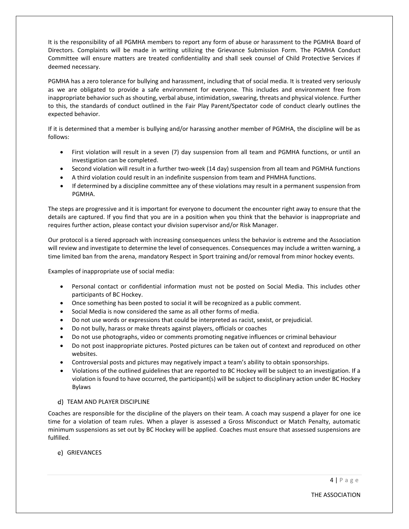It is the responsibility of all PGMHA members to report any form of abuse or harassment to the PGMHA Board of Directors. Complaints will be made in writing utilizing the Grievance Submission Form. The PGMHA Conduct Committee will ensure matters are treated confidentiality and shall seek counsel of Child Protective Services if deemed necessary.

PGMHA has a zero tolerance for bullying and harassment, including that of social media. It is treated very seriously as we are obligated to provide a safe environment for everyone. This includes and environment free from inappropriate behavior such as shouting, verbal abuse, intimidation, swearing, threats and physical violence. Further to this, the standards of conduct outlined in the Fair Play Parent/Spectator code of conduct clearly outlines the expected behavior.

If it is determined that a member is bullying and/or harassing another member of PGMHA, the discipline will be as follows:

- First violation will result in a seven (7) day suspension from all team and PGMHA functions, or until an investigation can be completed.
- Second violation will result in a further two-week (14 day) suspension from all team and PGMHA functions
- A third violation could result in an indefinite suspension from team and PHMHA functions.
- If determined by a discipline committee any of these violations may result in a permanent suspension from PGMHA.

The steps are progressive and it is important for everyone to document the encounter right away to ensure that the details are captured. If you find that you are in a position when you think that the behavior is inappropriate and requires further action, please contact your division supervisor and/or Risk Manager.

Our protocol is a tiered approach with increasing consequences unless the behavior is extreme and the Association will review and investigate to determine the level of consequences. Consequences may include a written warning, a time limited ban from the arena, mandatory Respect in Sport training and/or removal from minor hockey events.

Examples of inappropriate use of social media:

- Personal contact or confidential information must not be posted on Social Media. This includes other participants of BC Hockey.
- Once something has been posted to social it will be recognized as a public comment.
- Social Media is now considered the same as all other forms of media.
- Do not use words or expressions that could be interpreted as racist, sexist, or prejudicial.
- Do not bully, harass or make threats against players, officials or coaches
- Do not use photographs, video or comments promoting negative influences or criminal behaviour
- Do not post inappropriate pictures. Posted pictures can be taken out of context and reproduced on other websites.
- Controversial posts and pictures may negatively impact a team's ability to obtain sponsorships.
- Violations of the outlined guidelines that are reported to BC Hockey will be subject to an investigation. If a violation is found to have occurred, the participant(s) will be subject to disciplinary action under BC Hockey Bylaws

#### d) TEAM AND PLAYER DISCIPLINE

Coaches are responsible for the discipline of the players on their team. A coach may suspend a player for one ice time for a violation of team rules. When a player is assessed a Gross Misconduct or Match Penalty, automatic minimum suspensions as set out by BC Hockey will be applied*.* Coaches must ensure that assessed suspensions are fulfilled.

e) GRIEVANCES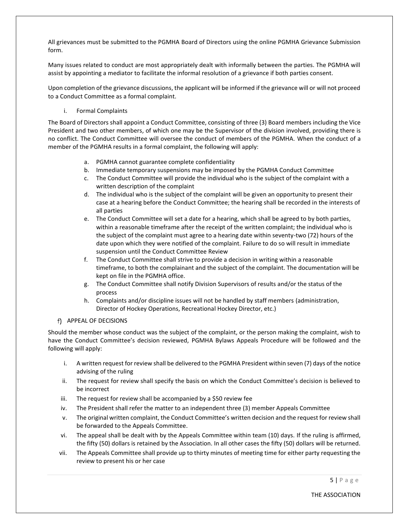All grievances must be submitted to the PGMHA Board of Directors using the online PGMHA Grievance Submission form.

Many issues related to conduct are most appropriately dealt with informally between the parties. The PGMHA will assist by appointing a mediator to facilitate the informal resolution of a grievance if both parties consent.

Upon completion of the grievance discussions, the applicant will be informed if the grievance will or will not proceed to a Conduct Committee as a formal complaint.

i. Formal Complaints

The Board of Directors shall appoint a Conduct Committee, consisting of three (3) Board members including the Vice President and two other members, of which one may be the Supervisor of the division involved, providing there is no conflict. The Conduct Committee will oversee the conduct of members of the PGMHA. When the conduct of a member of the PGMHA results in a formal complaint, the following will apply:

- a. PGMHA cannot guarantee complete confidentiality
- b. Immediate temporary suspensions may be imposed by the PGMHA Conduct Committee
- c. The Conduct Committee will provide the individual who is the subject of the complaint with a written description of the complaint
- d. The individual who is the subject of the complaint will be given an opportunity to present their case at a hearing before the Conduct Committee; the hearing shall be recorded in the interests of all parties
- e. The Conduct Committee will set a date for a hearing, which shall be agreed to by both parties, within a reasonable timeframe after the receipt of the written complaint; the individual who is the subject of the complaint must agree to a hearing date within seventy-two (72) hours of the date upon which they were notified of the complaint. Failure to do so will result in immediate suspension until the Conduct Committee Review
- f. The Conduct Committee shall strive to provide a decision in writing within a reasonable timeframe, to both the complainant and the subject of the complaint. The documentation will be kept on file in the PGMHA office.
- g. The Conduct Committee shall notify Division Supervisors of results and/or the status of the process
- h. Complaints and/or discipline issues will not be handled by staff members (administration, Director of Hockey Operations, Recreational Hockey Director, etc.)
- f) APPEAL OF DECISIONS

Should the member whose conduct was the subject of the complaint, or the person making the complaint, wish to have the Conduct Committee's decision reviewed, PGMHA Bylaws Appeals Procedure will be followed and the following will apply:

- i. A written request for review shall be delivered to the PGMHA President within seven (7) days of the notice advising of the ruling
- ii. The request for review shall specify the basis on which the Conduct Committee's decision is believed to be incorrect
- iii. The request for review shall be accompanied by a \$50 review fee
- iv. The President shall refer the matter to an independent three (3) member Appeals Committee
- v. The original written complaint, the Conduct Committee's written decision and the request for review shall be forwarded to the Appeals Committee.
- vi. The appeal shall be dealt with by the Appeals Committee within team (10) days. If the ruling is affirmed, the fifty (50) dollars is retained by the Association. In all other cases the fifty (50) dollars will be returned.
- vii. The Appeals Committee shall provide up to thirty minutes of meeting time for either party requesting the review to present his or her case

THE ASSOCIATION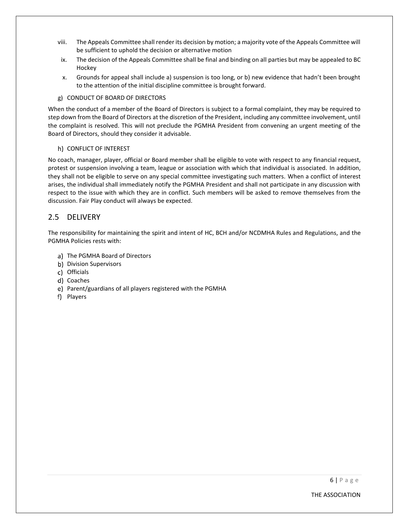- viii. The Appeals Committee shall render its decision by motion; a majority vote of the Appeals Committee will be sufficient to uphold the decision or alternative motion
- ix. The decision of the Appeals Committee shall be final and binding on all parties but may be appealed to BC Hockey
- x. Grounds for appeal shall include a) suspension is too long, or b) new evidence that hadn't been brought to the attention of the initial discipline committee is brought forward.
- g) CONDUCT OF BOARD OF DIRECTORS

When the conduct of a member of the Board of Directors is subject to a formal complaint, they may be required to step down from the Board of Directors at the discretion of the President, including any committee involvement, until the complaint is resolved. This will not preclude the PGMHA President from convening an urgent meeting of the Board of Directors, should they consider it advisable.

#### h) CONFLICT OF INTEREST

No coach, manager, player, official or Board member shall be eligible to vote with respect to any financial request, protest or suspension involving a team, league or association with which that individual is associated. In addition, they shall not be eligible to serve on any special committee investigating such matters. When a conflict of interest arises, the individual shall immediately notify the PGMHA President and shall not participate in any discussion with respect to the issue with which they are in conflict. Such members will be asked to remove themselves from the discussion. Fair Play conduct will always be expected.

#### <span id="page-9-0"></span>2.5 DELIVERY

The responsibility for maintaining the spirit and intent of HC, BCH and/or NCDMHA Rules and Regulations, and the PGMHA Policies rests with:

- a) The PGMHA Board of Directors
- b) Division Supervisors
- c) Officials
- d) Coaches
- e) Parent/guardians of all players registered with the PGMHA
- f) Players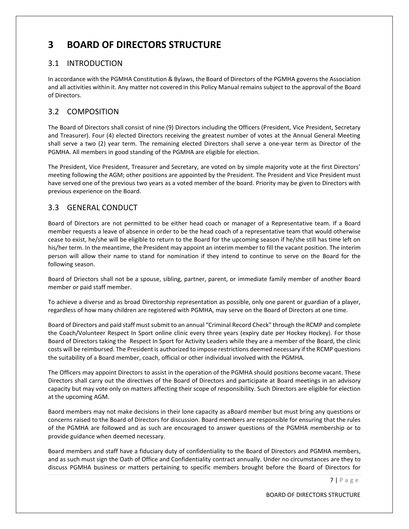# <span id="page-10-0"></span>**3 BOARD OF DIRECTORS STRUCTURE**

# <span id="page-10-1"></span>3.1 INTRODUCTION

In accordance with the PGMHA Constitution & Bylaws, the Board of Directors of the PGMHA governs the Association and all activities within it. Any matter not covered in this Policy Manual remains subject to the approval of the Board of Directors.

# <span id="page-10-2"></span>3.2 COMPOSITION

The Board of Directors shall consist of nine (9) Directors including the Officers (President, Vice President, Secretary and Treasurer). Four (4) elected Directors receiving the greatest number of votes at the Annual General Meeting shall serve a two (2) year term. The remaining elected Directors shall serve a one-year term as Director of the PGMHA. All members in good standing of the PGMHA are eligible for election.

The President, Vice President, Treasurer and Secretary, are voted on by simple majority vote at the first Directors' meeting following the AGM; other positions are appointed by the President. The President and Vice President must have served one of the previous two years as a voted member of the board. Priority may be given to Directors with previous experience on the Board.

# <span id="page-10-3"></span>3.3 GENERAL CONDUCT

Board of Directors are not permitted to be either head coach or manager of a Representative team. If a Board member requests a leave of absence in order to be the head coach of a representative team that would otherwise cease to exist, he/she will be eligible to return to the Board for the upcoming season if he/she still has time left on his/her term. In the meantime, the President may appoint an interim member to fill the vacant position. The interim person will allow their name to stand for nomination if they intend to continue to serve on the Board for the following season.

Board of Driectors shall not be a spouse, sibling, partner, parent, or immediate family member of another Board member or paid staff member.

To achieve a diverse and as broad Directorship representation as possible, only one parent or guardian of a player, regardless of how many children are registered with PGMHA, may serve on the Board of Directors at one time.

Board of Directors and paid staff must submit to an annual "Criminal Record Check" through the RCMP and complete the Coach/Volunteer Respect In Sport online clinic every three years (expiry date per Hockey Hockey). For those Board of Directors taking the Respect In Sport for Activity Leaders while they are a member of the Board, the clinic costs will be reimbursed. The President is authorized to impose restrictions deemed necessary if the RCMP questions the suitability of a Board member, coach, official or other individual involved with the PGMHA.

The Officers may appoint Directors to assist in the operation of the PGMHA should positions become vacant. These Directors shall carry out the directives of the Board of Directors and participate at Board meetings in an advisory capacity but may vote only on matters affecting their scope of responsibility. Such Directors are eligible for election at the upcoming AGM.

Baord members may not make decisions in their lone capacity as aBoard member but must bring any questions or concerns raised to the Board of Directors for discussion. Board members are responsible for ensuring that the rules of the PGMHA are followed and as such are encouraged to answer questions of the PGMHA membership or to provide guidance when deemed necessary.

Board members and staff have a fiduciary duty of confidentiality to the Board of Directors and PGMHA members, and as such must sign the Oath of Office and Confidentiality contract annually. Under no circumstances are they to discuss PGMHA business or matters pertaining to specific members brought before the Board of Directors for

BOARD OF DIRECTORS STRUCTURE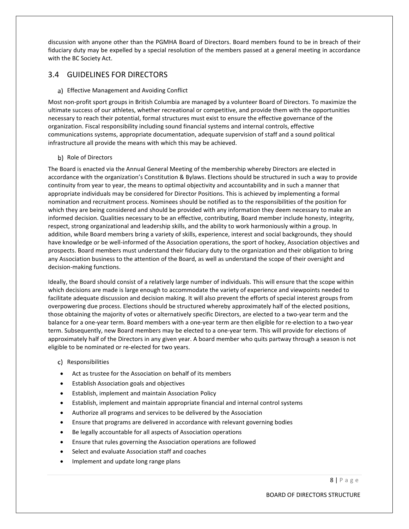discussion with anyone other than the PGMHA Board of Directors. Board members found to be in breach of their fiduciary duty may be expelled by a special resolution of the members passed at a general meeting in accordance with the BC Society Act.

#### <span id="page-11-0"></span>3.4 GUIDELINES FOR DIRECTORS

#### a) Effective Management and Avoiding Conflict

Most non-profit sport groups in British Columbia are managed by a volunteer Board of Directors. To maximize the ultimate success of our athletes, whether recreational or competitive, and provide them with the opportunities necessary to reach their potential, formal structures must exist to ensure the effective governance of the organization. Fiscal responsibility including sound financial systems and internal controls, effective communications systems, appropriate documentation, adequate supervision of staff and a sound political infrastructure all provide the means with which this may be achieved.

#### b) Role of Directors

The Board is enacted via the Annual General Meeting of the membership whereby Directors are elected in accordance with the organization's Constitution & Bylaws. Elections should be structured in such a way to provide continuity from year to year, the means to optimal objectivity and accountability and in such a manner that appropriate individuals may be considered for Director Positions. This is achieved by implementing a formal nomination and recruitment process. Nominees should be notified as to the responsibilities of the position for which they are being considered and should be provided with any information they deem necessary to make an informed decision. Qualities necessary to be an effective, contributing, Board member include honesty, integrity, respect, strong organizational and leadership skills, and the ability to work harmoniously within a group. In addition, while Board members bring a variety of skills, experience, interest and social backgrounds, they should have knowledge or be well-informed of the Association operations, the sport of hockey, Association objectives and prospects. Board members must understand their fiduciary duty to the organization and their obligation to bring any Association business to the attention of the Board, as well as understand the scope of their oversight and decision-making functions.

Ideally, the Board should consist of a relatively large number of individuals. This will ensure that the scope within which decisions are made is large enough to accommodate the variety of experience and viewpoints needed to facilitate adequate discussion and decision making. It will also prevent the efforts of special interest groups from overpowering due process. Elections should be structured whereby approximately half of the elected positions, those obtaining the majority of votes or alternatively specific Directors, are elected to a two-year term and the balance for a one-year term. Board members with a one-year term are then eligible for re-election to a two-year term. Subsequently, new Board members may be elected to a one-year term. This will provide for elections of approximately half of the Directors in any given year. A board member who quits partway through a season is not eligible to be nominated or re-elected for two years.

- c) Responsibilities
- Act as trustee for the Association on behalf of its members
- Establish Association goals and objectives
- Establish, implement and maintain Association Policy
- Establish, implement and maintain appropriate financial and internal control systems
- Authorize all programs and services to be delivered by the Association
- Ensure that programs are delivered in accordance with relevant governing bodies
- Be legally accountable for all aspects of Association operations
- Ensure that rules governing the Association operations are followed
- Select and evaluate Association staff and coaches
- Implement and update long range plans

8 | P a g e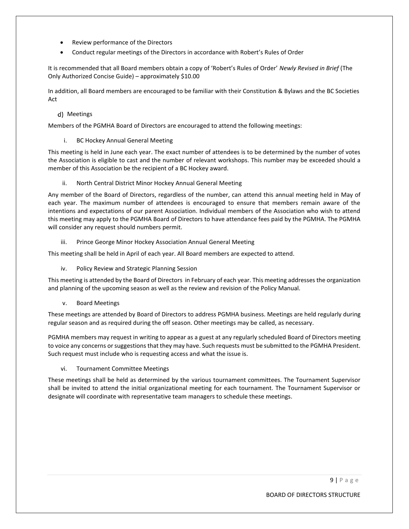- Review performance of the Directors
- Conduct regular meetings of the Directors in accordance with Robert's Rules of Order

It is recommended that all Board members obtain a copy of 'Robert's Rules of Order' *Newly Revised in Brief* (The Only Authorized Concise Guide) – approximately \$10.00

In addition, all Board members are encouraged to be familiar with their Constitution & Bylaws and the BC Societies Act

#### Meetings

Members of the PGMHA Board of Directors are encouraged to attend the following meetings:

i. BC Hockey Annual General Meeting

This meeting is held in June each year. The exact number of attendees is to be determined by the number of votes the Association is eligible to cast and the number of relevant workshops. This number may be exceeded should a member of this Association be the recipient of a BC Hockey award.

ii. North Central District Minor Hockey Annual General Meeting

Any member of the Board of Directors, regardless of the number, can attend this annual meeting held in May of each year. The maximum number of attendees is encouraged to ensure that members remain aware of the intentions and expectations of our parent Association. Individual members of the Association who wish to attend this meeting may apply to the PGMHA Board of Directors to have attendance fees paid by the PGMHA. The PGMHA will consider any request should numbers permit.

iii. Prince George Minor Hockey Association Annual General Meeting

This meeting shall be held in April of each year. All Board members are expected to attend.

iv. Policy Review and Strategic Planning Session

This meeting is attended by the Board of Directors in February of each year. This meeting addresses the organization and planning of the upcoming season as well as the review and revision of the Policy Manual.

v. Board Meetings

These meetings are attended by Board of Directors to address PGMHA business. Meetings are held regularly during regular season and as required during the off season. Other meetings may be called, as necessary.

PGMHA members may request in writing to appear as a guest at any regularly scheduled Board of Directors meeting to voice any concerns or suggestions that they may have. Such requests must be submitted to the PGMHA President. Such request must include who is requesting access and what the issue is.

vi. Tournament Committee Meetings

These meetings shall be held as determined by the various tournament committees. The Tournament Supervisor shall be invited to attend the initial organizational meeting for each tournament. The Tournament Supervisor or designate will coordinate with representative team managers to schedule these meetings.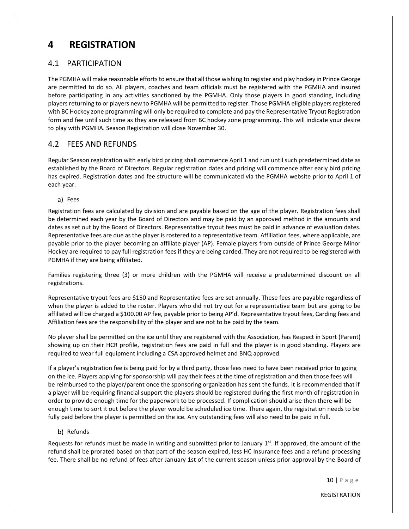# <span id="page-13-0"></span>**4 REGISTRATION**

#### <span id="page-13-1"></span>4.1 PARTICIPATION

The PGMHA will make reasonable efforts to ensure that all those wishing to register and play hockey in Prince George are permitted to do so. All players, coaches and team officials must be registered with the PGMHA and insured before participating in any activities sanctioned by the PGMHA. Only those players in good standing, including players returning to or players new to PGMHA will be permitted to register. Those PGMHA eligible players registered with BC Hockey zone programming will only be required to complete and pay the Representative Tryout Registration form and fee until such time as they are released from BC hockey zone programming. This will indicate your desire to play with PGMHA. Season Registration will close November 30.

# <span id="page-13-2"></span>4.2 FEES AND REFUNDS

Regular Season registration with early bird pricing shall commence April 1 and run until such predetermined date as established by the Board of Directors. Regular registration dates and pricing will commence after early bird pricing has expired. Registration dates and fee structure will be communicated via the PGMHA website prior to April 1 of each year.

a) Fees

Registration fees are calculated by division and are payable based on the age of the player. Registration fees shall be determined each year by the Board of Directors and may be paid by an approved method in the amounts and dates as set out by the Board of Directors. Representative tryout fees must be paid in advance of evaluation dates. Representative fees are due as the player is rostered to a representative team. Affiliation fees, where applicable, are payable prior to the player becoming an affiliate player (AP). Female players from outside of Prince George Minor Hockey are required to pay full registration fees if they are being carded. They are not required to be registered with PGMHA if they are being affiliated.

Families registering three (3) or more children with the PGMHA will receive a predetermined discount on all registrations.

Representative tryout fees are \$150 and Representative fees are set annually. These fees are payable regardless of when the player is added to the roster. Players who did not try out for a representative team but are going to be affiliated will be charged a \$100.00 AP fee, payable prior to being AP'd. Representative tryout fees, Carding fees and Affiliation fees are the responsibility of the player and are not to be paid by the team.

No player shall be permitted on the ice until they are registered with the Association, has Respect in Sport (Parent) showing up on their HCR profile, registration fees are paid in full and the player is in good standing. Players are required to wear full equipment including a CSA approved helmet and BNQ approved.

If a player's registration fee is being paid for by a third party, those fees need to have been received prior to going on the ice. Players applying for sponsorship will pay their fees at the time of registration and then those fees will be reimbursed to the player/parent once the sponsoring organization has sent the funds. It is recommended that if a player will be requiring financial support the players should be registered during the first month of registration in order to provide enough time for the paperwork to be processed. If complication should arise then there will be enough time to sort it out before the player would be scheduled ice time. There again, the registration needs to be fully paid before the player is permitted on the ice. Any outstanding fees will also need to be paid in full.

#### b) Refunds

Requests for refunds must be made in writing and submitted prior to January  $1<sup>st</sup>$ . If approved, the amount of the refund shall be prorated based on that part of the season expired, less HC Insurance fees and a refund processing fee. There shall be no refund of fees after January 1st of the current season unless prior approval by the Board of

10 | P a g e

REGISTRATION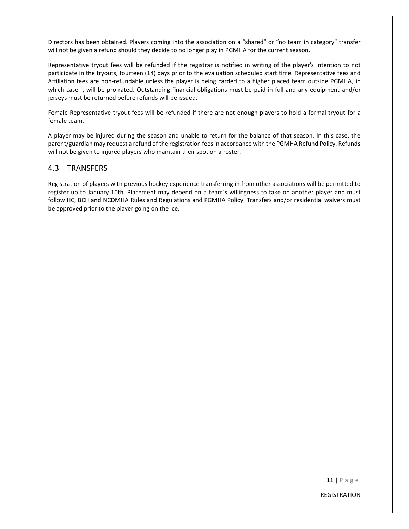Directors has been obtained. Players coming into the association on a "shared" or "no team in category" transfer will not be given a refund should they decide to no longer play in PGMHA for the current season.

Representative tryout fees will be refunded if the registrar is notified in writing of the player's intention to not participate in the tryouts, fourteen (14) days prior to the evaluation scheduled start time. Representative fees and Affiliation fees are non-refundable unless the player is being carded to a higher placed team outside PGMHA, in which case it will be pro-rated. Outstanding financial obligations must be paid in full and any equipment and/or jerseys must be returned before refunds will be issued.

Female Representative tryout fees will be refunded if there are not enough players to hold a formal tryout for a female team.

A player may be injured during the season and unable to return for the balance of that season. In this case, the parent/guardian may request a refund of the registration fees in accordance with the PGMHA Refund Policy. Refunds will not be given to injured players who maintain their spot on a roster.

#### <span id="page-14-0"></span>4.3 TRANSFERS

Registration of players with previous hockey experience transferring in from other associations will be permitted to register up to January 10th. Placement may depend on a team's willingness to take on another player and must follow HC, BCH and NCDMHA Rules and Regulations and PGMHA Policy. Transfers and/or residential waivers must be approved prior to the player going on the ice.

REGISTRATION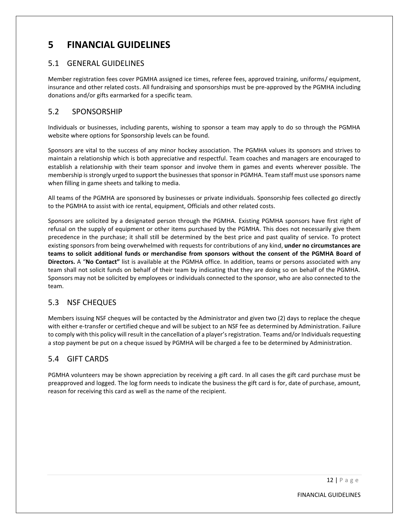# <span id="page-15-0"></span>**5 FINANCIAL GUIDELINES**

#### <span id="page-15-1"></span>5.1 GENERAL GUIDELINES

Member registration fees cover PGMHA assigned ice times, referee fees, approved training, uniforms/ equipment, insurance and other related costs. All fundraising and sponsorships must be pre-approved by the PGMHA including donations and/or gifts earmarked for a specific team.

#### <span id="page-15-2"></span>5.2 SPONSORSHIP

Individuals or businesses, including parents, wishing to sponsor a team may apply to do so through the PGMHA website where options for Sponsorship levels can be found.

Sponsors are vital to the success of any minor hockey association. The PGMHA values its sponsors and strives to maintain a relationship which is both appreciative and respectful. Team coaches and managers are encouraged to establish a relationship with their team sponsor and involve them in games and events wherever possible. The membership is strongly urged to support the businesses that sponsor in PGMHA. Team staff must use sponsors name when filling in game sheets and talking to media.

All teams of the PGMHA are sponsored by businesses or private individuals. Sponsorship fees collected go directly to the PGMHA to assist with ice rental, equipment, Officials and other related costs.

Sponsors are solicited by a designated person through the PGMHA. Existing PGMHA sponsors have first right of refusal on the supply of equipment or other items purchased by the PGMHA. This does not necessarily give them precedence in the purchase; it shall still be determined by the best price and past quality of service. To protect existing sponsors from being overwhelmed with requests for contributions of any kind, **under no circumstances are teams to solicit additional funds or merchandise from sponsors without the consent of the PGMHA Board of Directors.** A "**No Contact"** list is available at the PGMHA office. In addition, teams or persons associated with any team shall not solicit funds on behalf of their team by indicating that they are doing so on behalf of the PGMHA. Sponsors may not be solicited by employees or individuals connected to the sponsor, who are also connected to the team.

# <span id="page-15-3"></span>5.3 NSF CHEQUES

Members issuing NSF cheques will be contacted by the Administrator and given two (2) days to replace the cheque with either e-transfer or certified cheque and will be subject to an NSF fee as determined by Administration. Failure to comply with this policy will result in the cancellation of a player's registration. Teams and/or Individuals requesting a stop payment be put on a cheque issued by PGMHA will be charged a fee to be determined by Administration.

# <span id="page-15-4"></span>5.4 GIFT CARDS

PGMHA volunteers may be shown appreciation by receiving a gift card. In all cases the gift card purchase must be preapproved and logged. The log form needs to indicate the business the gift card is for, date of purchase, amount, reason for receiving this card as well as the name of the recipient.

FINANCIAL GUIDELINES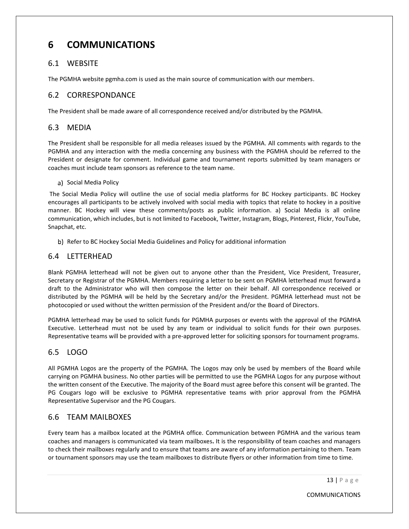# <span id="page-16-0"></span>**6 COMMUNICATIONS**

#### <span id="page-16-1"></span>6.1 WEBSITE

The PGMHA website pgmha.com is used as the main source of communication with our members.

#### <span id="page-16-2"></span>6.2 CORRESPONDANCE

The President shall be made aware of all correspondence received and/or distributed by the PGMHA.

#### <span id="page-16-3"></span>6.3 MEDIA

The President shall be responsible for all media releases issued by the PGMHA. All comments with regards to the PGMHA and any interaction with the media concerning any business with the PGMHA should be referred to the President or designate for comment. Individual game and tournament reports submitted by team managers or coaches must include team sponsors as reference to the team name.

#### a) Social Media Policy

The Social Media Policy will outline the use of social media platforms for BC Hockey participants. BC Hockey encourages all participants to be actively involved with social media with topics that relate to hockey in a positive manner. BC Hockey will view these comments/posts as public information. a) Social Media is all online communication, which includes, but is not limited to Facebook, Twitter, Instagram, Blogs, Pinterest, Flickr, YouTube, Snapchat, etc.

b) Refer to BC Hockey Social Media Guidelines and Policy for additional information

#### <span id="page-16-4"></span>6.4 LETTERHEAD

Blank PGMHA letterhead will not be given out to anyone other than the President, Vice President, Treasurer, Secretary or Registrar of the PGMHA. Members requiring a letter to be sent on PGMHA letterhead must forward a draft to the Administrator who will then compose the letter on their behalf. All correspondence received or distributed by the PGMHA will be held by the Secretary and/or the President. PGMHA letterhead must not be photocopied or used without the written permission of the President and/or the Board of Directors.

PGMHA letterhead may be used to solicit funds for PGMHA purposes or events with the approval of the PGMHA Executive. Letterhead must not be used by any team or individual to solicit funds for their own purposes. Representative teams will be provided with a pre-approved letter for soliciting sponsors for tournament programs.

# <span id="page-16-5"></span>6.5 LOGO

All PGMHA Logos are the property of the PGMHA. The Logos may only be used by members of the Board while carrying on PGMHA business. No other parties will be permitted to use the PGMHA Logos for any purpose without the written consent of the Executive. The majority of the Board must agree before this consent will be granted. The PG Cougars logo will be exclusive to PGMHA representative teams with prior approval from the PGMHA Representative Supervisor and the PG Cougars.

# <span id="page-16-6"></span>6.6 TEAM MAILBOXES

Every team has a mailbox located at the PGMHA office. Communication between PGMHA and the various team coaches and managers is communicated via team mailboxes**.** It is the responsibility of team coaches and managers to check their mailboxes regularly and to ensure that teams are aware of any information pertaining to them. Team or tournament sponsors may use the team mailboxes to distribute flyers or other information from time to time.

COMMUNICATIONS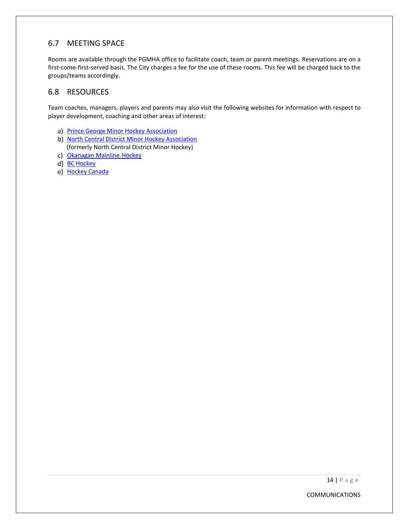# <span id="page-17-0"></span>6.7 MEETING SPACE

Rooms are available through the PGMHA office to facilitate coach, team or parent meetings. Reservations are on a first-come-first-served basis. The City charges a fee for the use of these rooms. This fee will be charged back to the groups/teams accordingly.

# <span id="page-17-1"></span>6.8 RESOURCES

Team coaches, managers, players and parents may also visit the following websites for information with respect to player development, coaching and other areas of interest:

- a) [Prince George Minor Hockey Association](https://pgmha.com/)
- b) [North Central District Minor Hockey Association](https://ncdschedule.weebly.com/) (formerly North Central District Minor Hockey)
- c) [Okanagan Mainline](https://omahahockey.ca/) Hockey
- d) [BC Hockey](https://www.bchockey.net/)
- e) [Hockey Canada](https://www.hockeycanada.ca/en-ca/home)

COMMUNICATIONS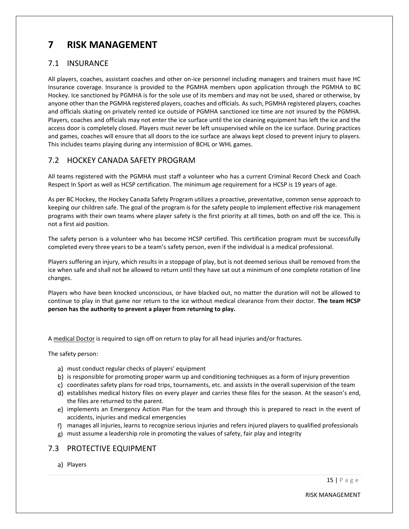# <span id="page-18-0"></span>**7 RISK MANAGEMENT**

#### <span id="page-18-1"></span>7.1 INSURANCE

All players, coaches, assistant coaches and other on-ice personnel including managers and trainers must have HC Insurance coverage. Insurance is provided to the PGMHA members upon application through the PGMHA to BC Hockey. Ice sanctioned by PGMHA is for the sole use of its members and may not be used, shared or otherwise, by anyone other than the PGMHA registered players, coaches and officials. As such, PGMHA registered players, coaches and officials skating on privately rented ice outside of PGMHA sanctioned ice time are not insured by the PGMHA. Players, coaches and officials may not enter the ice surface until the ice cleaning equipment has left the ice and the access door is completely closed. Players must never be left unsupervised while on the ice surface. During practices and games, coaches will ensure that all doors to the ice surface are always kept closed to prevent injury to players. This includes teams playing during any intermission of BCHL or WHL games.

# <span id="page-18-2"></span>7.2 HOCKEY CANADA SAFETY PROGRAM

All teams registered with the PGMHA must staff a volunteer who has a current Criminal Record Check and Coach Respect In Sport as well as HCSP certification. The minimum age requirement for a HCSP is 19 years of age.

As per BC Hockey, the Hockey Canada Safety Program utilizes a proactive, preventative, common sense approach to keeping our children safe. The goal of the program is for the safety people to implement effective risk management programs with their own teams where player safety is the first priority at all times, both on and off the ice. This is not a first aid position.

The safety person is a volunteer who has become HCSP certified. This certification program must be successfully completed every three years to be a team's safety person, even if the individual is a medical professional.

Players suffering an injury, which results in a stoppage of play, but is not deemed serious shall be removed from the ice when safe and shall not be allowed to return until they have sat out a minimum of one complete rotation of line changes.

Players who have been knocked unconscious, or have blacked out, no matter the duration will not be allowed to continue to play in that game nor return to the ice without medical clearance from their doctor. **The team HCSP person has the authority to prevent a player from returning to play.**

A medical Doctor is required to sign off on return to play for all head injuries and/or fractures.

The safety person:

- a) must conduct regular checks of players' equipment
- b) is responsible for promoting proper warm up and conditioning techniques as a form of injury prevention
- c) coordinates safety plans for road trips, tournaments, etc. and assists in the overall supervision of the team
- d) establishes medical history files on every player and carries these files for the season. At the season's end, the files are returned to the parent.
- e) implements an Emergency Action Plan for the team and through this is prepared to react in the event of accidents, injuries and medical emergencies
- manages all injuries, learns to recognize serious injuries and refers injured players to qualified professionals
- must assume a leadership role in promoting the values of safety, fair play and integrity

# <span id="page-18-3"></span>7.3 PROTECTIVE EQUIPMENT

a) Players

RISK MANAGEMENT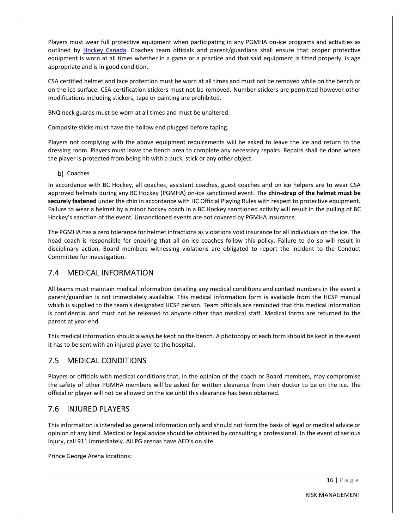Players must wear full protective equipment when participating in any PGMHA on-ice programs and activities as outlined by [Hockey Canada.](https://www.hockeycanada.ca/en-ca/hockey-programs/safety/essentials/downloads) Coaches team officials and parent/guardians shall ensure that proper protective equipment is worn at all times whether in a game or a practice and that said equipment is fitted properly, is age appropriate and is in good condition.

CSA certified helmet and face protection must be worn at all times and must not be removed while on the bench or on the ice surface. CSA certification stickers must not be removed. Number stickers are permitted however other modifications including stickers, tape or painting are prohibited.

BNQ neck guards must be worn at all times and must be unaltered.

Composite sticks must have the hollow end plugged before taping.

Players not complying with the above equipment requirements will be asked to leave the ice and return to the dressing room. Players must leave the bench area to complete any necessary repairs. Repairs shall be done where the player is protected from being hit with a puck, stick or any other object.

b) Coaches

In accordance with BC Hockey, all coaches, assistant coaches, guest coaches and on ice helpers are to wear CSA approved helmets during any BC Hockey (PGMHA) on-ice sanctioned event. The **chin-strap of the helmet must be securely fastened** under the chin in accordance with HC Official Playing Rules with respect to protective equipment. Failure to wear a helmet by a minor hockey coach in a BC Hockey sanctioned activity will result in the pulling of BC Hockey's sanction of the event. Unsanctioned events are not covered by PGMHA insurance.

The PGMHA has a zero tolerance for helmet infractions as violations void insurance for all individuals on the ice. The head coach is responsible for ensuring that all on-ice coaches follow this policy. Failure to do so will result in disciplinary action. Board members witnessing violations are obligated to report the incident to the Conduct Committee for investigation.

#### <span id="page-19-0"></span>7.4 MEDICAL INFORMATION

All teams must maintain medical information detailing any medical conditions and contact numbers in the event a parent/guardian is not immediately available. This medical information form is available from the HCSP manual which is supplied to the team's designated HCSP person. Team officials are reminded that this medical information is confidential and must not be released to anyone other than medical staff. Medical forms are returned to the parent at year end.

This medical information should always be kept on the bench. A photocopy of each form should be kept in the event it has to be sent with an injured player to the hospital.

#### <span id="page-19-1"></span>7.5 MEDICAL CONDITIONS

Players or officials with medical conditions that, in the opinion of the coach or Board members, may compromise the safety of other PGMHA members will be asked for written clearance from their doctor to be on the ice. The official or player will not be allowed on the ice until this clearance has been obtained.

# <span id="page-19-2"></span>7.6 INJURED PLAYERS

This information is intended as general information only and should not form the basis of legal or medical advice or opinion of any kind. Medical or legal advice should be obtained by consulting a professional. In the event of serious injury, call 911 immediately. All PG arenas have AED's on site.

Prince George Arena locations: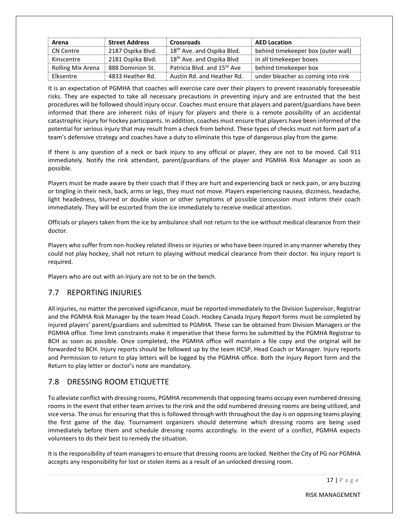| Arena             | <b>Street Address</b> | <b>Crossroads</b>                       | <b>AED Location</b>                |
|-------------------|-----------------------|-----------------------------------------|------------------------------------|
| CN Centre         | 2187 Ospika Blvd.     | 18 <sup>th</sup> Ave. and Ospika Blvd.  | behind timekeeper box (outer wall) |
| Kinscentre        | 2181 Ospika Blvd.     | 18 <sup>th</sup> Ave. and Ospika Blvd   | in all timekeeper boxes            |
| Rolling Mix Arena | 888 Dominion St.      | Patricia Blvd. and 15 <sup>th</sup> Ave | behind timekeeper box              |
| Elksentre         | 4833 Heather Rd.      | Austin Rd. and Heather Rd.              | under bleacher as coming into rink |

It is an expectation of PGMHA that coaches will exercise care over their players to prevent reasonably foreseeable risks. They are expected to take all necessary precautions in preventing injury and are entrusted that the best procedures will be followed should injury occur. Coaches must ensure that players and parent/guardians have been informed that there are inherent risks of injury for players and there is a remote possibility of an accidental catastrophic injury for hockey participants. In addition, coaches must ensure that players have been informed of the potential for serious injury that may result from a check from behind. These types of checks must not form part of a team's defensive strategy and coaches have a duty to eliminate this type of dangerous play from the game.

If there is any question of a neck or back injury to any official or player, they are not to be moved. Call 911 immediately. Notify the rink attendant, parent/guardians of the player and PGMHA Risk Manager as soon as possible.

Players must be made aware by their coach that if they are hurt and experiencing back or neck pain, or any buzzing or tingling in their neck, back, arms or legs, they must not move. Players experiencing nausea, dizziness, headache, light headedness, blurred or double vision or other symptoms of possible concussion must inform their coach immediately. They will be escorted from the ice immediately to receive medical attention.

Officials or players taken from the ice by ambulance shall not return to the ice without medical clearance from their doctor.

Players who suffer from non-hockey related illness or injuries or who have been injured in any manner whereby they could not play hockey, shall not return to playing without medical clearance from their doctor. No injury report is required.

Players who are out with an injury are not to be on the bench.

# <span id="page-20-0"></span>7.7 REPORTING INJURIES

All injuries, no matter the perceived significance, must be reported immediately to the Division Supervisor, Registrar and the PGMHA Risk Manager by the team Head Coach. Hockey Canada Injury Report forms must be completed by injured players' parent/guardians and submitted to PGMHA. These can be obtained from Division Managers or the PGMHA office. Time limit constraints make it imperative that these forms be submitted by the PGMHA Registrar to BCH as soon as possible. Once completed, the PGMHA office will maintain a file copy and the original will be forwarded to BCH. Injury reports should be followed up by the team HCSP, Head Coach or Manager. Injury reports and Permission to return to play letters will be logged by the PGMHA office. Both the Injury Report form and the Return to play letter or doctor's note are mandatory.

# <span id="page-20-1"></span>7.8 DRESSING ROOM ETIQUETTE

To alleviate conflict with dressing rooms, PGMHA recommends that opposing teams occupy even numbered dressing rooms in the event that either team arrives to the rink and the odd numbered dressing rooms are being utilized, and vice versa. The onus for ensuring that this is followed through with throughout the day is on opposing teams playing the first game of the day. Tournament organizers should determine which dressing rooms are being used immediately before them and schedule dressing rooms accordingly. In the event of a conflict, PGMHA expects volunteers to do their best to remedy the situation.

It is the responsibility of team managers to ensure that dressing rooms are locked. Neither the City of PG nor PGMHA accepts any responsibility for lost or stolen items as a result of an unlocked dressing room.

RISK MANAGEMENT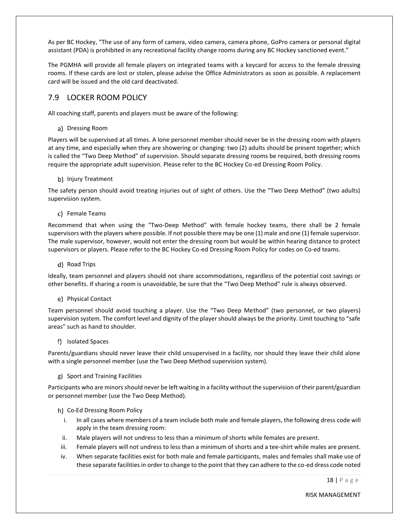As per BC Hockey, "The use of any form of camera, video camera, camera phone, GoPro camera or personal digital assistant (PDA) is prohibited in any recreational facility change rooms during any BC Hockey sanctioned event."

The PGMHA will provide all female players on integrated teams with a keycard for access to the female dressing rooms. If these cards are lost or stolen, please advise the Office Administrators as soon as possible. A replacement card will be issued and the old card deactivated.

#### <span id="page-21-0"></span>7.9 LOCKER ROOM POLICY

All coaching staff, parents and players must be aware of the following:

#### a) Dressing Room

Players will be supervised at all times. A lone personnel member should never be in the dressing room with players at any time, and especially when they are showering or changing: two (2) adults should be present together; which is called the "Two Deep Method" of supervision. Should separate dressing rooms be required, both dressing rooms require the appropriate adult supervision. Please refer to the BC Hockey Co-ed Dressing Room Policy.

#### b) Injury Treatment

The safety person should avoid treating injuries out of sight of others. Use the "Two Deep Method" (two adults) supervision system.

#### c) Female Teams

Recommend that when using the "Two-Deep Method" with female hockey teams, there shall be 2 female supervisors with the players where possible. If not possible there may be one (1) male and one (1) female supervisor. The male supervisor, however, would not enter the dressing room but would be within hearing distance to protect supervisors or players. Please refer to the BC Hockey Co-ed Dressing Room Policy for codes on Co-ed teams.

#### d) Road Trips

Ideally, team personnel and players should not share accommodations, regardless of the potential cost savings or other benefits. If sharing a room is unavoidable, be sure that the "Two Deep Method" rule is always observed.

#### e) Physical Contact

Team personnel should avoid touching a player. Use the "Two Deep Method" (two personnel, or two players) supervision system. The comfort level and dignity of the player should always be the priority. Limit touching to "safe areas" such as hand to shoulder.

#### f) Isolated Spaces

Parents/guardians should never leave their child unsupervised in a facility, nor should they leave their child alone with a single personnel member (use the Two Deep Method supervision system).

#### g) Sport and Training Facilities

Participants who are minors should never be left waiting in a facility without the supervision of their parent/guardian or personnel member (use the Two Deep Method).

#### h) Co-Ed Dressing Room Policy

- i. In all cases where members of a team include both male and female players, the following dress code will apply in the team dressing room:
- ii. Male players will not undress to less than a minimum of shorts while females are present.
- iii. Female players will not undress to less than a minimum of shorts and a tee-shirt while males are present.
- iv. When separate facilities exist for both male and female participants, males and females shall make use of these separate facilities in order to change to the point that they can adhere to the co-ed dress code noted

RISK MANAGEMENT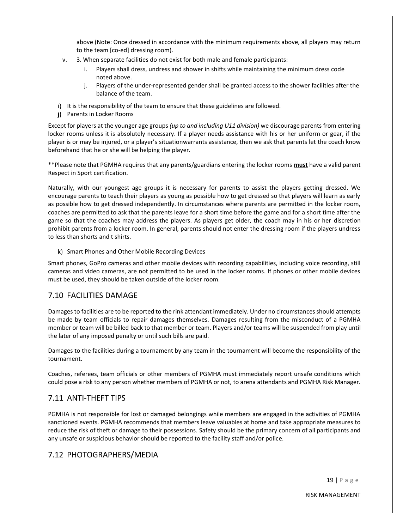above (Note: Once dressed in accordance with the minimum requirements above, all players may return to the team [co-ed] dressing room).

- v. 3. When separate facilities do not exist for both male and female participants:
	- i. Players shall dress, undress and shower in shifts while maintaining the minimum dress code noted above.
	- j. Players of the under-represented gender shall be granted access to the shower facilities after the balance of the team.
- i) It is the responsibility of the team to ensure that these guidelines are followed.
- j) Parents in Locker Rooms

Except for players at the younger age groups *(up to and including U11 division)* we discourage parents from entering locker rooms unless it is absolutely necessary. If a player needs assistance with his or her uniform or gear, if the player is or may be injured, or a player's situationwarrants assistance, then we ask that parents let the coach know beforehand that he or she will be helping the player.

\*\*Please note that PGMHA requires that any parents/guardians entering the locker rooms **must** have a valid parent Respect in Sport certification.

Naturally, with our youngest age groups it is necessary for parents to assist the players getting dressed. We encourage parents to teach their players as young as possible how to get dressed so that players will learn as early as possible how to get dressed independently. In circumstances where parents are permitted in the locker room, coaches are permitted to ask that the parents leave for a short time before the game and for a short time after the game so that the coaches may address the players. As players get older, the coach may in his or her discretion prohibit parents from a locker room. In general, parents should not enter the dressing room if the players undress to less than shorts and t shirts.

k) Smart Phones and Other Mobile Recording Devices

Smart phones, GoPro cameras and other mobile devices with recording capabilities, including voice recording, still cameras and video cameras, are not permitted to be used in the locker rooms. If phones or other mobile devices must be used, they should be taken outside of the locker room.

#### <span id="page-22-0"></span>7.10 FACILITIES DAMAGE

Damages to facilities are to be reported to the rink attendant immediately. Under no circumstances should attempts be made by team officials to repair damages themselves. Damages resulting from the misconduct of a PGMHA member or team will be billed back to that member or team. Players and/or teams will be suspended from play until the later of any imposed penalty or until such bills are paid.

Damages to the facilities during a tournament by any team in the tournament will become the responsibility of the tournament.

Coaches, referees, team officials or other members of PGMHA must immediately report unsafe conditions which could pose a risk to any person whether members of PGMHA or not, to arena attendants and PGMHA Risk Manager.

# <span id="page-22-1"></span>7.11 ANTI-THEFT TIPS

PGMHA is not responsible for lost or damaged belongings while members are engaged in the activities of PGMHA sanctioned events. PGMHA recommends that members leave valuables at home and take appropriate measures to reduce the risk of theft or damage to their possessions. Safety should be the primary concern of all participants and any unsafe or suspicious behavior should be reported to the facility staff and/or police.

# <span id="page-22-2"></span>7.12 PHOTOGRAPHERS/MEDIA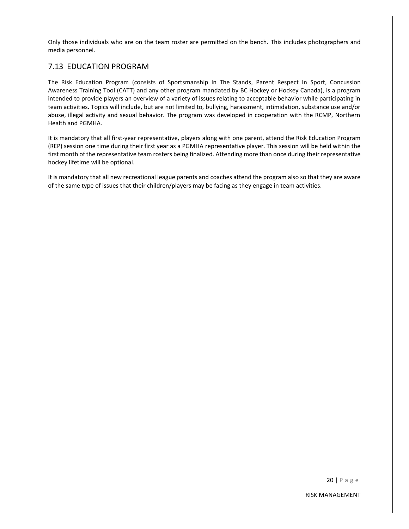Only those individuals who are on the team roster are permitted on the bench. This includes photographers and media personnel.

#### <span id="page-23-0"></span>7.13 EDUCATION PROGRAM

The Risk Education Program (consists of Sportsmanship In The Stands, Parent Respect In Sport, Concussion Awareness Training Tool (CATT) and any other program mandated by BC Hockey or Hockey Canada), is a program intended to provide players an overview of a variety of issues relating to acceptable behavior while participating in team activities. Topics will include, but are not limited to, bullying, harassment, intimidation, substance use and/or abuse, illegal activity and sexual behavior. The program was developed in cooperation with the RCMP, Northern Health and PGMHA.

It is mandatory that all first-year representative, players along with one parent, attend the Risk Education Program (REP) session one time during their first year as a PGMHA representative player. This session will be held within the first month of the representative team rosters being finalized. Attending more than once during their representative hockey lifetime will be optional.

It is mandatory that all new recreational league parents and coaches attend the program also so that they are aware of the same type of issues that their children/players may be facing as they engage in team activities.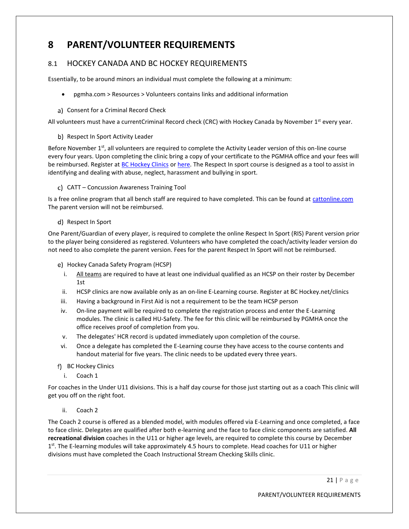# <span id="page-24-0"></span>**8 PARENT/VOLUNTEER REQUIREMENTS**

# <span id="page-24-1"></span>8.1 HOCKEY CANADA AND BC HOCKEY REQUIREMENTS

Essentially, to be around minors an individual must complete the following at a minimum:

• pgmha.com > Resources > Volunteers contains links and additional information

#### a) Consent for a Criminal Record Check

All volunteers must have a currentCriminal Record check (CRC) with Hockey Canada by November 1<sup>st</sup> every year.

#### b) Respect In Sport Activity Leader

Before November 1<sup>st</sup>, all volunteers are required to complete the Activity Leader version of this on-line course every four years. Upon completing the clinic bring a copy of your certificate to the PGMHA office and your fees will be reimbursed. Register at [BC Hockey Clinics](https://www.bchockey.net/Clinics/clinics.aspx) or [here.](https://bch.respectgroupinc.com/) The Respect In sport course is designed as a tool to assist in identifying and dealing with abuse, neglect, harassment and bullying in sport.

#### CATT – Concussion Awareness Training Tool

Is a free online program that all bench staff are required to have completed. This can be found at [cattonline.com](https://cattonline.com/) The parent version will not be reimbursed.

#### d) Respect In Sport

One Parent/Guardian of every player, is required to complete the online Respect In Sport (RIS) Parent version prior to the player being considered as registered. Volunteers who have completed the coach/activity leader version do not need to also complete the parent version. Fees for the parent Respect In Sport will not be reimbursed.

e) Hockey Canada Safety Program (HCSP)

- i. All teams are required to have at least one individual qualified as an HCSP on their roster by December 1st
- ii. HCSP clinics are now available only as an on-line E-Learning course. Register at BC Hockey.net/clinics
- iii. Having a background in First Aid is not a requirement to be the team HCSP person
- iv. On-line payment will be required to complete the registration process and enter the E-Learning modules. The clinic is called HU-Safety. The fee for this clinic will be reimbursed by PGMHA once the office receives proof of completion from you.
- v. The delegates' HCR record is updated immediately upon completion of the course.
- vi. Once a delegate has completed the E-Learning course they have access to the course contents and handout material for five years. The clinic needs to be updated every three years.

#### f) BC Hockey Clinics

i. Coach 1

For coaches in the Under U11 divisions. This is a half day course for those just starting out as a coach This clinic will get you off on the right foot.

ii. Coach 2

The Coach 2 course is offered as a blended model, with modules offered via E-Learning and once completed, a face to face clinic. Delegates are qualified after both e-learning and the face to face clinic components are satisfied. **All recreational division** coaches in the U11 or higher age levels, are required to complete this course by December 1<sup>st</sup>. The E-learning modules will take approximately 4.5 hours to complete. Head coaches for U11 or higher divisions must have completed the Coach Instructional Stream Checking Skills clinic.

21 | P a g e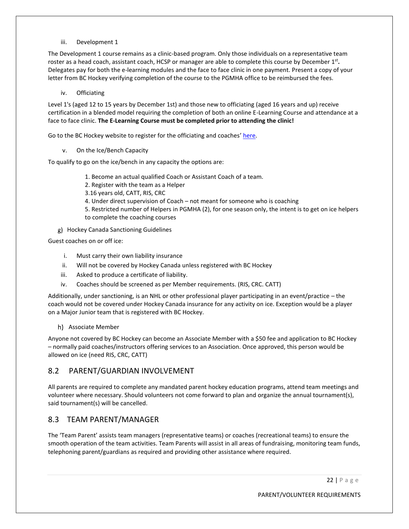iii. Development 1

The Development 1 course remains as a clinic-based program. Only those individuals on a representative team roster as a head coach, assistant coach, HCSP or manager are able to complete this course by December 1<sup>st</sup>. Delegates pay for both the e-learning modules and the face to face clinic in one payment. Present a copy of your letter from BC Hockey verifying completion of the course to the PGMHA office to be reimbursed the fees.

iv. Officiating

Level 1's (aged 12 to 15 years by December 1st) and those new to officiating (aged 16 years and up) receive certification in a blended model requiring the completion of both an online E-Learning Course and attendance at a face to face clinic. **The E-Learning Course must be completed prior to attending the clinic!**

Go to the BC Hockey website to register for the officiating and coaches' [here.](https://www.bchockey.net/Clinics/clinics.aspx)

v. On the Ice/Bench Capacity

To qualify to go on the ice/bench in any capacity the options are:

- 1. Become an actual qualified Coach or Assistant Coach of a team.
- 2. Register with the team as a Helper
- 3.16 years old, CATT, RIS, CRC
- 4. Under direct supervision of Coach not meant for someone who is coaching

5. Restricted number of Helpers in PGMHA (2), for one season only, the intent is to get on ice helpers to complete the coaching courses

Hockey Canada Sanctioning Guidelines

Guest coaches on or off ice:

- i. Must carry their own liability insurance
- ii. Will not be covered by Hockey Canada unless registered with BC Hockey
- iii. Asked to produce a certificate of liability.
- iv. Coaches should be screened as per Member requirements. (RIS, CRC. CATT)

Additionally, under sanctioning, is an NHL or other professional player participating in an event/practice – the coach would not be covered under Hockey Canada insurance for any activity on ice. Exception would be a player on a Major Junior team that is registered with BC Hockey.

h) Associate Member

Anyone not covered by BC Hockey can become an Associate Member with a \$50 fee and application to BC Hockey – normally paid coaches/instructors offering services to an Association. Once approved, this person would be allowed on ice (need RIS, CRC, CATT)

#### <span id="page-25-0"></span>8.2 PARENT/GUARDIAN INVOLVEMENT

All parents are required to complete any mandated parent hockey education programs, attend team meetings and volunteer where necessary. Should volunteers not come forward to plan and organize the annual tournament(s), said tournament(s) will be cancelled.

#### <span id="page-25-1"></span>8.3 TEAM PARENT/MANAGER

The 'Team Parent' assists team managers (representative teams) or coaches (recreational teams) to ensure the smooth operation of the team activities. Team Parents will assist in all areas of fundraising, monitoring team funds, telephoning parent/guardians as required and providing other assistance where required.

22 | P a g e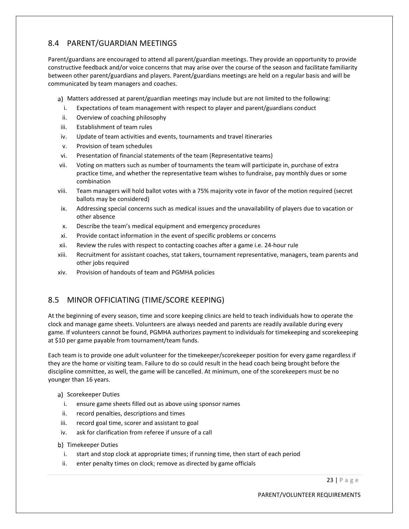# <span id="page-26-0"></span>8.4 PARENT/GUARDIAN MEETINGS

Parent/guardians are encouraged to attend all parent/guardian meetings. They provide an opportunity to provide constructive feedback and/or voice concerns that may arise over the course of the season and facilitate familiarity between other parent/guardians and players. Parent/guardians meetings are held on a regular basis and will be communicated by team managers and coaches.

- a) Matters addressed at parent/guardian meetings may include but are not limited to the following:
- i. Expectations of team management with respect to player and parent/guardians conduct
- ii. Overview of coaching philosophy
- iii. Establishment of team rules
- iv. Update of team activities and events, tournaments and travel itineraries
- v. Provision of team schedules
- vi. Presentation of financial statements of the team (Representative teams)
- vii. Voting on matters such as number of tournaments the team will participate in, purchase of extra practice time, and whether the representative team wishes to fundraise, pay monthly dues or some combination
- viii. Team managers will hold ballot votes with a 75% majority vote in favor of the motion required (secret ballots may be considered)
- ix. Addressing special concerns such as medical issues and the unavailability of players due to vacation or other absence
- x. Describe the team's medical equipment and emergency procedures
- xi. Provide contact information in the event of specific problems or concerns
- xii. Review the rules with respect to contacting coaches after a game i.e. 24-hour rule
- xiii. Recruitment for assistant coaches, stat takers, tournament representative, managers, team parents and other jobs required
- xiv. Provision of handouts of team and PGMHA policies

# <span id="page-26-1"></span>8.5 MINOR OFFICIATING (TIME/SCORE KEEPING)

At the beginning of every season, time and score keeping clinics are held to teach individuals how to operate the clock and manage game sheets. Volunteers are always needed and parents are readily available during every game. If volunteers cannot be found, PGMHA authorizes payment to individuals for timekeeping and scorekeeping at \$10 per game payable from tournament/team funds.

Each team is to provide one adult volunteer for the timekeeper/scorekeeper position for every game regardless if they are the home or visiting team. Failure to do so could result in the head coach being brought before the discipline committee, as well, the game will be cancelled. At minimum, one of the scorekeepers must be no younger than 16 years.

#### a) Scorekeeper Duties

- i. ensure game sheets filled out as above using sponsor names
- ii. record penalties, descriptions and times
- iii. record goal time, scorer and assistant to goal
- iv. ask for clarification from referee if unsure of a call
- b) Timekeeper Duties
	- i. start and stop clock at appropriate times; if running time, then start of each period
	- ii. enter penalty times on clock; remove as directed by game officials

23 | P a g e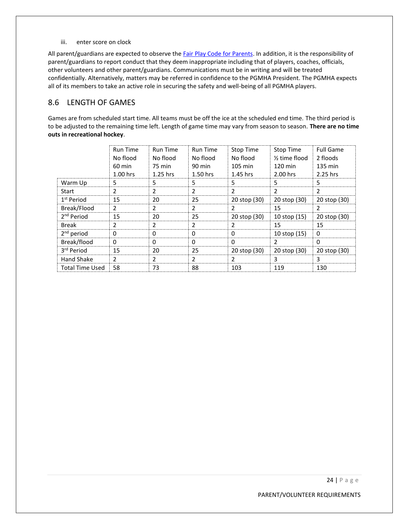iii. enter score on clock

All parent/guardians are expected to observe the *Fair Play Code for Parents*. In addition, it is the responsibility of parent/guardians to report conduct that they deem inappropriate including that of players, coaches, officials, other volunteers and other parent/guardians. Communications must be in writing and will be treated confidentially. Alternatively, matters may be referred in confidence to the PGMHA President. The PGMHA expects all of its members to take an active role in securing the safety and well-being of all PGMHA players.

#### <span id="page-27-0"></span>8.6 LENGTH OF GAMES

Games are from scheduled start time. All teams must be off the ice at the scheduled end time. The third period is to be adjusted to the remaining time left. Length of game time may vary from season to season. **There are no time outs in recreational hockey**.

|                        | <b>Run Time</b> | <b>Run Time</b> | <b>Run Time</b> | Stop Time         | Stop Time                  | <b>Full Game</b> |
|------------------------|-----------------|-----------------|-----------------|-------------------|----------------------------|------------------|
|                        | No flood        | No flood        | No flood        | No flood          | 1/ <sub>2</sub> time flood | 2 floods         |
|                        | 60 min          | 75 min          | 90 min          | $105 \text{ min}$ | $120 \text{ min}$          | 135 min          |
|                        | 1.00 hrs        | $1.25$ hrs      | 1.50 hrs        | 1.45 hrs          | 2.00 hrs                   | 2.25 hrs         |
| Warm Up                | 5               | 5               | 5               | 5                 | 5                          | 5                |
| Start                  | 2               | 2               | 2               | 2                 | 2                          | $\mathcal{P}$    |
| 1 <sup>st</sup> Period | 15              | 20              | 25              | 20 stop (30)      | 20 stop (30)               | 20 stop (30)     |
| Break/Flood            | 2               | 2               | 2               | $\mathcal{P}$     | 15                         | $\mathcal{P}$    |
| 2 <sup>nd</sup> Period | 15              | 20              | 25              | 20 stop (30)      | 10 stop (15)               | 20 stop (30)     |
| Break                  | 2               | 2               | 2               | $\mathcal{P}$     | 15                         | 15               |
| $2^{nd}$ period        | $\Omega$        | 0               | $\Omega$        | $\Omega$          | 10 stop (15)               | $\Omega$         |
| Break/flood            | 0               | 0               | 0               | 0                 |                            | $\Omega$         |
| 3rd Period             | 15              | 20              | 25              | 20 stop (30)      | 20 stop (30)               | 20 stop (30)     |
| <b>Hand Shake</b>      | 2               | 2               | 2               | $\mathcal{P}$     | 3                          | 3                |
| <b>Total Time Used</b> | 58              | 73              | 88              | 103               | 119                        | 130              |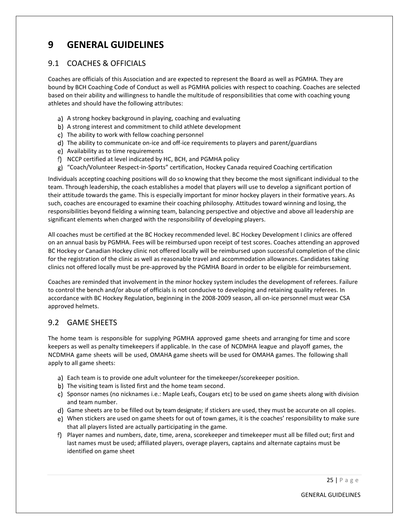# <span id="page-28-0"></span>**9 GENERAL GUIDELINES**

#### <span id="page-28-1"></span>9.1 COACHES & OFFICIALS

Coaches are officials of this Association and are expected to represent the Board as well as PGMHA. They are bound by BCH Coaching Code of Conduct as well as PGMHA policies with respect to coaching. Coaches are selected based on their ability and willingness to handle the multitude of responsibilities that come with coaching young athletes and should have the following attributes:

- a) A strong hockey background in playing, coaching and evaluating
- b) A strong interest and commitment to child athlete development
- c) The ability to work with fellow coaching personnel
- d) The ability to communicate on-ice and off-ice requirements to players and parent/guardians
- e) Availability as to time requirements
- f) NCCP certified at level indicated by HC, BCH, and PGMHA policy
- "Coach/Volunteer Respect-in-Sports" certification, Hockey Canada required Coaching certification

Individuals accepting coaching positions will do so knowing that they become the most significant individual to the team. Through leadership, the coach establishes a model that players will use to develop a significant portion of their attitude towards the game. This is especially important for minor hockey players in their formative years. As such, coaches are encouraged to examine their coaching philosophy. Attitudes toward winning and losing, the responsibilities beyond fielding a winning team, balancing perspective and objective and above all leadership are significant elements when charged with the responsibility of developing players.

All coaches must be certified at the BC Hockey recommended level. BC Hockey Development I clinics are offered on an annual basis by PGMHA. Fees will be reimbursed upon receipt of test scores. Coaches attending an approved BC Hockey or Canadian Hockey clinic not offered locally will be reimbursed upon successful completion of the clinic for the registration of the clinic as well as reasonable travel and accommodation allowances. Candidates taking clinics not offered locally must be pre-approved by the PGMHA Board in order to be eligible for reimbursement.

Coaches are reminded that involvement in the minor hockey system includes the development of referees. Failure to control the bench and/or abuse of officials is not conducive to developing and retaining quality referees. In accordance with BC Hockey Regulation, beginning in the 2008-2009 season, all on-ice personnel must wear CSA approved helmets.

# <span id="page-28-2"></span>9.2 GAME SHEETS

The home team is responsible for supplying PGMHA approved game sheets and arranging for time and score keepers as well as penalty timekeepers if applicable. In the case of NCDMHA league and playoff games, the NCDMHA game sheets will be used, OMAHA game sheets will be used for OMAHA games. The following shall apply to all game sheets:

- a) Each team is to provide one adult volunteer for the timekeeper/scorekeeper position.
- b) The visiting team is listed first and the home team second.
- c) Sponsor names (no nicknames i.e.: Maple Leafs, Cougars etc) to be used on game sheets along with division and team number.
- d) Game sheets are to be filled out by team designate; if stickers are used, they must be accurate on all copies.
- When stickers are used on game sheets for out of town games, it is the coaches' responsibility to make sure that all players listed are actually participating in the game.
- f) Player names and numbers, date, time, arena, scorekeeper and timekeeper must all be filled out; first and last names must be used; affiliated players, overage players, captains and alternate captains must be identified on game sheet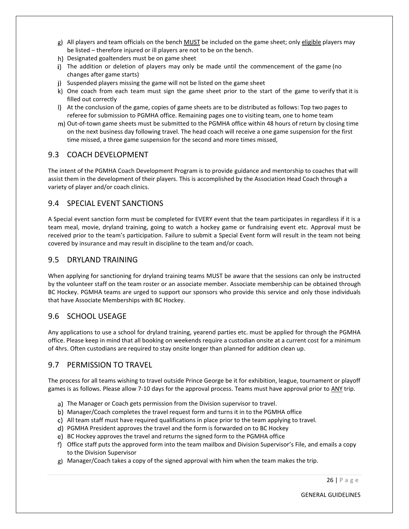- All players and team officials on the bench MUST be included on the game sheet; only eligible players may be listed – therefore injured or ill players are not to be on the bench.
- h) Designated goaltenders must be on game sheet
- i) The addition or deletion of players may only be made until the commencement of the game (no changes after game starts)
- $\mathbf{S}$  Suspended players missing the game will not be listed on the game sheet
- k) One coach from each team must sign the game sheet prior to the start of the game to verify that it is filled out correctly
- I) At the conclusion of the game, copies of game sheets are to be distributed as follows: Top two pages to referee for submission to PGMHA office. Remaining pages one to visiting team, one to home team
- m) Out-of-town game sheets must be submitted to the PGMHA office within 48 hours of return by closing time on the next business day following travel. The head coach will receive a one game suspension for the first time missed, a three game suspension for the second and more times missed,

#### <span id="page-29-0"></span>9.3 COACH DEVELOPMENT

The intent of the PGMHA Coach Development Program is to provide guidance and mentorship to coaches that will assist them in the development of their players. This is accomplished by the Association Head Coach through a variety of player and/or coach clinics.

#### <span id="page-29-1"></span>9.4 SPECIAL EVENT SANCTIONS

A Special event sanction form must be completed for EVERY event that the team participates in regardless if it is a team meal, movie, dryland training, going to watch a hockey game or fundraising event etc. Approval must be received prior to the team's participation. Failure to submit a Special Event form will result in the team not being covered by insurance and may result in discipline to the team and/or coach.

#### <span id="page-29-2"></span>9.5 DRYLAND TRAINING

When applying for sanctioning for dryland training teams MUST be aware that the sessions can only be instructed by the volunteer staff on the team roster or an associate member. Associate membership can be obtained through BC Hockey. PGMHA teams are urged to support our sponsors who provide this service and only those individuals that have Associate Memberships with BC Hockey.

#### <span id="page-29-3"></span>9.6 SCHOOL USEAGE

Any applications to use a school for dryland training, yearend parties etc. must be applied for through the PGMHA office. Please keep in mind that all booking on weekends require a custodian onsite at a current cost for a minimum of 4hrs. Often custodians are required to stay onsite longer than planned for addition clean up.

# <span id="page-29-4"></span>9.7 PERMISSION TO TRAVEL

The process for all teams wishing to travel outside Prince George be it for exhibition, league, tournament or playoff games is as follows. Please allow 7-10 days for the approval process. Teams must have approval prior to ANY trip.

- The Manager or Coach gets permission from the Division supervisor to travel.
- Manager/Coach completes the travel request form and turns it in to the PGMHA office
- c) All team staff must have required qualifications in place prior to the team applying to travel.
- PGMHA President approves the travel and the form is forwarded on to BC Hockey
- e) BC Hockey approves the travel and returns the signed form to the PGMHA office
- Office staff puts the approved form into the team mailbox and Division Supervisor's File, and emails a copy to the Division Supervisor
- Manager/Coach takes a copy of the signed approval with him when the team makes the trip.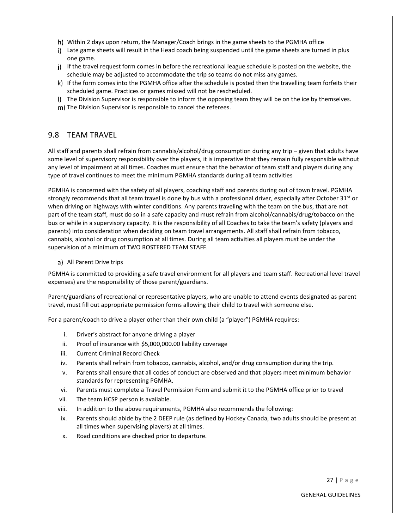- Within 2 days upon return, the Manager/Coach brings in the game sheets to the PGMHA office
- i) Late game sheets will result in the Head coach being suspended until the game sheets are turned in plus one game.
- j) If the travel request form comes in before the recreational league schedule is posted on the website, the schedule may be adjusted to accommodate the trip so teams do not miss any games.
- k) If the form comes into the PGMHA office after the schedule is posted then the travelling team forfeits their scheduled game. Practices or games missed will not be rescheduled.
- I) The Division Supervisor is responsible to inform the opposing team they will be on the ice by themselves.
- m) The Division Supervisor is responsible to cancel the referees.

#### <span id="page-30-0"></span>9.8 TEAM TRAVEL

All staff and parents shall refrain from cannabis/alcohol/drug consumption during any trip – given that adults have some level of supervisory responsibility over the players, it is imperative that they remain fully responsible without any level of impairment at all times. Coaches must ensure that the behavior of team staff and players during any type of travel continues to meet the minimum PGMHA standards during all team activities

PGMHA is concerned with the safety of all players, coaching staff and parents during out of town travel. PGMHA strongly recommends that all team travel is done by bus with a professional driver, especially after October 31<sup>st</sup> or when driving on highways with winter conditions. Any parents traveling with the team on the bus, that are not part of the team staff, must do so in a safe capacity and must refrain from alcohol/cannabis/drug/tobacco on the bus or while in a supervisory capacity. It is the responsibility of all Coaches to take the team's safety (players and parents) into consideration when deciding on team travel arrangements. All staff shall refrain from tobacco, cannabis, alcohol or drug consumption at all times. During all team activities all players must be under the supervision of a minimum of TWO ROSTERED TEAM STAFF.

a) All Parent Drive trips

PGMHA is committed to providing a safe travel environment for all players and team staff. Recreational level travel expenses) are the responsibility of those parent/guardians.

Parent/guardians of recreational or representative players, who are unable to attend events designated as parent travel, must fill out appropriate permission forms allowing their child to travel with someone else.

For a parent/coach to drive a player other than their own child (a "player") PGMHA requires:

- i. Driver's abstract for anyone driving a player
- ii. Proof of insurance with \$5,000,000.00 liability coverage
- iii. Current Criminal Record Check
- iv. Parents shall refrain from tobacco, cannabis, alcohol, and/or drug consumption during the trip.
- v. Parents shall ensure that all codes of conduct are observed and that players meet minimum behavior standards for representing PGMHA.
- vi. Parents must complete a Travel Permission Form and submit it to the PGMHA office prior to travel
- vii. The team HCSP person is available.
- viii. In addition to the above requirements, PGMHA also recommends the following:
- ix. Parents should abide by the 2 DEEP rule (as defined by Hockey Canada, two adults should be present at all times when supervising players) at all times.
- x. Road conditions are checked prior to departure.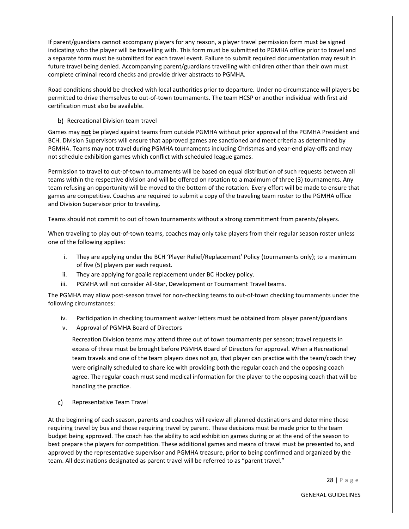If parent/guardians cannot accompany players for any reason, a player travel permission form must be signed indicating who the player will be travelling with. This form must be submitted to PGMHA office prior to travel and a separate form must be submitted for each travel event. Failure to submit required documentation may result in future travel being denied. Accompanying parent/guardians travelling with children other than their own must complete criminal record checks and provide driver abstracts to PGMHA.

Road conditions should be checked with local authorities prior to departure. Under no circumstance will players be permitted to drive themselves to out-of-town tournaments. The team HCSP or another individual with first aid certification must also be available.

b) Recreational Division team travel

Games may **not** be played against teams from outside PGMHA without prior approval of the PGMHA President and BCH. Division Supervisors will ensure that approved games are sanctioned and meet criteria as determined by PGMHA. Teams may not travel during PGMHA tournaments including Christmas and year-end play-offs and may not schedule exhibition games which conflict with scheduled league games.

Permission to travel to out-of-town tournaments will be based on equal distribution of such requests between all teams within the respective division and will be offered on rotation to a maximum of three (3) tournaments. Any team refusing an opportunity will be moved to the bottom of the rotation. Every effort will be made to ensure that games are competitive. Coaches are required to submit a copy of the traveling team roster to the PGMHA office and Division Supervisor prior to traveling.

Teams should not commit to out of town tournaments without a strong commitment from parents/players.

When traveling to play out-of-town teams, coaches may only take players from their regular season roster unless one of the following applies:

- i. They are applying under the BCH 'Player Relief/Replacement' Policy (tournaments only); to a maximum of five (5) players per each request.
- ii. They are applying for goalie replacement under BC Hockey policy.
- iii. PGMHA will not consider All-Star, Development or Tournament Travel teams.

The PGMHA may allow post-season travel for non-checking teams to out-of-town checking tournaments under the following circumstances:

- iv. Participation in checking tournament waiver letters must be obtained from player parent/guardians
- v. Approval of PGMHA Board of Directors

Recreation Division teams may attend three out of town tournaments per season; travel requests in excess of three must be brought before PGMHA Board of Directors for approval. When a Recreational team travels and one of the team players does not go, that player can practice with the team/coach they were originally scheduled to share ice with providing both the regular coach and the opposing coach agree. The regular coach must send medical information for the player to the opposing coach that will be handling the practice.

 $\mathsf{c}$ ). Representative Team Travel

At the beginning of each season, parents and coaches will review all planned destinations and determine those requiring travel by bus and those requiring travel by parent. These decisions must be made prior to the team budget being approved. The coach has the ability to add exhibition games during or at the end of the season to best prepare the players for competition. These additional games and means of travel must be presented to, and approved by the representative supervisor and PGMHA treasure, prior to being confirmed and organized by the team. All destinations designated as parent travel will be referred to as "parent travel."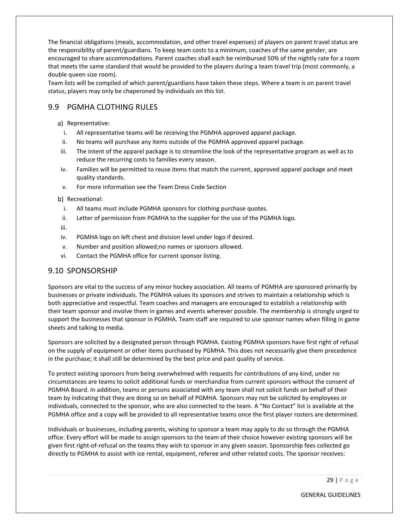The financial obligations (meals, accommodation, and other travel expenses) of players on parent travel status are the responsibility of parent/guardians. To keep team costs to a minimum, coaches of the same gender, are encouraged to share accommodations. Parent coaches shall each be reimbursed 50% of the nightly rate for a room that meets the same standard that would be provided to the players during a team travel trip (most commonly, a double queen size room).

Team lists will be compiled of which parent/guardians have taken these steps. Where a team is on parent travel status, players may only be chaperoned by individuals on this list.

# <span id="page-32-0"></span>9.9 PGMHA CLOTHING RULES

- a) Representative:
	- i. All representative teams will be receiving the PGMHA approved apparel package.
- ii. No teams will purchase any items outside of the PGMHA approved apparel package.
- iii. The intent of the apparel package is to streamline the look of the representative program as well as to reduce the recurring costs to families every season.
- iv. Families will be permitted to reuse items that match the current, approved apparel package and meet quality standards.
- v. For more information see the Team Dress Code Section

b) Recreational:

- i. All teams must include PGMHA sponsors for clothing purchase quotes.
- ii. Letter of permission from PGMHA to the supplier for the use of the PGMHA logo.

iii.

- iv. PGMHA logo on left chest and division level under logo if desired.
- v. Number and position allowed;no names or sponsors allowed.
- vi. Contact the PGMHA office for current sponsor listing.

#### <span id="page-32-1"></span>9.10 SPONSORSHIP

Sponsors are vital to the success of any minor hockey association. All teams of PGMHA are sponsored primarily by businesses or private individuals. The PGMHA values its sponsors and strives to maintain a relationship which is both appreciative and respectful. Team coaches and managers are encouraged to establish a relationship with their team sponsor and involve them in games and events wherever possible. The membership is strongly urged to support the businesses that sponsor in PGMHA. Team staff are required to use sponsor names when filling in game sheets and talking to media.

Sponsors are solicited by a designated person through PGMHA. Existing PGMHA sponsors have first right of refusal on the supply of equipment or other items purchased by PGMHA. This does not necessarily give them precedence in the purchase; it shall still be determined by the best price and past quality of service.

To protect existing sponsors from being overwhelmed with requests for contributions of any kind, under no circumstances are teams to solicit additional funds or merchandise from current sponsors without the consent of PGMHA Board. In addition, teams or persons associated with any team shall not solicit funds on behalf of their team by indicating that they are doing so on behalf of PGMHA. Sponsors may not be solicited by employees or individuals, connected to the sponsor, who are also connected to the team. A "No Contact" list is available at the PGMHA office and a copy will be provided to all representative teams once the first player rosters are determined.

Individuals or businesses, including parents, wishing to sponsor a team may apply to do so through the PGMHA office. Every effort will be made to assign sponsors to the team of their choice however existing sponsors will be given first right-of-refusal on the teams they wish to sponsor in any given season. Sponsorship fees collected go directly to PGMHA to assist with ice rental, equipment, referee and other related costs. The sponsor receives: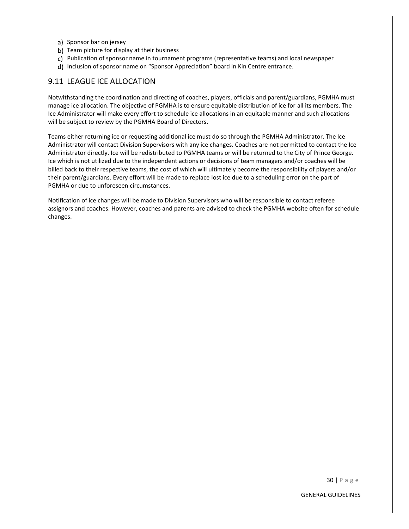- a) Sponsor bar on jersey
- b) Team picture for display at their business
- c) Publication of sponsor name in tournament programs (representative teams) and local newspaper
- d) Inclusion of sponsor name on "Sponsor Appreciation" board in Kin Centre entrance.

#### <span id="page-33-0"></span>9.11 LEAGUE ICE ALLOCATION

Notwithstanding the coordination and directing of coaches, players, officials and parent/guardians, PGMHA must manage ice allocation. The objective of PGMHA is to ensure equitable distribution of ice for all its members. The Ice Administrator will make every effort to schedule ice allocations in an equitable manner and such allocations will be subject to review by the PGMHA Board of Directors.

Teams either returning ice or requesting additional ice must do so through the PGMHA Administrator. The Ice Administrator will contact Division Supervisors with any ice changes. Coaches are not permitted to contact the Ice Administrator directly. Ice will be redistributed to PGMHA teams or will be returned to the City of Prince George. Ice which is not utilized due to the independent actions or decisions of team managers and/or coaches will be billed back to their respective teams, the cost of which will ultimately become the responsibility of players and/or their parent/guardians. Every effort will be made to replace lost ice due to a scheduling error on the part of PGMHA or due to unforeseen circumstances.

Notification of ice changes will be made to Division Supervisors who will be responsible to contact referee assignors and coaches. However, coaches and parents are advised to check the PGMHA website often for schedule changes.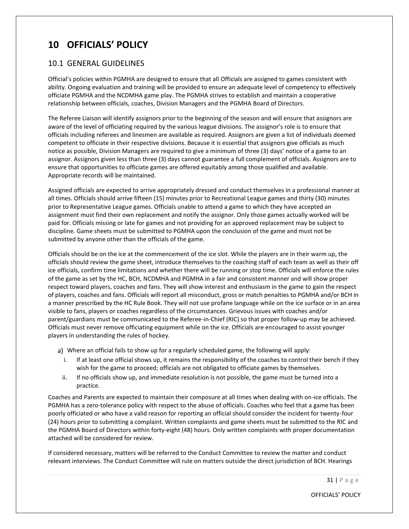# <span id="page-34-0"></span>**10 OFFICIALS' POLICY**

#### <span id="page-34-1"></span>10.1 GENERAL GUIDELINES

Official's policies within PGMHA are designed to ensure that all Officials are assigned to games consistent with ability. Ongoing evaluation and training will be provided to ensure an adequate level of competency to effectively officiate PGMHA and the NCDMHA game play. The PGMHA strives to establish and maintain a cooperative relationship between officials, coaches, Division Managers and the PGMHA Board of Directors.

The Referee Liaison will identify assignors prior to the beginning of the season and will ensure that assignors are aware of the level of officiating required by the various league divisions. The assignor's role is to ensure that officials including referees and linesmen are available as required. Assignors are given a list of individuals deemed competent to officiate in their respective divisions. Because it is essential that assignors give officials as much notice as possible, Division Managers are required to give a minimum of three (3) days' notice of a game to an assignor. Assignors given less than three (3) days cannot guarantee a full complement of officials. Assignors are to ensure that opportunities to officiate games are offered equitably among those qualified and available. Appropriate records will be maintained.

Assigned officials are expected to arrive appropriately dressed and conduct themselves in a professional manner at all times. Officials should arrive fifteen (15) minutes prior to Recreational League games and thirty (30) minutes prior to Representative League games. Officials unable to attend a game to which they have accepted an assignment must find their own replacement and notify the assignor. Only those games actually worked will be paid for. Officials missing or late for games and not providing for an approved replacement may be subject to discipline. Game sheets must be submitted to PGMHA upon the conclusion of the game and must not be submitted by anyone other than the officials of the game.

Officials should be on the ice at the commencement of the ice slot. While the players are in their warm up, the officials should review the game sheet, introduce themselves to the coaching staff of each team as well as their off ice officials, confirm time limitations and whether there will be running or stop time. Officials will enforce the rules of the game as set by the HC, BCH, NCDMHA and PGMHA in a fair and consistent manner and will show proper respect toward players, coaches and fans. They will show interest and enthusiasm in the game to gain the respect of players, coaches and fans. Officials will report all misconduct, gross or match penalties to PGMHA and/or BCH in a manner prescribed by the HC Rule Book. They will not use profane language while on the ice surface or in an area visible to fans, players or coaches regardless of the circumstances. Grievous issues with coaches and/or parent/guardians must be communicated to the Referee-in-Chief (RIC) so that proper follow-up may be achieved. Officials must never remove officiating equipment while on the ice. Officials are encouraged to assist younger players in understanding the rules of hockey.

- Where an official fails to show up for a regularly scheduled game, the following will apply:
	- i. If at least one official shows up, it remains the responsibility of the coaches to control their bench if they wish for the game to proceed; officials are not obligated to officiate games by themselves.
	- ii. If no officials show up, and immediate resolution is not possible, the game must be turned into a practice.

Coaches and Parents are expected to maintain their composure at all times when dealing with on-ice officials. The PGMHA has a zero-tolerance policy with respect to the abuse of officials. Coaches who feel that a game has been poorly officiated or who have a valid reason for reporting an official should consider the incident for twenty-four (24) hours prior to submitting a complaint. Written complaints and game sheets must be submitted to the RIC and the PGMHA Board of Directors within forty-eight (48) hours. Only written complaints with proper documentation attached will be considered for review.

If considered necessary, matters will be referred to the Conduct Committee to review the matter and conduct relevant interviews. The Conduct Committee will rule on matters outside the direct jurisdiction of BCH. Hearings

31 | P a g e

OFFICIALS' POLICY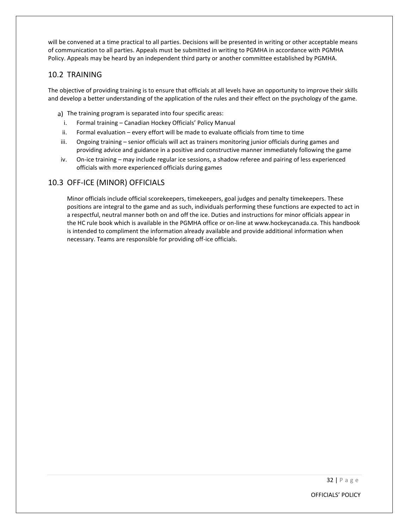will be convened at a time practical to all parties. Decisions will be presented in writing or other acceptable means of communication to all parties. Appeals must be submitted in writing to PGMHA in accordance with PGMHA Policy. Appeals may be heard by an independent third party or another committee established by PGMHA.

#### <span id="page-35-0"></span>10.2 TRAINING

The objective of providing training is to ensure that officials at all levels have an opportunity to improve their skills and develop a better understanding of the application of the rules and their effect on the psychology of the game.

- a) The training program is separated into four specific areas:
- i. Formal training Canadian Hockey Officials' Policy Manual
- ii. Formal evaluation every effort will be made to evaluate officials from time to time
- iii. Ongoing training senior officials will act as trainers monitoring junior officials during games and providing advice and guidance in a positive and constructive manner immediately following the game
- iv. On-ice training may include regular ice sessions, a shadow referee and pairing of less experienced officials with more experienced officials during games

#### <span id="page-35-1"></span>10.3 OFF-ICE (MINOR) OFFICIALS

Minor officials include official scorekeepers, timekeepers, goal judges and penalty timekeepers. These positions are integral to the game and as such, individuals performing these functions are expected to act in a respectful, neutral manner both on and off the ice. Duties and instructions for minor officials appear in the HC rule book which is available in the PGMHA office or on-line at www.hockeycanada.ca. This handbook is intended to compliment the information already available and provide additional information when necessary. Teams are responsible for providing off-ice officials.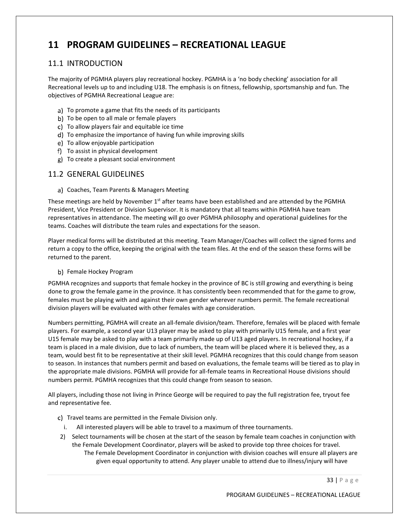# **11 PROGRAM GUIDELINES – RECREATIONAL LEAGUE**

# 11.1 INTRODUCTION

The majority of PGMHA players play recreational hockey. PGMHA is a 'no body checking' association for all Recreational levels up to and including U18. The emphasis is on fitness, fellowship, sportsmanship and fun. The objectives of PGMHA Recreational League are:

- a) To promote a game that fits the needs of its participants
- b) To be open to all male or female players
- To allow players fair and equitable ice time
- To emphasize the importance of having fun while improving skills
- To allow enjoyable participation
- To assist in physical development
- To create a pleasant social environment

# 11.2 GENERAL GUIDELINES

Coaches, Team Parents & Managers Meeting

These meetings are held by November 1<sup>st</sup> after teams have been established and are attended by the PGMHA President, Vice President or Division Supervisor. It is mandatory that all teams within PGMHA have team representatives in attendance. The meeting will go over PGMHA philosophy and operational guidelines for the teams. Coaches will distribute the team rules and expectations for the season.

Player medical forms will be distributed at this meeting. Team Manager/Coaches will collect the signed forms and return a copy to the office, keeping the original with the team files. At the end of the season these forms will be returned to the parent.

b) Female Hockey Program

PGMHA recognizes and supports that female hockey in the province of BC is still growing and everything is being done to grow the female game in the province. It has consistently been recommended that for the game to grow, females must be playing with and against their own gender wherever numbers permit. The female recreational division players will be evaluated with other females with age consideration.

Numbers permitting, PGMHA will create an all-female division/team. Therefore, females will be placed with female players. For example, a second year U13 player may be asked to play with primarily U15 female, and a first year U15 female may be asked to play with a team primarily made up of U13 aged players. In recreational hockey, if a team is placed in a male division, due to lack of numbers, the team will be placed where it is believed they, as a team, would best fit to be representative at their skill level. PGMHA recognizes that this could change from season to season. In instances that numbers permit and based on evaluations, the female teams will be tiered as to play in the appropriate male divisions. PGMHA will provide for all-female teams in Recreational House divisions should numbers permit. PGMHA recognizes that this could change from season to season.

All players, including those not living in Prince George will be required to pay the full registration fee, tryout fee and representative fee.

- c) Travel teams are permitted in the Female Division only.
- i. All interested players will be able to travel to a maximum of three tournaments.
- 2) Select tournaments will be chosen at the start of the season by female team coaches in conjunction with the Female Development Coordinator, players will be asked to provide top three choices for travel. The Female Development Coordinator in conjunction with division coaches will ensure all players are given equal opportunity to attend. Any player unable to attend due to illness/injury will have

33 | P a g e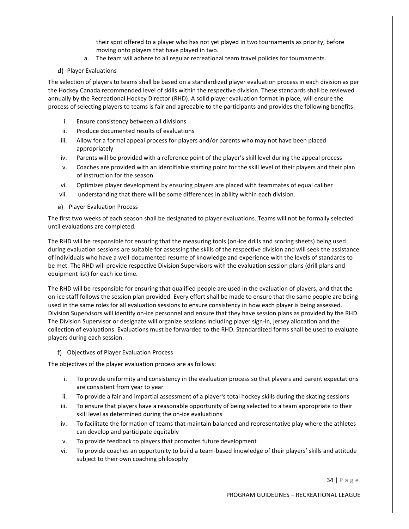their spot offered to a player who has not yet played in two tournaments as priority, before moving onto players that have played in two.

- a. The team will adhere to all regular recreational team travel policies for tournaments.
- d) Player Evaluations

The selection of players to teams shall be based on a standardized player evaluation process in each division as per the Hockey Canada recommended level of skills within the respective division. These standards shall be reviewed annually by the Recreational Hockey Director (RHD). A solid player evaluation format in place, will ensure the process of selecting players to teams is fair and agreeable to the participants and provides the following benefits:

- i. Ensure consistency between all divisions
- ii. Produce documented results of evaluations
- iii. Allow for a formal appeal process for players and/or parents who may not have been placed appropriately
- iv. Parents will be provided with a reference point of the player's skill level during the appeal process
- v. Coaches are provided with an identifiable starting point for the skill level of their players and their plan of instruction for the season
- vi. Optimizes player development by ensuring players are placed with teammates of equal caliber
- vii. understanding that there will be some differences in ability within each division.
- e) Player Evaluation Process

The first two weeks of each season shall be designated to player evaluations. Teams will not be formally selected until evaluations are completed.

The RHD will be responsible for ensuring that the measuring tools (on-ice drills and scoring sheets) being used during evaluation sessions are suitable for assessing the skills of the respective division and will seek the assistance of individuals who have a well-documented resume of knowledge and experience with the levels of standards to be met. The RHD will provide respective Division Supervisors with the evaluation session plans (drill plans and equipment list) for each ice time.

The RHD will be responsible for ensuring that qualified people are used in the evaluation of players, and that the on-ice staff follows the session plan provided. Every effort shall be made to ensure that the same people are being used in the same roles for all evaluation sessions to ensure consistency in how each player is being assessed. Division Supervisors will identify on-ice personnel and ensure that they have session plans as provided by the RHD. The Division Supervisor or designate will organize sessions including player sign-in, jersey allocation and the collection of evaluations. Evaluations must be forwarded to the RHD. Standardized forms shall be used to evaluate players during each session.

Objectives of Player Evaluation Process

The objectives of the player evaluation process are as follows:

- i. To provide uniformity and consistency in the evaluation process so that players and parent expectations are consistent from year to year
- ii. To provide a fair and impartial assessment of a player's total hockey skills during the skating sessions
- iii. To ensure that players have a reasonable opportunity of being selected to a team appropriate to their skill level as determined during the on-ice evaluations
- iv. To facilitate the formation of teams that maintain balanced and representative play where the athletes can develop and participate equitably
- v. To provide feedback to players that promotes future development
- vi. To provide coaches an opportunity to build a team-based knowledge of their players' skills and attitude subject to their own coaching philosophy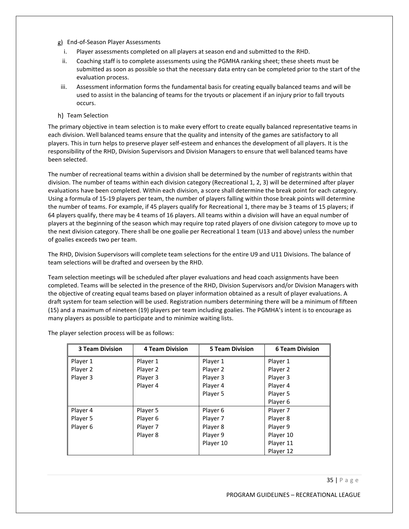- End-of-Season Player Assessments
	- i. Player assessments completed on all players at season end and submitted to the RHD.
	- ii. Coaching staff is to complete assessments using the PGMHA ranking sheet; these sheets must be submitted as soon as possible so that the necessary data entry can be completed prior to the start of the evaluation process.
- iii. Assessment information forms the fundamental basis for creating equally balanced teams and will be used to assist in the balancing of teams for the tryouts or placement if an injury prior to fall tryouts occurs.
- h) Team Selection

The primary objective in team selection is to make every effort to create equally balanced representative teams in each division. Well balanced teams ensure that the quality and intensity of the games are satisfactory to all players. This in turn helps to preserve player self-esteem and enhances the development of all players. It is the responsibility of the RHD, Division Supervisors and Division Managers to ensure that well balanced teams have been selected.

The number of recreational teams within a division shall be determined by the number of registrants within that division. The number of teams within each division category (Recreational 1, 2, 3) will be determined after player evaluations have been completed. Within each division, a score shall determine the break point for each category. Using a formula of 15-19 players per team, the number of players falling within those break points will determine the number of teams. For example, if 45 players qualify for Recreational 1, there may be 3 teams of 15 players; if 64 players qualify, there may be 4 teams of 16 players. All teams within a division will have an equal number of players at the beginning of the season which may require top rated players of one division category to move up to the next division category. There shall be one goalie per Recreational 1 team (U13 and above) unless the number of goalies exceeds two per team.

The RHD, Division Supervisors will complete team selections for the entire U9 and U11 Divisions. The balance of team selections will be drafted and overseen by the RHD.

Team selection meetings will be scheduled after player evaluations and head coach assignments have been completed. Teams will be selected in the presence of the RHD, Division Supervisors and/or Division Managers with the objective of creating equal teams based on player information obtained as a result of player evaluations. A draft system for team selection will be used. Registration numbers determining there will be a minimum of fifteen (15) and a maximum of nineteen (19) players per team including goalies. The PGMHA's intent is to encourage as many players as possible to participate and to minimize waiting lists.

| <b>3 Team Division</b> | <b>4 Team Division</b> | <b>5 Team Division</b> | <b>6 Team Division</b> |
|------------------------|------------------------|------------------------|------------------------|
| Player 1               | Player 1               | Player 1               | Player 1               |
| Player 2               | Player 2               | Player 2               | Player 2               |
| Player 3               | Player 3               | Player 3               | Player 3               |
|                        | Player 4               | Player 4               | Player 4               |
|                        |                        | Player 5               | Player 5               |
|                        |                        |                        | Player 6               |
| Player 4               | Player 5               | Player 6               | Player 7               |
| Player 5               | Player 6               | Player 7               | Player 8               |
| Player 6               | Player 7               | Player 8               | Player 9               |
|                        | Player 8               | Player 9               | Player 10              |
|                        |                        | Player 10              | Player 11              |
|                        |                        |                        | Player 12              |

The player selection process will be as follows: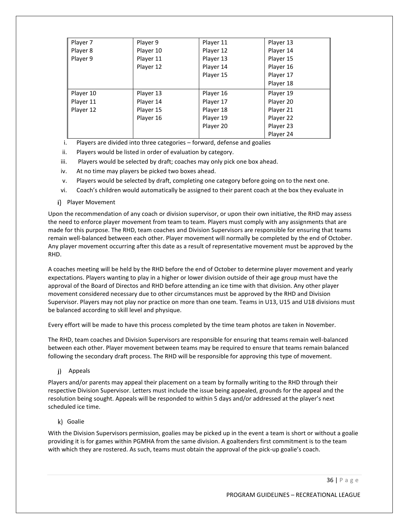| Player 7  | Player 9  | Player 11 | Player 13 |
|-----------|-----------|-----------|-----------|
| Player 8  | Player 10 | Player 12 | Player 14 |
| Player 9  | Player 11 | Player 13 | Player 15 |
|           | Player 12 | Player 14 | Player 16 |
|           |           | Player 15 | Player 17 |
|           |           |           | Player 18 |
| Player 10 | Player 13 | Player 16 | Player 19 |
| Player 11 | Player 14 | Player 17 | Player 20 |
| Player 12 | Player 15 | Player 18 | Player 21 |
|           | Player 16 | Player 19 | Player 22 |
|           |           | Player 20 | Player 23 |
|           |           |           | Player 24 |

i. Players are divided into three categories – forward, defense and goalies

ii. Players would be listed in order of evaluation by category.

- iii. Players would be selected by draft; coaches may only pick one box ahead.
- iv. At no time may players be picked two boxes ahead.
- v. Players would be selected by draft, completing one category before going on to the next one.
- vi. Coach's children would automatically be assigned to their parent coach at the box they evaluate in
- i) Player Movement

Upon the recommendation of any coach or division supervisor, or upon their own initiative, the RHD may assess the need to enforce player movement from team to team. Players must comply with any assignments that are made for this purpose. The RHD, team coaches and Division Supervisors are responsible for ensuring that teams remain well-balanced between each other. Player movement will normally be completed by the end of October. Any player movement occurring after this date as a result of representative movement must be approved by the RHD.

A coaches meeting will be held by the RHD before the end of October to determine player movement and yearly expectations. Players wanting to play in a higher or lower division outside of their age group must have the approval of the Board of Directos and RHD before attending an ice time with that division. Any other player movement considered necessary due to other circumstances must be approved by the RHD and Division Supervisor. Players may not play nor practice on more than one team. Teams in U13, U15 and U18 divisions must be balanced according to skill level and physique.

Every effort will be made to have this process completed by the time team photos are taken in November.

The RHD, team coaches and Division Supervisors are responsible for ensuring that teams remain well-balanced between each other. Player movement between teams may be required to ensure that teams remain balanced following the secondary draft process. The RHD will be responsible for approving this type of movement.

j) Appeals

Players and/or parents may appeal their placement on a team by formally writing to the RHD through their respective Division Supervisor. Letters must include the issue being appealed, grounds for the appeal and the resolution being sought. Appeals will be responded to within 5 days and/or addressed at the player's next scheduled ice time.

### k) Goalie

With the Division Supervisors permission, goalies may be picked up in the event a team is short or without a goalie providing it is for games within PGMHA from the same division. A goaltenders first commitment is to the team with which they are rostered. As such, teams must obtain the approval of the pick-up goalie's coach.

36 | P a g e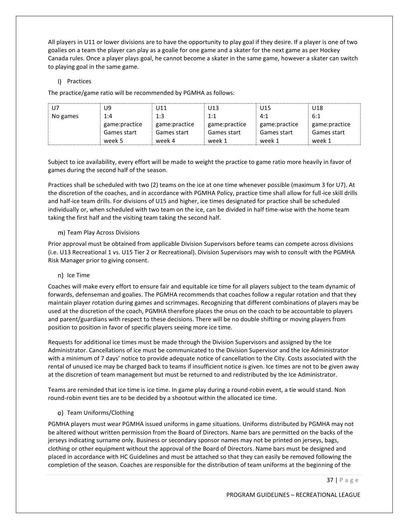All players in U11 or lower divisions are to have the opportunity to play goal if they desire. If a player is one of two goalies on a team the player can play as a goalie for one game and a skater for the next game as per Hockey Canada rules. Once a player plays goal, he cannot become a skater in the same game, however a skater can switch to playing goal in the same game.

### I) Practices

The practice/game ratio will be recommended by PGMHA as follows:

| U7.      | U9            | U11           | U13           | U15           | U18           |
|----------|---------------|---------------|---------------|---------------|---------------|
| No games | 1:4           | 1:3           | 1:1           | 4:1           | 6:1           |
|          | game:practice | game:practice | game:practice | game:practice | game:practice |
|          | Games start   | Games start   | Games start   | Games start   | Games start   |
|          | week 5        | week 4        | week 1        | week 1        | week 1        |

Subject to ice availability, every effort will be made to weight the practice to game ratio more heavily in favor of games during the second half of the season.

Practices shall be scheduled with two (2) teams on the ice at one time whenever possible (maximum 3 for U7). At the discretion of the coaches, and in accordance with PGMHA Policy, practice time shall allow for full-ice skill drills and half-ice team drills. For divisions of U15 and higher, ice times designated for practice shall be scheduled individually or, when scheduled with two team on the ice, can be divided in half time-wise with the home team taking the first half and the visiting team taking the second half.

### m) Team Play Across Divisions

Prior approval must be obtained from applicable Division Supervisors before teams can compete across divisions (i.e. U13 Recreational 1 vs. U15 Tier 2 or Recreational). Division Supervisors may wish to consult with the PGMHA Risk Manager prior to giving consent.

### n) Ice Time

Coaches will make every effort to ensure fair and equitable ice time for all players subject to the team dynamic of forwards, defenseman and goalies. The PGMHA recommends that coaches follow a regular rotation and that they maintain player rotation during games and scrimmages. Recognizing that different combinations of players may be used at the discretion of the coach, PGMHA therefore places the onus on the coach to be accountable to players and parent/guardians with respect to these decisions. There will be no double shifting or moving players from position to position in favor of specific players seeing more ice time.

Requests for additional ice times must be made through the Division Supervisors and assigned by the Ice Administrator. Cancellations of ice must be communicated to the Division Supervisor and the Ice Administrator with a minimum of 7 days' notice to provide adequate notice of cancellation to the City. Costs associated with the rental of unused ice may be charged back to teams if insufficient notice is given. Ice times are not to be given away at the discretion of team management but must be returned to and redistributed by the Ice Administrator.

Teams are reminded that ice time is ice time. In game play during a round-robin event, a tie would stand. Non round-robin event ties are to be decided by a shootout within the allocated ice time.

### Team Uniforms/Clothing

PGMHA players must wear PGMHA issued uniforms in game situations. Uniforms distributed by PGMHA may not be altered without written permission from the Board of Directors. Name bars are permitted on the backs of the jerseys indicating surname only. Business or secondary sponsor names may not be printed on jerseys, bags, clothing or other equipment without the approval of the Board of Directors. Name bars must be designed and placed in accordance with HC Guidelines and must be attached so that they can easily be removed following the completion of the season. Coaches are responsible for the distribution of team uniforms at the beginning of the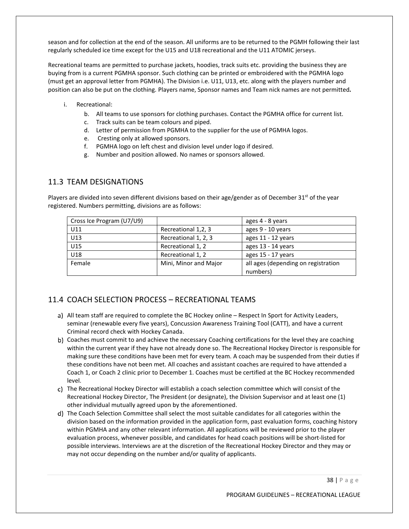season and for collection at the end of the season. All uniforms are to be returned to the PGMH following their last regularly scheduled ice time except for the U15 and U18 recreational and the U11 ATOMIC jerseys.

Recreational teams are permitted to purchase jackets, hoodies, track suits etc. providing the business they are buying from is a current PGMHA sponsor. Such clothing can be printed or embroidered with the PGMHA logo (must get an approval letter from PGMHA). The Division i.e. U11, U13, etc. along with the players number and position can also be put on the clothing. Players name, Sponsor names and Team nick names are not permitted*.*

- i. Recreational:
	- b. All teams to use sponsors for clothing purchases. Contact the PGMHA office for current list.
	- c. Track suits can be team colours and piped.
	- d. Letter of permission from PGMHA to the supplier for the use of PGMHA logos.
	- e. Cresting only at allowed sponsors.
	- f. PGMHA logo on left chest and division level under logo if desired.
	- g. Number and position allowed. No names or sponsors allowed.

# 11.3 TEAM DESIGNATIONS

Players are divided into seven different divisions based on their age/gender as of December 31<sup>st</sup> of the year registered. Numbers permitting, divisions are as follows:

| Cross Ice Program (U7/U9) |                       | ages 4 - 8 years                    |
|---------------------------|-----------------------|-------------------------------------|
| U11                       | Recreational 1,2, 3   | ages 9 - 10 years                   |
| U13                       | Recreational 1, 2, 3  | ages 11 - 12 years                  |
| U15                       | Recreational 1, 2     | ages 13 - 14 years                  |
| U18                       | Recreational 1, 2     | ages 15 - 17 years                  |
| Female                    | Mini, Minor and Major | all ages (depending on registration |
|                           |                       | numbers)                            |

# 11.4 COACH SELECTION PROCESS – RECREATIONAL TEAMS

- a) All team staff are required to complete the BC Hockey online Respect In Sport for Activity Leaders, seminar (renewable every five years), Concussion Awareness Training Tool (CATT), and have a current Criminal record check with Hockey Canada.
- Coaches must commit to and achieve the necessary Coaching certifications for the level they are coaching within the current year if they have not already done so. The Recreational Hockey Director is responsible for making sure these conditions have been met for every team. A coach may be suspended from their duties if these conditions have not been met. All coaches and assistant coaches are required to have attended a Coach 1, or Coach 2 clinic prior to December 1. Coaches must be certified at the BC Hockey recommended level.
- c) The Recreational Hockey Director will establish a coach selection committee which will consist of the Recreational Hockey Director, The President (or designate), the Division Supervisor and at least one (1) other individual mutually agreed upon by the aforementioned.
- d) The Coach Selection Committee shall select the most suitable candidates for all categories within the division based on the information provided in the application form, past evaluation forms, coaching history within PGMHA and any other relevant information. All applications will be reviewed prior to the player evaluation process, whenever possible, and candidates for head coach positions will be short-listed for possible interviews. Interviews are at the discretion of the Recreational Hockey Director and they may or may not occur depending on the number and/or quality of applicants.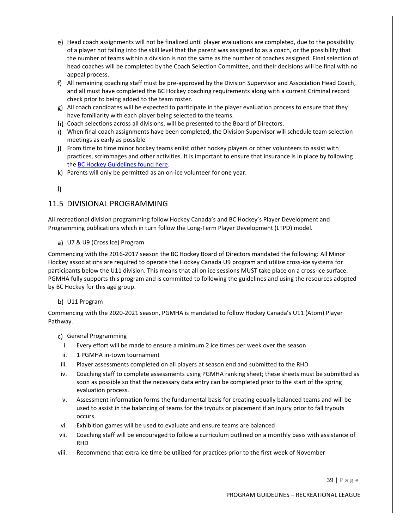- e) Head coach assignments will not be finalized until player evaluations are completed, due to the possibility of a player not falling into the skill level that the parent was assigned to as a coach, or the possibility that the number of teams within a division is not the same as the number of coaches assigned. Final selection of head coaches will be completed by the Coach Selection Committee, and their decisions will be final with no appeal process.
- f) All remaining coaching staff must be pre-approved by the Division Supervisor and Association Head Coach, and all must have completed the BC Hockey coaching requirements along with a current Criminal record check prior to being added to the team roster.
- g) All coach candidates will be expected to participate in the player evaluation process to ensure that they have familiarity with each player being selected to the teams.
- Coach selections across all divisions, will be presented to the Board of Directors.
- When final coach assignments have been completed, the Division Supervisor will schedule team selection meetings as early as possible
- j) From time to time minor hockey teams enlist other hockey players or other volunteers to assist with practices, scrimmages and other activities. It is important to ensure that insurance is in place by following th[e BC Hockey Guidelines found here.](https://www.bchockey.net/Files/On%20Ice%20Helper%20Chart%20Update%202020-11-18.pdf)
- Parents will only be permitted as an on-ice volunteer for one year.
- $\mathbf{D}$

# 11.5 DIVISIONAL PROGRAMMING

All recreational division programming follow Hockey Canada's and BC Hockey's Player Development and Programming publications which in turn follow the Long-Term Player Development (LTPD) model.

### U7 & U9 (Cross Ice) Program

Commencing with the 2016-2017 season the BC Hockey Board of Directors mandated the following: All Minor Hockey associations are required to operate the Hockey Canada U9 program and utilize cross-ice systems for participants below the U11 division. This means that all on ice sessions MUST take place on a cross-ice surface. PGMHA fully supports this program and is committed to following the guidelines and using the resources adopted by BC Hockey for this age group.

### b) U11 Program

Commencing with the 2020-2021 season, PGMHA is mandated to follow Hockey Canada's U11 (Atom) Player Pathway.

- c) General Programming
	- i. Every effort will be made to ensure a minimum 2 ice times per week over the season
- ii. 1 PGMHA in-town tournament
- iii. Player assessments completed on all players at season end and submitted to the RHD
- iv. Coaching staff to complete assessments using PGMHA ranking sheet; these sheets must be submitted as soon as possible so that the necessary data entry can be completed prior to the start of the spring evaluation process.
- v. Assessment information forms the fundamental basis for creating equally balanced teams and will be used to assist in the balancing of teams for the tryouts or placement if an injury prior to fall tryouts occurs.
- vi. Exhibition games will be used to evaluate and ensure teams are balanced
- vii. Coaching staff will be encouraged to follow a curriculum outlined on a monthly basis with assistance of RHD
- viii. Recommend that extra ice time be utilized for practices prior to the first week of November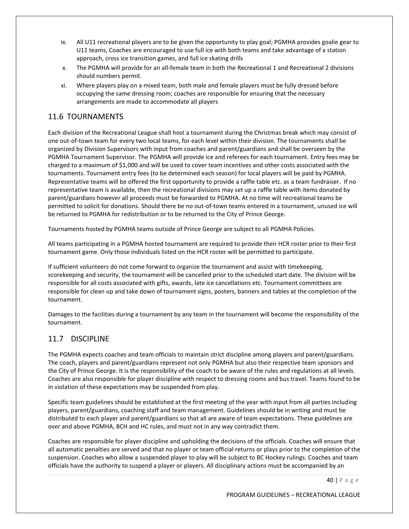- ix. All U11 recreational players are to be given the opportunity to play goal; PGMHA provides goalie gear to U11 teams, Coaches are encouraged to use full ice with both teams and take advantage of a station approach, cross ice transition games, and full ice skating drills
- x. The PGMHA will provide for an all-female team in both the Recreational 1 and Recreational 2 divisions should numbers permit.
- xi. Where players play on a mixed team, both male and female players must be fully dressed before occupying the same dressing room; coaches are responsible for ensuring that the necessary arrangements are made to accommodate all players

# 11.6 TOURNAMENTS

Each division of the Recreational League shall host a tournament during the Christmas break which may consist of one out-of-town team for every two local teams, for each level within their division. The tournaments shall be organized by Division Supervisors with input from coaches and parent/guardians and shall be overseen by the PGMHA Tournament Supervisor. The PGMHA will provide ice and referees for each tournament. Entry fees may be charged to a maximum of \$1,000 and will be used to cover team incentives and other costs associated with the tournaments. Tournament entry fees (to be determined each season) for local players will be paid by PGMHA. Representative teams will be offered the first opportunity to provide a raffle table etc. as a team fundraiser. If no representative team is available, then the recreational divisions may set up a raffle table with items donated by parent/guardians however all proceeds must be forwarded to PGMHA. At no time will recreational teams be permitted to solicit for donations. Should there be no out-of-town teams entered in a tournament, unused ice will be returned to PGMHA for redistribution or to be returned to the City of Prince George.

Tournaments hosted by PGMHA teams outside of Prince George are subject to all PGMHA Policies.

All teams participating in a PGMHA hosted tournament are required to provide their HCR roster prior to their first tournament game. Only those individuals listed on the HCR roster will be permitted to participate.

If sufficient volunteers do not come forward to organize the tournament and assist with timekeeping, scorekeeping and security, the tournament will be cancelled prior to the scheduled start date. The division will be responsible for all costs associated with gifts, awards, late ice cancellations etc. Tournament committees are responsible for clean up and take down of tournament signs, posters, banners and tables at the completion of the tournament.

Damages to the facilities during a tournament by any team in the tournament will become the responsibility of the tournament.

# 11.7 DISCIPLINE

The PGMHA expects coaches and team officials to maintain strict discipline among players and parent/guardians. The coach, players and parent/guardians represent not only PGMHA but also their respective team sponsors and the City of Prince George. It is the responsibility of the coach to be aware of the rules and regulations at all levels. Coaches are also responsible for player discipline with respect to dressing rooms and bus travel. Teams found to be in violation of these expectations may be suspended from play.

Specific team guidelines should be established at the first meeting of the year with input from all parties including players, parent/guardians, coaching staff and team management. Guidelines should be in writing and must be distributed to each player and parent/guardians so that all are aware of team expectations. These guidelines are over and above PGMHA, BCH and HC rules, and must not in any way contradict them.

Coaches are responsible for player discipline and upholding the decisions of the officials. Coaches will ensure that all automatic penalties are served and that no player or team official returns or plays prior to the completion of the suspension. Coaches who allow a suspended player to play will be subject to BC Hockey rulings. Coaches and team officials have the authority to suspend a player or players. All disciplinary actions must be accompanied by an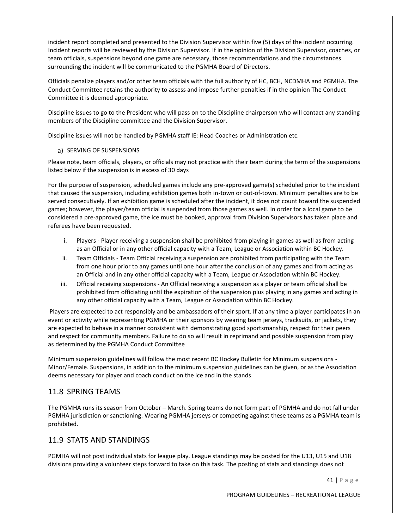incident report completed and presented to the Division Supervisor within five (5) days of the incident occurring. Incident reports will be reviewed by the Division Supervisor. If in the opinion of the Division Supervisor, coaches, or team officials, suspensions beyond one game are necessary, those recommendations and the circumstances surrounding the incident will be communicated to the PGMHA Board of Directors.

Officials penalize players and/or other team officials with the full authority of HC, BCH, NCDMHA and PGMHA. The Conduct Committee retains the authority to assess and impose further penalties if in the opinion The Conduct Committee it is deemed appropriate.

Discipline issues to go to the President who will pass on to the Discipline chairperson who will contact any standing members of the Discipline committee and the Division Supervisor.

Discipline issues will not be handled by PGMHA staff IE: Head Coaches or Administration etc.

### a) SERVING OF SUSPENSIONS

Please note, team officials, players, or officials may not practice with their team during the term of the suspensions listed below if the suspension is in excess of 30 days

For the purpose of suspension, scheduled games include any pre-approved game(s) scheduled prior to the incident that caused the suspension, including exhibition games both in-town or out-of-town. Minimum penalties are to be served consecutively. If an exhibition game is scheduled after the incident, it does not count toward the suspended games; however, the player/team official is suspended from those games as well. In order for a local game to be considered a pre-approved game, the ice must be booked, approval from Division Supervisors has taken place and referees have been requested.

- i. Players Player receiving a suspension shall be prohibited from playing in games as well as from acting as an Official or in any other official capacity with a Team, League or Association within BC Hockey.
- ii. Team Officials Team Official receiving a suspension are prohibited from participating with the Team from one hour prior to any games until one hour after the conclusion of any games and from acting as an Official and in any other official capacity with a Team, League or Association within BC Hockey.
- iii. Official receiving suspensions An Official receiving a suspension as a player or team official shall be prohibited from officiating until the expiration of the suspension plus playing in any games and acting in any other official capacity with a Team, League or Association within BC Hockey.

Players are expected to act responsibly and be ambassadors of their sport. If at any time a player participates in an event or activity while representing PGMHA or their sponsors by wearing team jerseys, tracksuits, or jackets, they are expected to behave in a manner consistent with demonstrating good sportsmanship, respect for their peers and respect for community members. Failure to do so will result in reprimand and possible suspension from play as determined by the PGMHA Conduct Committee

Minimum suspension guidelines will follow the most recent BC Hockey Bulletin for Minimum suspensions - Minor/Female. Suspensions, in addition to the minimum suspension guidelines can be given, or as the Association deems necessary for player and coach conduct on the ice and in the stands

# 11.8 SPRING TEAMS

The PGMHA runs its season from October – March. Spring teams do not form part of PGMHA and do not fall under PGMHA jurisdiction or sanctioning. Wearing PGMHA jerseys or competing against these teams as a PGMHA team is prohibited.

# 11.9 STATS AND STANDINGS

PGMHA will not post individual stats for league play. League standings may be posted for the U13, U15 and U18 divisions providing a volunteer steps forward to take on this task. The posting of stats and standings does not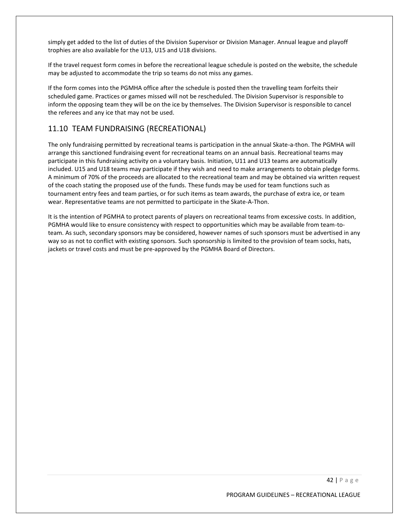simply get added to the list of duties of the Division Supervisor or Division Manager. Annual league and playoff trophies are also available for the U13, U15 and U18 divisions.

If the travel request form comes in before the recreational league schedule is posted on the website, the schedule may be adjusted to accommodate the trip so teams do not miss any games.

If the form comes into the PGMHA office after the schedule is posted then the travelling team forfeits their scheduled game. Practices or games missed will not be rescheduled. The Division Supervisor is responsible to inform the opposing team they will be on the ice by themselves. The Division Supervisor is responsible to cancel the referees and any ice that may not be used.

# 11.10 TEAM FUNDRAISING (RECREATIONAL)

The only fundraising permitted by recreational teams is participation in the annual Skate-a-thon. The PGMHA will arrange this sanctioned fundraising event for recreational teams on an annual basis. Recreational teams may participate in this fundraising activity on a voluntary basis. Initiation, U11 and U13 teams are automatically included. U15 and U18 teams may participate if they wish and need to make arrangements to obtain pledge forms. A minimum of 70% of the proceeds are allocated to the recreational team and may be obtained via written request of the coach stating the proposed use of the funds. These funds may be used for team functions such as tournament entry fees and team parties, or for such items as team awards, the purchase of extra ice, or team wear. Representative teams are not permitted to participate in the Skate-A-Thon.

It is the intention of PGMHA to protect parents of players on recreational teams from excessive costs. In addition, PGMHA would like to ensure consistency with respect to opportunities which may be available from team-toteam. As such, secondary sponsors may be considered, however names of such sponsors must be advertised in any way so as not to conflict with existing sponsors. Such sponsorship is limited to the provision of team socks, hats, jackets or travel costs and must be pre-approved by the PGMHA Board of Directors.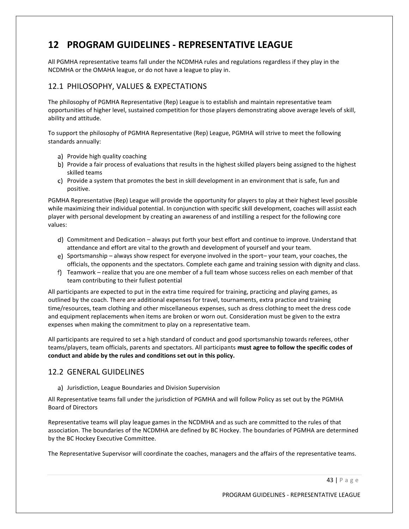# **12 PROGRAM GUIDELINES - REPRESENTATIVE LEAGUE**

All PGMHA representative teams fall under the NCDMHA rules and regulations regardless if they play in the NCDMHA or the OMAHA league, or do not have a league to play in.

# 12.1 PHILOSOPHY, VALUES & EXPECTATIONS

The philosophy of PGMHA Representative (Rep) League is to establish and maintain representative team opportunities of higher level, sustained competition for those players demonstrating above average levels of skill, ability and attitude.

To support the philosophy of PGMHA Representative (Rep) League, PGMHA will strive to meet the following standards annually:

- a) Provide high quality coaching
- b) Provide a fair process of evaluations that results in the highest skilled players being assigned to the highest skilled teams
- c) Provide a system that promotes the best in skill development in an environment that is safe, fun and positive.

PGMHA Representative (Rep) League will provide the opportunity for players to play at their highest level possible while maximizing their individual potential. In conjunction with specific skill development, coaches will assist each player with personal development by creating an awareness of and instilling a respect for the following core values:

- Commitment and Dedication always put forth your best effort and continue to improve. Understand that attendance and effort are vital to the growth and development of yourself and your team.
- e) Sportsmanship always show respect for everyone involved in the sport– your team, your coaches, the officials, the opponents and the spectators. Complete each game and training session with dignity and class.
- f) Teamwork realize that you are one member of a full team whose success relies on each member of that team contributing to their fullest potential

All participants are expected to put in the extra time required for training, practicing and playing games, as outlined by the coach. There are additional expenses for travel, tournaments, extra practice and training time/resources, team clothing and other miscellaneous expenses, such as dress clothing to meet the dress code and equipment replacements when items are broken or worn out. Consideration must be given to the extra expenses when making the commitment to play on a representative team.

All participants are required to set a high standard of conduct and good sportsmanship towards referees, other teams/players, team officials, parents and spectators. All participants **must agree to follow the specific codes of conduct and abide by the rules and conditions set out in this policy.**

# 12.2 GENERAL GUIDELINES

a) Jurisdiction, League Boundaries and Division Supervision

All Representative teams fall under the jurisdiction of PGMHA and will follow Policy as set out by the PGMHA Board of Directors

Representative teams will play league games in the NCDMHA and as such are committed to the rules of that association. The boundaries of the NCDMHA are defined by BC Hockey. The boundaries of PGMHA are determined by the BC Hockey Executive Committee.

The Representative Supervisor will coordinate the coaches, managers and the affairs of the representative teams.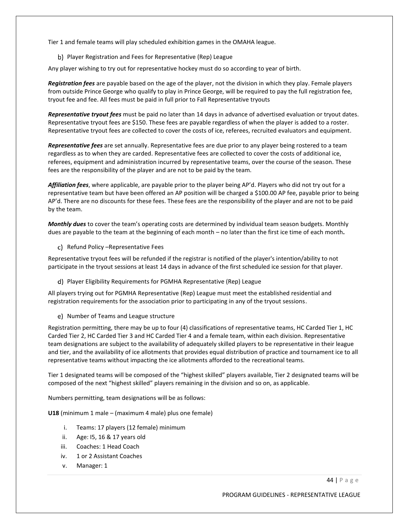Tier 1 and female teams will play scheduled exhibition games in the OMAHA league.

b) Player Registration and Fees for Representative (Rep) League

Any player wishing to try out for representative hockey must do so according to year of birth.

*Registration fees* are payable based on the age of the player, not the division in which they play. Female players from outside Prince George who qualify to play in Prince George, will be required to pay the full registration fee, tryout fee and fee. All fees must be paid in full prior to Fall Representative tryouts

*Representative tryout fees* must be paid no later than 14 days in advance of advertised evaluation or tryout dates. Representative tryout fees are \$150. These fees are payable regardless of when the player is added to a roster. Representative tryout fees are collected to cover the costs of ice, referees, recruited evaluators and equipment.

*Representative fees* are set annually. Representative fees are due prior to any player being rostered to a team regardless as to when they are carded. Representative fees are collected to cover the costs of additional ice, referees, equipment and administration incurred by representative teams, over the course of the season. These fees are the responsibility of the player and are not to be paid by the team.

*Affiliation fees*, where applicable, are payable prior to the player being AP'd. Players who did not try out for a representative team but have been offered an AP position will be charged a \$100.00 AP fee, payable prior to being AP'd. There are no discounts for these fees. These fees are the responsibility of the player and are not to be paid by the team.

*Monthly dues* to cover the team's operating costs are determined by individual team season budgets. Monthly dues are payable to the team at the beginning of each month – no later than the first ice time of each month**.**

c) Refund Policy –Representative Fees

Representative tryout fees will be refunded if the registrar is notified of the player's intention/ability to not participate in the tryout sessions at least 14 days in advance of the first scheduled ice session for that player.

Player Eligibility Requirements for PGMHA Representative (Rep) League

All players trying out for PGMHA Representative (Rep) League must meet the established residential and registration requirements for the association prior to participating in any of the tryout sessions.

e) Number of Teams and League structure

Registration permitting, there may be up to four (4) classifications of representative teams, HC Carded Tier 1, HC Carded Tier 2, HC Carded Tier 3 and HC Carded Tier 4 and a female team, within each division. Representative team designations are subject to the availability of adequately skilled players to be representative in their league and tier, and the availability of ice allotments that provides equal distribution of practice and tournament ice to all representative teams without impacting the ice allotments afforded to the recreational teams.

Tier 1 designated teams will be composed of the "highest skilled" players available, Tier 2 designated teams will be composed of the next "highest skilled" players remaining in the division and so on, as applicable.

Numbers permitting, team designations will be as follows:

**U18** (minimum 1 male – (maximum 4 male) plus one female)

- i. Teams: 17 players (12 female) minimum
- ii. Age: I5, 16 & 17 years old
- iii. Coaches: 1 Head Coach
- iv. 1 or 2 Assistant Coaches
- v. Manager: 1

44 | P a g e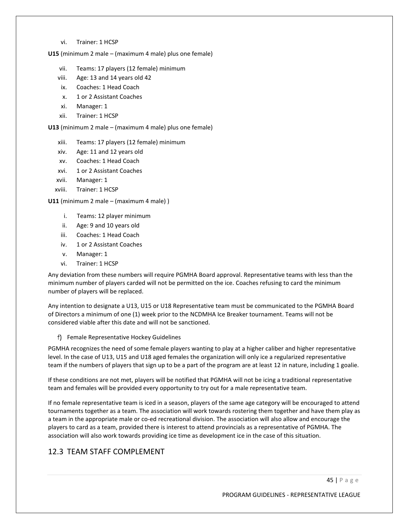vi. Trainer: 1 HCSP

**U15** (minimum 2 male – (maximum 4 male) plus one female)

- vii. Teams: 17 players (12 female) minimum
- viii. Age: 13 and 14 years old 42
- ix. Coaches: 1 Head Coach
- x. 1 or 2 Assistant Coaches
- xi. Manager: 1
- xii. Trainer: 1 HCSP

**U13** (minimum 2 male – (maximum 4 male) plus one female)

- xiii. Teams: 17 players (12 female) minimum
- xiv. Age: 11 and 12 years old
- xv. Coaches: 1 Head Coach
- xvi. 1 or 2 Assistant Coaches
- xvii. Manager: 1
- xviii. Trainer: 1 HCSP

**U11** (minimum 2 male – (maximum 4 male) )

- i. Teams: 12 player minimum
- ii. Age: 9 and 10 years old
- iii. Coaches: 1 Head Coach
- iv. 1 or 2 Assistant Coaches
- v. Manager: 1
- vi. Trainer: 1 HCSP

Any deviation from these numbers will require PGMHA Board approval. Representative teams with less than the minimum number of players carded will not be permitted on the ice. Coaches refusing to card the minimum number of players will be replaced.

Any intention to designate a U13, U15 or U18 Representative team must be communicated to the PGMHA Board of Directors a minimum of one (1) week prior to the NCDMHA Ice Breaker tournament. Teams will not be considered viable after this date and will not be sanctioned.

Female Representative Hockey Guidelines

PGMHA recognizes the need of some female players wanting to play at a higher caliber and higher representative level. In the case of U13, U15 and U18 aged females the organization will only ice a regularized representative team if the numbers of players that sign up to be a part of the program are at least 12 in nature, including 1 goalie.

If these conditions are not met, players will be notified that PGMHA will not be icing a traditional representative team and females will be provided every opportunity to try out for a male representative team.

If no female representative team is iced in a season, players of the same age category will be encouraged to attend tournaments together as a team. The association will work towards rostering them together and have them play as a team in the appropriate male or co-ed recreational division. The association will also allow and encourage the players to card as a team, provided there is interest to attend provincials as a representative of PGMHA. The association will also work towards providing ice time as development ice in the case of this situation.

# 12.3 TEAM STAFF COMPLEMENT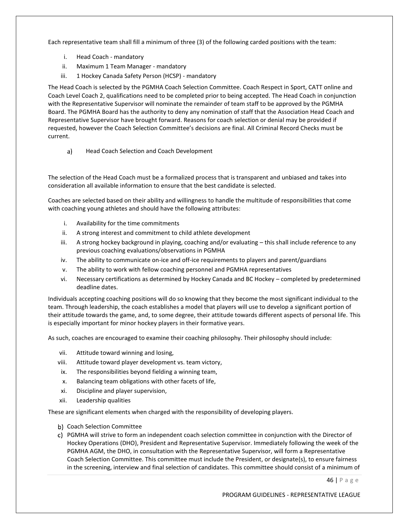Each representative team shall fill a minimum of three (3) of the following carded positions with the team:

- i. Head Coach mandatory
- ii. Maximum 1 Team Manager mandatory
- iii. 1 Hockey Canada Safety Person (HCSP) mandatory

The Head Coach is selected by the PGMHA Coach Selection Committee. Coach Respect in Sport, CATT online and Coach Level Coach 2, qualifications need to be completed prior to being accepted. The Head Coach in conjunction with the Representative Supervisor will nominate the remainder of team staff to be approved by the PGMHA Board. The PGMHA Board has the authority to deny any nomination of staff that the Association Head Coach and Representative Supervisor have brought forward. Reasons for coach selection or denial may be provided if requested, however the Coach Selection Committee's decisions are final. All Criminal Record Checks must be current.

 $a)$ Head Coach Selection and Coach Development

The selection of the Head Coach must be a formalized process that is transparent and unbiased and takes into consideration all available information to ensure that the best candidate is selected.

Coaches are selected based on their ability and willingness to handle the multitude of responsibilities that come with coaching young athletes and should have the following attributes:

- i. Availability for the time commitments
- ii. A strong interest and commitment to child athlete development
- iii. A strong hockey background in playing, coaching and/or evaluating this shall include reference to any previous coaching evaluations/observations in PGMHA
- iv. The ability to communicate on-ice and off-ice requirements to players and parent/guardians
- v. The ability to work with fellow coaching personnel and PGMHA representatives
- vi. Necessary certifications as determined by Hockey Canada and BC Hockey completed by predetermined deadline dates.

Individuals accepting coaching positions will do so knowing that they become the most significant individual to the team. Through leadership, the coach establishes a model that players will use to develop a significant portion of their attitude towards the game, and, to some degree, their attitude towards different aspects of personal life. This is especially important for minor hockey players in their formative years.

As such, coaches are encouraged to examine their coaching philosophy. Their philosophy should include:

- vii. Attitude toward winning and losing,
- viii. Attitude toward player development vs. team victory,
- ix. The responsibilities beyond fielding a winning team,
- x. Balancing team obligations with other facets of life,
- xi. Discipline and player supervision,
- xii. Leadership qualities

These are significant elements when charged with the responsibility of developing players.

- b) Coach Selection Committee
- PGMHA will strive to form an independent coach selection committee in conjunction with the Director of Hockey Operations (DHO), President and Representative Supervisor. Immediately following the week of the PGMHA AGM, the DHO, in consultation with the Representative Supervisor, will form a Representative Coach Selection Committee. This committee must include the President, or designate(s), to ensure fairness in the screening, interview and final selection of candidates. This committee should consist of a minimum of

46 | P a g e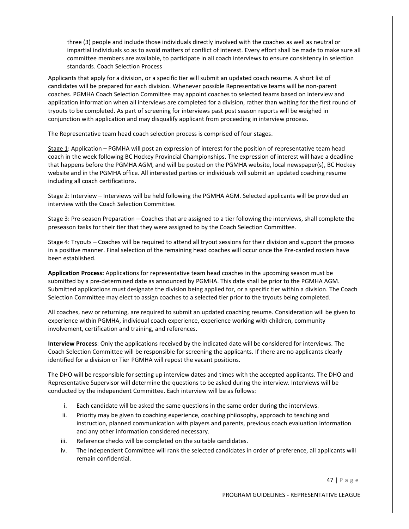three (3) people and include those individuals directly involved with the coaches as well as neutral or impartial individuals so as to avoid matters of conflict of interest. Every effort shall be made to make sure all committee members are available, to participate in all coach interviews to ensure consistency in selection standards. Coach Selection Process

Applicants that apply for a division, or a specific tier will submit an updated coach resume. A short list of candidates will be prepared for each division. Whenever possible Representative teams will be non-parent coaches. PGMHA Coach Selection Committee may appoint coaches to selected teams based on interview and application information when all interviews are completed for a division, rather than waiting for the first round of tryouts to be completed. As part of screening for interviews past post season reports will be weighed in conjunction with application and may disqualify applicant from proceeding in interview process.

The Representative team head coach selection process is comprised of four stages.

Stage 1: Application – PGMHA will post an expression of interest for the position of representative team head coach in the week following BC Hockey Provincial Championships. The expression of interest will have a deadline that happens before the PGMHA AGM, and will be posted on the PGMHA website, local newspaper(s), BC Hockey website and in the PGMHA office. All interested parties or individuals will submit an updated coaching resume including all coach certifications.

Stage 2: Interview – Interviews will be held following the PGMHA AGM. Selected applicants will be provided an interview with the Coach Selection Committee.

Stage 3: Pre-season Preparation – Coaches that are assigned to a tier following the interviews, shall complete the preseason tasks for their tier that they were assigned to by the Coach Selection Committee.

Stage 4: Tryouts – Coaches will be required to attend all tryout sessions for their division and support the process in a positive manner. Final selection of the remaining head coaches will occur once the Pre-carded rosters have been established.

**Application Process:** Applications for representative team head coaches in the upcoming season must be submitted by a pre-determined date as announced by PGMHA. This date shall be prior to the PGMHA AGM. Submitted applications must designate the division being applied for, or a specific tier within a division. The Coach Selection Committee may elect to assign coaches to a selected tier prior to the tryouts being completed.

All coaches, new or returning, are required to submit an updated coaching resume. Consideration will be given to experience within PGMHA, individual coach experience, experience working with children, community involvement, certification and training, and references.

**Interview Process**: Only the applications received by the indicated date will be considered for interviews. The Coach Selection Committee will be responsible for screening the applicants. If there are no applicants clearly identified for a division or Tier PGMHA will repost the vacant positions.

The DHO will be responsible for setting up interview dates and times with the accepted applicants. The DHO and Representative Supervisor will determine the questions to be asked during the interview. Interviews will be conducted by the independent Committee. Each interview will be as follows:

- i. Each candidate will be asked the same questions in the same order during the interviews.
- ii. Priority may be given to coaching experience, coaching philosophy, approach to teaching and instruction, planned communication with players and parents, previous coach evaluation information and any other information considered necessary.
- iii. Reference checks will be completed on the suitable candidates.
- iv. The Independent Committee will rank the selected candidates in order of preference, all applicants will remain confidential.

47 | P a g e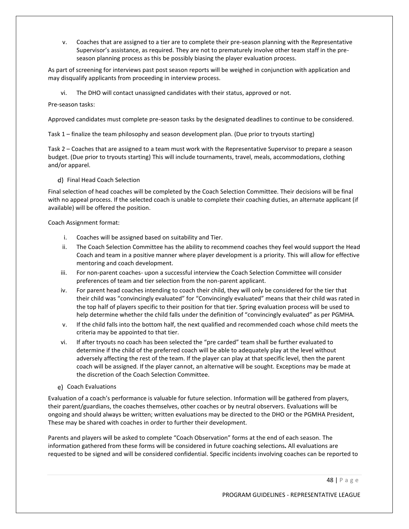v. Coaches that are assigned to a tier are to complete their pre-season planning with the Representative Supervisor's assistance, as required. They are not to prematurely involve other team staff in the preseason planning process as this be possibly biasing the player evaluation process.

As part of screening for interviews past post season reports will be weighed in conjunction with application and may disqualify applicants from proceeding in interview process.

vi. The DHO will contact unassigned candidates with their status, approved or not.

Pre-season tasks:

Approved candidates must complete pre-season tasks by the designated deadlines to continue to be considered.

Task 1 – finalize the team philosophy and season development plan. (Due prior to tryouts starting)

Task 2 – Coaches that are assigned to a team must work with the Representative Supervisor to prepare a season budget. (Due prior to tryouts starting) This will include tournaments, travel, meals, accommodations, clothing and/or apparel.

#### d) Final Head Coach Selection

Final selection of head coaches will be completed by the Coach Selection Committee. Their decisions will be final with no appeal process. If the selected coach is unable to complete their coaching duties, an alternate applicant (if available) will be offered the position.

Coach Assignment format:

- i. Coaches will be assigned based on suitability and Tier.
- ii. The Coach Selection Committee has the ability to recommend coaches they feel would support the Head Coach and team in a positive manner where player development is a priority. This will allow for effective mentoring and coach development.
- iii. For non-parent coaches- upon a successful interview the Coach Selection Committee will consider preferences of team and tier selection from the non-parent applicant.
- iv. For parent head coaches intending to coach their child, they will only be considered for the tier that their child was "convincingly evaluated" for "Convincingly evaluated" means that their child was rated in the top half of players specific to their position for that tier. Spring evaluation process will be used to help determine whether the child falls under the definition of "convincingly evaluated" as per PGMHA.
- v. If the child falls into the bottom half, the next qualified and recommended coach whose child meets the criteria may be appointed to that tier.
- vi. If after tryouts no coach has been selected the "pre carded" team shall be further evaluated to determine if the child of the preferred coach will be able to adequately play at the level without adversely affecting the rest of the team. If the player can play at that specific level, then the parent coach will be assigned. If the player cannot, an alternative will be sought. Exceptions may be made at the discretion of the Coach Selection Committee.
- e) Coach Evaluations

Evaluation of a coach's performance is valuable for future selection. Information will be gathered from players, their parent/guardians, the coaches themselves, other coaches or by neutral observers. Evaluations will be ongoing and should always be written; written evaluations may be directed to the DHO or the PGMHA President, These may be shared with coaches in order to further their development.

Parents and players will be asked to complete "Coach Observation" forms at the end of each season. The information gathered from these forms will be considered in future coaching selections*.* All evaluations are requested to be signed and will be considered confidential. Specific incidents involving coaches can be reported to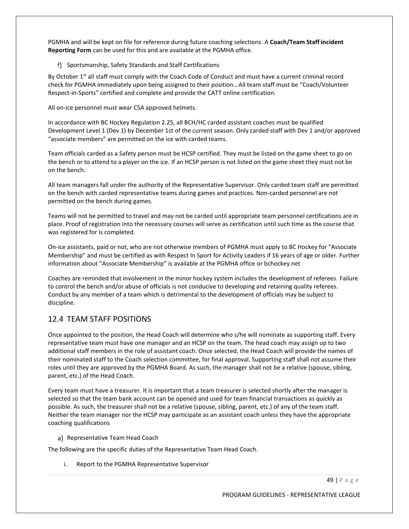PGMHA and will be kept on file for reference during future coaching selections. A **Coach/Team Staff incident Reporting Form** can be used for this and are available at the PGMHA office.

f) Sportsmanship, Safety Standards and Staff Certifications

By October 1<sup>st</sup> all staff must comply with the Coach Code of Conduct and must have a current criminal record check for PGMHA immediately upon being assigned to their position.**.** All team staff must be "Coach/Volunteer Respect-in-Sports" certified and complete and provide the CATT online certification.

All on-ice personnel must wear CSA approved helmets.

In accordance with BC Hockey Regulation 2.25, all BCH/HC carded assistant coaches must be qualified Development Level 1 (Dev 1) by December 1st of the current season. Only carded staff with Dev 1 and/or approved "associate members" are permitted on the ice with carded teams.

Team officials carded as a Safety person must be HCSP certified. They must be listed on the game sheet to go on the bench or to attend to a player on the ice. If an HCSP person is not listed on the game sheet they must not be on the bench.

All team managers fall under the authority of the Representative Supervisor. Only carded team staff are permitted on the bench with carded representative teams during games and practices. Non-carded personnel are not permitted on the bench during games.

Teams will not be permitted to travel and may not be carded until appropriate team personnel certifications are in place. Proof of registration into the necessary courses will serve as certification until such time as the course that was registered for is completed.

On-ice assistants, paid or not, who are not otherwise members of PGMHA must apply to BC Hockey for "Associate Membership" and must be certified as with Respect In Sport for Activity Leaders if 16 years of age or older. Further information about "Associate Membership" is available at the PGMHA office or bchockey.net

Coaches are reminded that involvement in the minor hockey system includes the development of referees. Failure to control the bench and/or abuse of officials is not conducive to developing and retaining quality referees. Conduct by any member of a team which is detrimental to the development of officials may be subject to discipline.

# 12.4 TEAM STAFF POSITIONS

Once appointed to the position, the Head Coach will determine who s/he will nominate as supporting staff. Every representative team must have one manager and an HCSP on the team. The head coach may assign up to two additional staff members in the role of assistant coach. Once selected, the Head Coach will provide the names of their nominated staff to the Coach selection committee, for final approval. Supporting staff shall not assume their roles until they are approved by the PGMHA Board. As such, the manager shall not be a relative (spouse, sibling, parent, etc.) of the Head Coach.

Every team must have a treasurer. It is important that a team treasurer is selected shortly after the manager is selected so that the team bank account can be opened and used for team financial transactions as quickly as possible. As such, the treasurer shall not be a relative (spouse, sibling, parent, etc.) of any of the team staff. Neither the team manager nor the HCSP may participate as an assistant coach unless they have the appropriate coaching qualifications

a) Representative Team Head Coach

The following are the specific duties of the Representative Team Head Coach.

i. Report to the PGMHA Representative Supervisor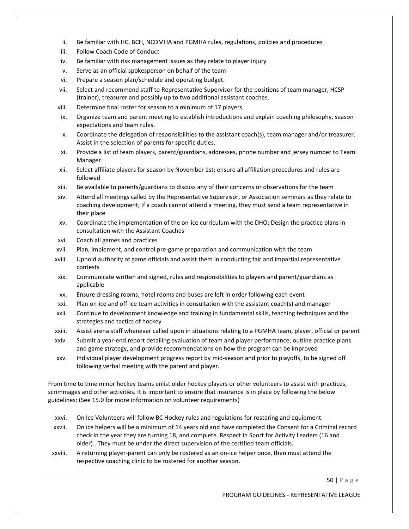- ii. Be familiar with HC, BCH, NCDMHA and PGMHA rules, regulations, policies and procedures
- iii. Follow Coach Code of Conduct
- iv. Be familiar with risk management issues as they relate to player injury
- v. Serve as an official spokesperson on behalf of the team
- vi. Prepare a season plan/schedule and operating budget.
- vii. Select and recommend staff to Representative Supervisor for the positions of team manager, HCSP (trainer), treasurer and possibly up to two additional assistant coaches.
- viii. Determine final roster for season to a minimum of 17 players
- ix. Organize team and parent meeting to establish introductions and explain coaching philosophy, season expectations and team rules.
- x. Coordinate the delegation of responsibilities to the assistant coach(s), team manager and/or treasurer. Assist in the selection of parents for specific duties.
- xi. Provide a list of team players, parent/guardians, addresses, phone number and jersey number to Team Manager
- xii. Select affiliate players for season by November 1st; ensure all affiliation procedures and rules are followed
- xiii. Be available to parents/guardians to discuss any of their concerns or observations for the team
- xiv. Attend all meetings called by the Representative Supervisor, or Association seminars as they relate to coaching development; if a coach cannot attend a meeting, they must send a team representative in their place
- xv. Coordinate the implementation of the on-ice curriculum with the DHO; Design the practice plans in consultation with the Assistant Coaches
- xvi. Coach all games and practices
- xvii. Plan, implement, and control pre-game preparation and communication with the team
- xviii. Uphold authority of game officials and assist them in conducting fair and impartial representative contests
- xix. Communicate written and signed, rules and responsibilities to players and parent/guardians as applicable
- xx. Ensure dressing rooms, hotel rooms and buses are left in order following each event
- xxi. Plan on-ice and off-ice team activities in consultation with the assistant coach(s) and manager
- xxii. Continue to development knowledge and training in fundamental skills, teaching techniques and the strategies and tactics of hockey
- xxiii. Assist arena staff whenever called upon in situations relating to a PGMHA team, player, official or parent
- xxiv. Submit a year-end report detailing evaluation of team and player performance; outline practice plans and game strategy, and provide recommendations on how the program can be improved
- xxv. Individual player development progress report by mid-season and prior to playoffs, to be signed off following verbal meeting with the parent and player.

From time to time minor hockey teams enlist older hockey players or other volunteers to assist with practices, scrimmages and other activities. It is important to ensure that insurance is in place by following the below guidelines: (See 15.0 for more information on volunteer requirements)

- xxvi. On Ice Volunteers will follow BC Hockey rules and regulations for rostering and equipment.
- xxvii. On ice helpers will be a minimum of 14 years old and have completed the Consent for a Criminal record check in the year they are turning 18, and complete Respect In Sport for Activity Leaders (16 and older).. They must be under the direct supervision of the certified team officials.
- xxviii. A returning player-parent can only be rostered as an on-ice helper once, then must attend the respective coaching clinic to be rostered for another season.

50 | P a g e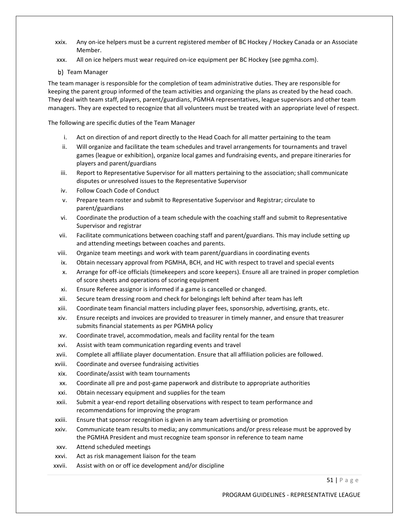- xxix. Any on-ice helpers must be a current registered member of BC Hockey / Hockey Canada or an Associate Member.
- xxx. All on ice helpers must wear required on-ice equipment per BC Hockey (see pgmha.com).
- b) Team Manager

The team manager is responsible for the completion of team administrative duties. They are responsible for keeping the parent group informed of the team activities and organizing the plans as created by the head coach. They deal with team staff, players, parent/guardians, PGMHA representatives, league supervisors and other team managers. They are expected to recognize that all volunteers must be treated with an appropriate level of respect.

The following are specific duties of the Team Manager

- i. Act on direction of and report directly to the Head Coach for all matter pertaining to the team
- ii. Will organize and facilitate the team schedules and travel arrangements for tournaments and travel games (league or exhibition), organize local games and fundraising events, and prepare itineraries for players and parent/guardians
- iii. Report to Representative Supervisor for all matters pertaining to the association; shall communicate disputes or unresolved issues to the Representative Supervisor
- iv. Follow Coach Code of Conduct
- v. Prepare team roster and submit to Representative Supervisor and Registrar; circulate to parent/guardians
- vi. Coordinate the production of a team schedule with the coaching staff and submit to Representative Supervisor and registrar
- vii. Facilitate communications between coaching staff and parent/guardians. This may include setting up and attending meetings between coaches and parents.
- viii. Organize team meetings and work with team parent/guardians in coordinating events
- ix. Obtain necessary approval from PGMHA, BCH, and HC with respect to travel and special events
- x. Arrange for off-ice officials (timekeepers and score keepers). Ensure all are trained in proper completion of score sheets and operations of scoring equipment
- xi. Ensure Referee assignor is informed if a game is cancelled or changed.
- xii. Secure team dressing room and check for belongings left behind after team has left
- xiii. Coordinate team financial matters including player fees, sponsorship, advertising, grants, etc.
- xiv. Ensure receipts and invoices are provided to treasurer in timely manner, and ensure that treasurer submits financial statements as per PGMHA policy
- xv. Coordinate travel, accommodation, meals and facility rental for the team
- xvi. Assist with team communication regarding events and travel
- xvii. Complete all affiliate player documentation. Ensure that all affiliation policies are followed.
- xviii. Coordinate and oversee fundraising activities
- xix. Coordinate/assist with team tournaments
- xx. Coordinate all pre and post-game paperwork and distribute to appropriate authorities
- xxi. Obtain necessary equipment and supplies for the team
- xxii. Submit a year-end report detailing observations with respect to team performance and recommendations for improving the program
- xxiii. Ensure that sponsor recognition is given in any team advertising or promotion
- xxiv. Communicate team results to media; any communications and/or press release must be approved by the PGMHA President and must recognize team sponsor in reference to team name
- xxv. Attend scheduled meetings
- xxvi. Act as risk management liaison for the team
- xxvii. Assist with on or off ice development and/or discipline

51 | P a g e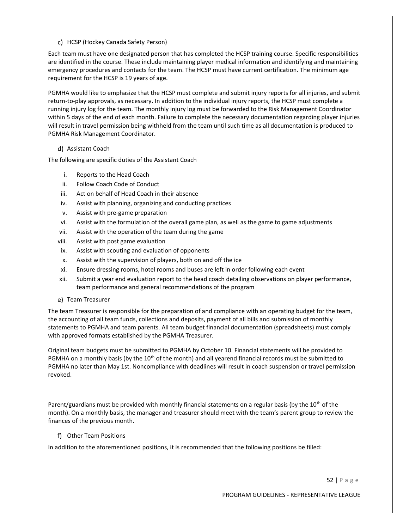#### HCSP (Hockey Canada Safety Person)

Each team must have one designated person that has completed the HCSP training course. Specific responsibilities are identified in the course. These include maintaining player medical information and identifying and maintaining emergency procedures and contacts for the team. The HCSP must have current certification. The minimum age requirement for the HCSP is 19 years of age.

PGMHA would like to emphasize that the HCSP must complete and submit injury reports for all injuries, and submit return-to-play approvals, as necessary. In addition to the individual injury reports, the HCSP must complete a running injury log for the team. The monthly injury log must be forwarded to the Risk Management Coordinator within 5 days of the end of each month. Failure to complete the necessary documentation regarding player injuries will result in travel permission being withheld from the team until such time as all documentation is produced to PGMHA Risk Management Coordinator.

#### Assistant Coach

The following are specific duties of the Assistant Coach

- i. Reports to the Head Coach
- ii. Follow Coach Code of Conduct
- iii. Act on behalf of Head Coach in their absence
- iv. Assist with planning, organizing and conducting practices
- v. Assist with pre-game preparation
- vi. Assist with the formulation of the overall game plan, as well as the game to game adjustments
- vii. Assist with the operation of the team during the game
- viii. Assist with post game evaluation
- ix. Assist with scouting and evaluation of opponents
- x. Assist with the supervision of players, both on and off the ice
- xi. Ensure dressing rooms, hotel rooms and buses are left in order following each event
- xii. Submit a year end evaluation report to the head coach detailing observations on player performance, team performance and general recommendations of the program
- e) Team Treasurer

The team Treasurer is responsible for the preparation of and compliance with an operating budget for the team, the accounting of all team funds, collections and deposits, payment of all bills and submission of monthly statements to PGMHA and team parents. All team budget financial documentation (spreadsheets) must comply with approved formats established by the PGMHA Treasurer.

Original team budgets must be submitted to PGMHA by October 10. Financial statements will be provided to PGMHA on a monthly basis (by the 10<sup>th</sup> of the month) and all yearend financial records must be submitted to PGMHA no later than May 1st. Noncompliance with deadlines will result in coach suspension or travel permission revoked.

Parent/guardians must be provided with monthly financial statements on a regular basis (by the  $10^{th}$  of the month). On a monthly basis, the manager and treasurer should meet with the team's parent group to review the finances of the previous month.

Other Team Positions

In addition to the aforementioned positions, it is recommended that the following positions be filled:

52 | P a g e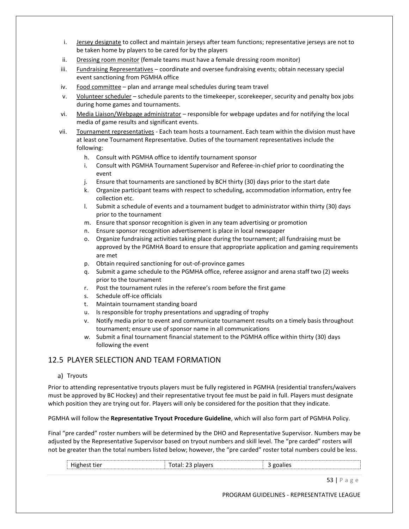- i. Jersey designate to collect and maintain jerseys after team functions; representative jerseys are not to be taken home by players to be cared for by the players
- ii. Dressing room monitor (female teams must have a female dressing room monitor)
- iii. Fundraising Representatives coordinate and oversee fundraising events; obtain necessary special event sanctioning from PGMHA office
- iv. Food committee plan and arrange meal schedules during team travel
- v. Volunteer scheduler schedule parents to the timekeeper, scorekeeper, security and penalty box jobs during home games and tournaments.
- vi. Media Liaison/Webpage administrator responsible for webpage updates and for notifying the local media of game results and significant events.
- vii. Tournament representatives Each team hosts a tournament. Each team within the division must have at least one Tournament Representative. Duties of the tournament representatives include the following:
	- h. Consult with PGMHA office to identify tournament sponsor
	- i. Consult with PGMHA Tournament Supervisor and Referee-in-chief prior to coordinating the event
	- j. Ensure that tournaments are sanctioned by BCH thirty (30) days prior to the start date
	- k. Organize participant teams with respect to scheduling, accommodation information, entry fee collection etc.
	- l. Submit a schedule of events and a tournament budget to administrator within thirty (30) days prior to the tournament
	- m. Ensure that sponsor recognition is given in any team advertising or promotion
	- n. Ensure sponsor recognition advertisement is place in local newspaper
	- o. Organize fundraising activities taking place during the tournament; all fundraising must be approved by the PGMHA Board to ensure that appropriate application and gaming requirements are met
	- p. Obtain required sanctioning for out-of-province games
	- q. Submit a game schedule to the PGMHA office, referee assignor and arena staff two (2) weeks prior to the tournament
	- r. Post the tournament rules in the referee's room before the first game
	- s. Schedule off-ice officials
	- t. Maintain tournament standing board
	- u. Is responsible for trophy presentations and upgrading of trophy
	- v. Notify media prior to event and communicate tournament results on a timely basis throughout tournament; ensure use of sponsor name in all communications
	- *w.* Submit a final tournament financial statement to the PGMHA office within thirty (30) days following the event

# 12.5 PLAYER SELECTION AND TEAM FORMATION

### a) Tryouts

Prior to attending representative tryouts players must be fully registered in PGMHA (residential transfers/waivers must be approved by BC Hockey) and their representative tryout fee must be paid in full. Players must designate which position they are trying out for. Players will only be considered for the position that they indicate.

PGMHA will follow the **Representative Tryout Procedure Guideline**, which will also form part of PGMHA Policy.

Final "pre carded" roster numbers will be determined by the DHO and Representative Supervisor. Numbers may be adjusted by the Representative Supervisor based on tryout numbers and skill level. The "pre carded" rosters will not be greater than the total numbers listed below; however, the "pre carded" roster total numbers could be less.

| . .<br>$\cdots$<br>. . ⊶<br>טור |  |  |
|---------------------------------|--|--|
|                                 |  |  |
|                                 |  |  |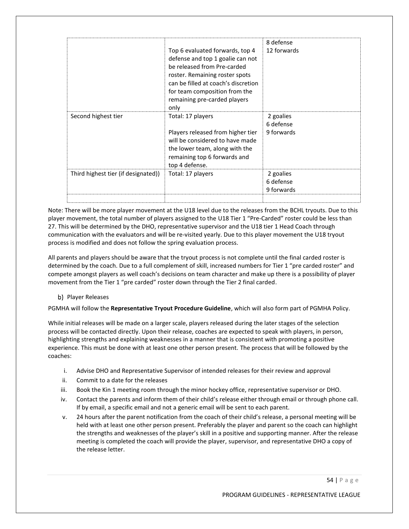|                                     | Top 6 evaluated forwards, top 4<br>defense and top 1 goalie can not<br>be released from Pre-carded<br>roster. Remaining roster spots<br>can be filled at coach's discretion<br>for team composition from the<br>remaining pre-carded players<br>only | 8 defense<br>12 forwards             |
|-------------------------------------|------------------------------------------------------------------------------------------------------------------------------------------------------------------------------------------------------------------------------------------------------|--------------------------------------|
| Second highest tier                 | Total: 17 players<br>Players released from higher tier<br>will be considered to have made<br>the lower team, along with the<br>remaining top 6 forwards and<br>top 4 defense.                                                                        | 2 goalies<br>6 defense<br>9 forwards |
| Third highest tier (if designated)) | Total: 17 players                                                                                                                                                                                                                                    | 2 goalies<br>6 defense<br>9 forwards |

Note: There will be more player movement at the U18 level due to the releases from the BCHL tryouts. Due to this player movement, the total number of players assigned to the U18 Tier 1 "Pre-Carded" roster could be less than 27. This will be determined by the DHO, representative supervisor and the U18 tier 1 Head Coach through communication with the evaluators and will be re-visited yearly. Due to this player movement the U18 tryout process is modified and does not follow the spring evaluation process.

All parents and players should be aware that the tryout process is not complete until the final carded roster is determined by the coach. Due to a full complement of skill, increased numbers for Tier 1 "pre carded roster" and compete amongst players as well coach's decisions on team character and make up there is a possibility of player movement from the Tier 1 "pre carded" roster down through the Tier 2 final carded.

### b) Player Releases

PGMHA will follow the **Representative Tryout Procedure Guideline**, which will also form part of PGMHA Policy.

While initial releases will be made on a larger scale, players released during the later stages of the selection process will be contacted directly. Upon their release, coaches are expected to speak with players, in person, highlighting strengths and explaining weaknesses in a manner that is consistent with promoting a positive experience. This must be done with at least one other person present. The process that will be followed by the coaches:

- i. Advise DHO and Representative Supervisor of intended releases for their review and approval
- ii. Commit to a date for the releases
- iii. Book the Kin 1 meeting room through the minor hockey office, representative supervisor or DHO.
- iv. Contact the parents and inform them of their child's release either through email or through phone call. If by email, a specific email and not a generic email will be sent to each parent.
- v. 24 hours after the parent notification from the coach of their child's release, a personal meeting will be held with at least one other person present. Preferably the player and parent so the coach can highlight the strengths and weaknesses of the player's skill in a positive and supporting manner. After the release meeting is completed the coach will provide the player, supervisor, and representative DHO a copy of the release letter.

54 | P a g e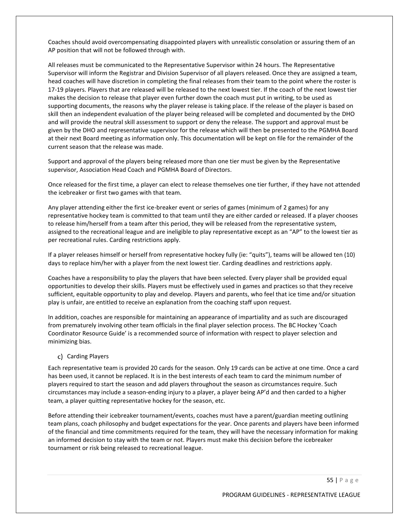Coaches should avoid overcompensating disappointed players with unrealistic consolation or assuring them of an AP position that will not be followed through with.

All releases must be communicated to the Representative Supervisor within 24 hours. The Representative Supervisor will inform the Registrar and Division Supervisor of all players released. Once they are assigned a team, head coaches will have discretion in completing the final releases from their team to the point where the roster is 17-19 players. Players that are released will be released to the next lowest tier. If the coach of the next lowest tier makes the decision to release that player even further down the coach must put in writing, to be used as supporting documents, the reasons why the player release is taking place. If the release of the player is based on skill then an independent evaluation of the player being released will be completed and documented by the DHO and will provide the neutral skill assessment to support or deny the release. The support and approval must be given by the DHO and representative supervisor for the release which will then be presented to the PGMHA Board at their next Board meeting as information only. This documentation will be kept on file for the remainder of the current season that the release was made.

Support and approval of the players being released more than one tier must be given by the Representative supervisor, Association Head Coach and PGMHA Board of Directors.

Once released for the first time, a player can elect to release themselves one tier further, if they have not attended the icebreaker or first two games with that team.

Any player attending either the first ice-breaker event or series of games (minimum of 2 games) for any representative hockey team is committed to that team until they are either carded or released. If a player chooses to release him/herself from a team after this period, they will be released from the representative system, assigned to the recreational league and are ineligible to play representative except as an "AP" to the lowest tier as per recreational rules. Carding restrictions apply.

If a player releases himself or herself from representative hockey fully (ie: "quits"), teams will be allowed ten (10) days to replace him/her with a player from the next lowest tier. Carding deadlines and restrictions apply.

Coaches have a responsibility to play the players that have been selected. Every player shall be provided equal opportunities to develop their skills. Players must be effectively used in games and practices so that they receive sufficient, equitable opportunity to play and develop. Players and parents, who feel that ice time and/or situation play is unfair, are entitled to receive an explanation from the coaching staff upon request.

In addition, coaches are responsible for maintaining an appearance of impartiality and as such are discouraged from prematurely involving other team officials in the final player selection process. The BC Hockey 'Coach Coordinator Resource Guide' is a recommended source of information with respect to player selection and minimizing bias.

#### c) Carding Players

Each representative team is provided 20 cards for the season. Only 19 cards can be active at one time. Once a card has been used, it cannot be replaced. It is in the best interests of each team to card the minimum number of players required to start the season and add players throughout the season as circumstances require. Such circumstances may include a season-ending injury to a player, a player being AP'd and then carded to a higher team, a player quitting representative hockey for the season, etc.

Before attending their icebreaker tournament/events, coaches must have a parent/guardian meeting outlining team plans, coach philosophy and budget expectations for the year. Once parents and players have been informed of the financial and time commitments required for the team, they will have the necessary information for making an informed decision to stay with the team or not. Players must make this decision before the icebreaker tournament or risk being released to recreational league.

55 | P a g e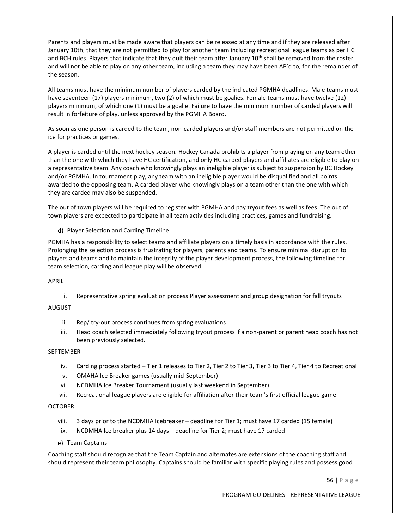Parents and players must be made aware that players can be released at any time and if they are released after January 10th, that they are not permitted to play for another team including recreational league teams as per HC and BCH rules. Players that indicate that they quit their team after January 10<sup>th</sup> shall be removed from the roster and will not be able to play on any other team, including a team they may have been AP'd to, for the remainder of the season.

All teams must have the minimum number of players carded by the indicated PGMHA deadlines. Male teams must have seventeen (17) players minimum, two (2) of which must be goalies. Female teams must have twelve (12) players minimum, of which one (1) must be a goalie. Failure to have the minimum number of carded players will result in forfeiture of play, unless approved by the PGMHA Board.

As soon as one person is carded to the team, non-carded players and/or staff members are not permitted on the ice for practices or games.

A player is carded until the next hockey season. Hockey Canada prohibits a player from playing on any team other than the one with which they have HC certification, and only HC carded players and affiliates are eligible to play on a representative team. Any coach who knowingly plays an ineligible player is subject to suspension by BC Hockey and/or PGMHA. In tournament play, any team with an ineligible player would be disqualified and all points awarded to the opposing team. A carded player who knowingly plays on a team other than the one with which they are carded may also be suspended.

The out of town players will be required to register with PGMHA and pay tryout fees as well as fees. The out of town players are expected to participate in all team activities including practices, games and fundraising.

d) Player Selection and Carding Timeline

PGMHA has a responsibility to select teams and affiliate players on a timely basis in accordance with the rules. Prolonging the selection process is frustrating for players, parents and teams. To ensure minimal disruption to players and teams and to maintain the integrity of the player development process, the following timeline for team selection, carding and league play will be observed:

APRIL

i. Representative spring evaluation process Player assessment and group designation for fall tryouts

**AUGUST** 

- ii. Rep/ try-out process continues from spring evaluations
- iii. Head coach selected immediately following tryout process if a non-parent or parent head coach has not been previously selected.

### **SEPTEMBER**

- iv. Carding process started Tier 1 releases to Tier 2, Tier 2 to Tier 3, Tier 3 to Tier 4, Tier 4 to Recreational
- v. OMAHA Ice Breaker games (usually mid-September)
- vi. NCDMHA Ice Breaker Tournament (usually last weekend in September)
- vii. Recreational league players are eligible for affiliation after their team's first official league game

#### **OCTOBER**

- viii. 3 days prior to the NCDMHA Icebreaker deadline for Tier 1; must have 17 carded (15 female)
- ix. NCDMHA Ice breaker plus 14 days deadline for Tier 2; must have 17 carded
- e) Team Captains

Coaching staff should recognize that the Team Captain and alternates are extensions of the coaching staff and should represent their team philosophy. Captains should be familiar with specific playing rules and possess good

56 | P a g e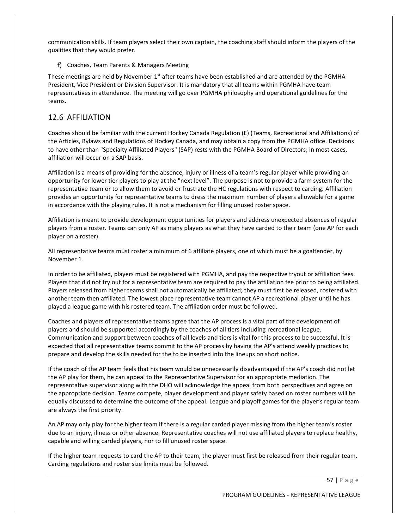communication skills. If team players select their own captain, the coaching staff should inform the players of the qualities that they would prefer.

Coaches, Team Parents & Managers Meeting

These meetings are held by November 1<sup>st</sup> after teams have been established and are attended by the PGMHA President, Vice President or Division Supervisor. It is mandatory that all teams within PGMHA have team representatives in attendance. The meeting will go over PGMHA philosophy and operational guidelines for the teams.

# 12.6 AFFILIATION

Coaches should be familiar with the current Hockey Canada Regulation (E) (Teams, Recreational and Affiliations) of the Articles, Bylaws and Regulations of Hockey Canada, and may obtain a copy from the PGMHA office. Decisions to have other than "Specialty Affiliated Players" (SAP) rests with the PGMHA Board of Directors; in most cases, affiliation will occur on a SAP basis.

Affiliation is a means of providing for the absence, injury or illness of a team's regular player while providing an opportunity for lower tier players to play at the "next level". The purpose is not to provide a farm system for the representative team or to allow them to avoid or frustrate the HC regulations with respect to carding. Affiliation provides an opportunity for representative teams to dress the maximum number of players allowable for a game in accordance with the playing rules. It is not a mechanism for filling unused roster space.

Affiliation is meant to provide development opportunities for players and address unexpected absences of regular players from a roster. Teams can only AP as many players as what they have carded to their team (one AP for each player on a roster).

All representative teams must roster a minimum of 6 affiliate players, one of which must be a goaltender, by November 1.

In order to be affiliated, players must be registered with PGMHA, and pay the respective tryout or affiliation fees. Players that did not try out for a representative team are required to pay the affiliation fee prior to being affiliated. Players released from higher teams shall not automatically be affiliated; they must first be released, rostered with another team then affiliated. The lowest place representative team cannot AP a recreational player until he has played a league game with his rostered team. The affiliation order must be followed.

Coaches and players of representative teams agree that the AP process is a vital part of the development of players and should be supported accordingly by the coaches of all tiers including recreational league. Communication and support between coaches of all levels and tiers is vital for this process to be successful. It is expected that all representative teams commit to the AP process by having the AP's attend weekly practices to prepare and develop the skills needed for the to be inserted into the lineups on short notice.

If the coach of the AP team feels that his team would be unnecessarily disadvantaged if the AP's coach did not let the AP play for them, he can appeal to the Representative Supervisor for an appropriate mediation. The representative supervisor along with the DHO will acknowledge the appeal from both perspectives and agree on the appropriate decision. Teams compete, player development and player safety based on roster numbers will be equally discussed to determine the outcome of the appeal. League and playoff games for the player's regular team are always the first priority.

An AP may only play for the higher team if there is a regular carded player missing from the higher team's roster due to an injury, illness or other absence. Representative coaches will not use affiliated players to replace healthy, capable and willing carded players, nor to fill unused roster space.

If the higher team requests to card the AP to their team, the player must first be released from their regular team. Carding regulations and roster size limits must be followed.

57 | P a g e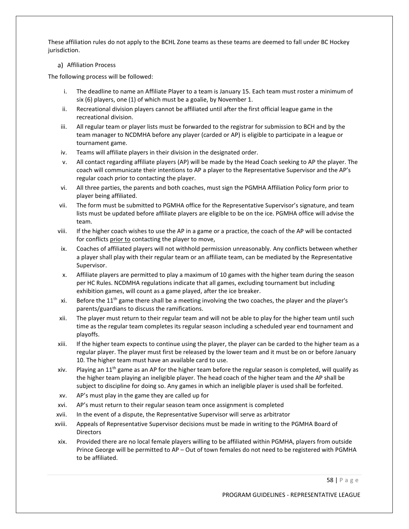These affiliation rules do not apply to the BCHL Zone teams as these teams are deemed to fall under BC Hockey jurisdiction.

#### a) Affiliation Process

The following process will be followed:

- i. The deadline to name an Affiliate Player to a team is January 15. Each team must roster a minimum of six (6) players, one (1) of which must be a goalie, by November 1.
- ii. Recreational division players cannot be affiliated until after the first official league game in the recreational division.
- iii. All regular team or player lists must be forwarded to the registrar for submission to BCH and by the team manager to NCDMHA before any player (carded or AP) is eligible to participate in a league or tournament game.
- iv. Teams will affiliate players in their division in the designated order.
- v. All contact regarding affiliate players (AP) will be made by the Head Coach seeking to AP the player. The coach will communicate their intentions to AP a player to the Representative Supervisor and the AP's regular coach prior to contacting the player.
- vi. All three parties, the parents and both coaches, must sign the PGMHA Affiliation Policy form prior to player being affiliated.
- vii. The form must be submitted to PGMHA office for the Representative Supervisor's signature, and team lists must be updated before affiliate players are eligible to be on the ice. PGMHA office will advise the team.
- viii. If the higher coach wishes to use the AP in a game or a practice, the coach of the AP will be contacted for conflicts prior to contacting the player to move,
- ix. Coaches of affiliated players will not withhold permission unreasonably. Any conflicts between whether a player shall play with their regular team or an affiliate team, can be mediated by the Representative Supervisor.
- x. Affiliate players are permitted to play a maximum of 10 games with the higher team during the season per HC Rules. NCDMHA regulations indicate that all games, excluding tournament but including exhibition games, will count as a game played, after the ice breaker.
- xi. Before the  $11<sup>th</sup>$  game there shall be a meeting involving the two coaches, the player and the player's parents/guardians to discuss the ramifications.
- xii. The player must return to their regular team and will not be able to play for the higher team until such time as the regular team completes its regular season including a scheduled year end tournament and playoffs.
- xiii. If the higher team expects to continue using the player, the player can be carded to the higher team as a regular player. The player must first be released by the lower team and it must be on or before January 10. The higher team must have an available card to use.
- xiv. Playing an  $11<sup>th</sup>$  game as an AP for the higher team before the regular season is completed, will qualify as the higher team playing an ineligible player. The head coach of the higher team and the AP shall be subject to discipline for doing so. Any games in which an ineligible player is used shall be forfeited.
- xv. AP's must play in the game they are called up for
- xvi. AP's must return to their regular season team once assignment is completed
- xvii. In the event of a dispute, the Representative Supervisor will serve as arbitrator
- xviii. Appeals of Representative Supervisor decisions must be made in writing to the PGMHA Board of **Directors**
- xix. Provided there are no local female players willing to be affiliated within PGMHA, players from outside Prince George will be permitted to AP – Out of town females do not need to be registered with PGMHA to be affiliated.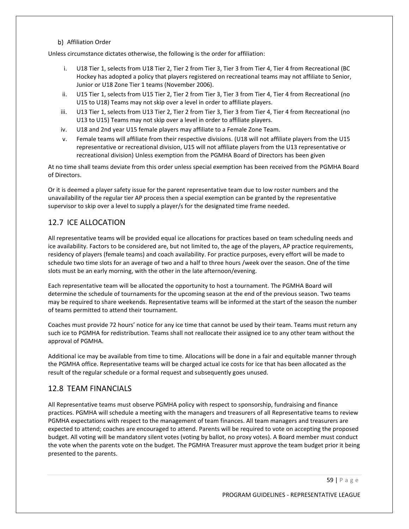b) Affiliation Order

Unless circumstance dictates otherwise, the following is the order for affiliation:

- U18 Tier 1, selects from U18 Tier 2, Tier 2 from Tier 3, Tier 3 from Tier 4, Tier 4 from Recreational (BC Hockey has adopted a policy that players registered on recreational teams may not affiliate to Senior, Junior or U18 Zone Tier 1 teams (November 2006).
- ii. U15 Tier 1, selects from U15 Tier 2, Tier 2 from Tier 3, Tier 3 from Tier 4, Tier 4 from Recreational (no U15 to U18) Teams may not skip over a level in order to affiliate players.
- iii. U13 Tier 1, selects from U13 Tier 2, Tier 2 from Tier 3, Tier 3 from Tier 4, Tier 4 from Recreational (no U13 to U15) Teams may not skip over a level in order to affiliate players.
- iv. U18 and 2nd year U15 female players may affiliate to a Female Zone Team.
- v. Female teams will affiliate from their respective divisions. (U18 will not affiliate players from the U15 representative or recreational division, U15 will not affiliate players from the U13 representative or recreational division) Unless exemption from the PGMHA Board of Directors has been given

At no time shall teams deviate from this order unless special exemption has been received from the PGMHA Board of Directors.

Or it is deemed a player safety issue for the parent representative team due to low roster numbers and the unavailability of the regular tier AP process then a special exemption can be granted by the representative supervisor to skip over a level to supply a player/s for the designated time frame needed.

# 12.7 ICE ALLOCATION

All representative teams will be provided equal ice allocations for practices based on team scheduling needs and ice availability. Factors to be considered are, but not limited to, the age of the players, AP practice requirements, residency of players (female teams) and coach availability. For practice purposes, every effort will be made to schedule two time slots for an average of two and a half to three hours /week over the season. One of the time slots must be an early morning, with the other in the late afternoon/evening.

Each representative team will be allocated the opportunity to host a tournament. The PGMHA Board will determine the schedule of tournaments for the upcoming season at the end of the previous season. Two teams may be required to share weekends. Representative teams will be informed at the start of the season the number of teams permitted to attend their tournament.

Coaches must provide 72 hours' notice for any ice time that cannot be used by their team. Teams must return any such ice to PGMHA for redistribution. Teams shall not reallocate their assigned ice to any other team without the approval of PGMHA.

Additional ice may be available from time to time. Allocations will be done in a fair and equitable manner through the PGMHA office. Representative teams will be charged actual ice costs for ice that has been allocated as the result of the regular schedule or a formal request and subsequently goes unused.

# 12.8 TEAM FINANCIALS

All Representative teams must observe PGMHA policy with respect to sponsorship, fundraising and finance practices. PGMHA will schedule a meeting with the managers and treasurers of all Representative teams to review PGMHA expectations with respect to the management of team finances. All team managers and treasurers are expected to attend; coaches are encouraged to attend. Parents will be required to vote on accepting the proposed budget. All voting will be mandatory silent votes (voting by ballot, no proxy votes). A Board member must conduct the vote when the parents vote on the budget. The PGMHA Treasurer must approve the team budget prior it being presented to the parents.

59 | P a g e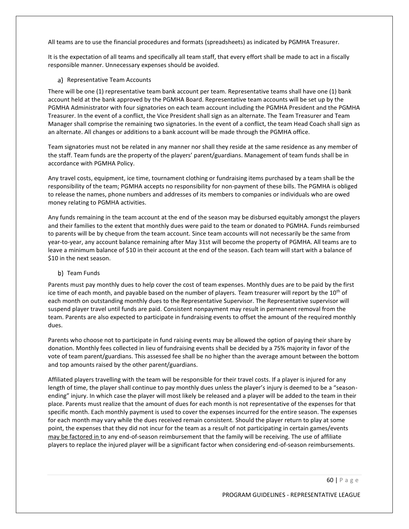All teams are to use the financial procedures and formats (spreadsheets) as indicated by PGMHA Treasurer.

It is the expectation of all teams and specifically all team staff, that every effort shall be made to act in a fiscally responsible manner. Unnecessary expenses should be avoided.

#### a) Representative Team Accounts

There will be one (1) representative team bank account per team. Representative teams shall have one (1) bank account held at the bank approved by the PGMHA Board. Representative team accounts will be set up by the PGMHA Administrator with four signatories on each team account including the PGMHA President and the PGMHA Treasurer. In the event of a conflict, the Vice President shall sign as an alternate. The Team Treasurer and Team Manager shall comprise the remaining two signatories. In the event of a conflict, the team Head Coach shall sign as an alternate. All changes or additions to a bank account will be made through the PGMHA office.

Team signatories must not be related in any manner nor shall they reside at the same residence as any member of the staff. Team funds are the property of the players' parent/guardians. Management of team funds shall be in accordance with PGMHA Policy.

Any travel costs, equipment, ice time, tournament clothing or fundraising items purchased by a team shall be the responsibility of the team; PGMHA accepts no responsibility for non-payment of these bills. The PGMHA is obliged to release the names, phone numbers and addresses of its members to companies or individuals who are owed money relating to PGMHA activities.

Any funds remaining in the team account at the end of the season may be disbursed equitably amongst the players and their families to the extent that monthly dues were paid to the team or donated to PGMHA. Funds reimbursed to parents will be by cheque from the team account. Since team accounts will not necessarily be the same from year-to-year, any account balance remaining after May 31st will become the property of PGMHA. All teams are to leave a minimum balance of \$10 in their account at the end of the season. Each team will start with a balance of \$10 in the next season.

### b) Team Funds

Parents must pay monthly dues to help cover the cost of team expenses. Monthly dues are to be paid by the first ice time of each month, and payable based on the number of players. Team treasurer will report by the 10<sup>th</sup> of each month on outstanding monthly dues to the Representative Supervisor. The Representative supervisor will suspend player travel until funds are paid. Consistent nonpayment may result in permanent removal from the team. Parents are also expected to participate in fundraising events to offset the amount of the required monthly dues.

Parents who choose not to participate in fund raising events may be allowed the option of paying their share by donation. Monthly fees collected in lieu of fundraising events shall be decided by a 75% majority in favor of the vote of team parent/guardians. This assessed fee shall be no higher than the average amount between the bottom and top amounts raised by the other parent/guardians.

Affiliated players travelling with the team will be responsible for their travel costs. If a player is injured for any length of time, the player shall continue to pay monthly dues unless the player's injury is deemed to be a "seasonending" injury. In which case the player will most likely be released and a player will be added to the team in their place. Parents must realize that the amount of dues for each month is not representative of the expenses for that specific month. Each monthly payment is used to cover the expenses incurred for the entire season. The expenses for each month may vary while the dues received remain consistent. Should the player return to play at some point, the expenses that they did not incur for the team as a result of not participating in certain games/events may be factored in to any end-of-season reimbursement that the family will be receiving. The use of affiliate players to replace the injured player will be a significant factor when considering end-of-season reimbursements.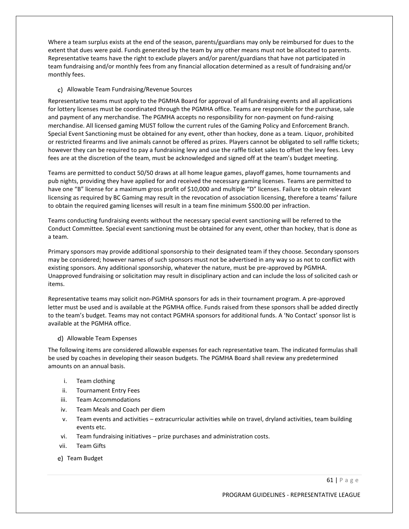Where a team surplus exists at the end of the season, parents/guardians may only be reimbursed for dues to the extent that dues were paid. Funds generated by the team by any other means must not be allocated to parents. Representative teams have the right to exclude players and/or parent/guardians that have not participated in team fundraising and/or monthly fees from any financial allocation determined as a result of fundraising and/or monthly fees.

#### Allowable Team Fundraising/Revenue Sources

Representative teams must apply to the PGMHA Board for approval of all fundraising events and all applications for lottery licenses must be coordinated through the PGMHA office. Teams are responsible for the purchase, sale and payment of any merchandise. The PGMHA accepts no responsibility for non-payment on fund-raising merchandise. All licensed gaming MUST follow the current rules of the Gaming Policy and Enforcement Branch. Special Event Sanctioning must be obtained for any event, other than hockey, done as a team. Liquor, prohibited or restricted firearms and live animals cannot be offered as prizes. Players cannot be obligated to sell raffle tickets; however they can be required to pay a fundraising levy and use the raffle ticket sales to offset the levy fees. Levy fees are at the discretion of the team, must be acknowledged and signed off at the team's budget meeting.

Teams are permitted to conduct 50/50 draws at all home league games, playoff games, home tournaments and pub nights, providing they have applied for and received the necessary gaming licenses. Teams are permitted to have one "B" license for a maximum gross profit of \$10,000 and multiple "D" licenses. Failure to obtain relevant licensing as required by BC Gaming may result in the revocation of association licensing, therefore a teams' failure to obtain the required gaming licenses will result in a team fine minimum \$500.00 per infraction.

Teams conducting fundraising events without the necessary special event sanctioning will be referred to the Conduct Committee. Special event sanctioning must be obtained for any event, other than hockey, that is done as a team.

Primary sponsors may provide additional sponsorship to their designated team if they choose. Secondary sponsors may be considered; however names of such sponsors must not be advertised in any way so as not to conflict with existing sponsors. Any additional sponsorship, whatever the nature, must be pre-approved by PGMHA. Unapproved fundraising or solicitation may result in disciplinary action and can include the loss of solicited cash or items.

Representative teams may solicit non-PGMHA sponsors for ads in their tournament program. A pre-approved letter must be used and is available at the PGMHA office. Funds raised from these sponsors shall be added directly to the team's budget. Teams may not contact PGMHA sponsors for additional funds. A 'No Contact' sponsor list is available at the PGMHA office.

### d) Allowable Team Expenses

The following items are considered allowable expenses for each representative team. The indicated formulas shall be used by coaches in developing their season budgets. The PGMHA Board shall review any predetermined amounts on an annual basis.

- i. Team clothing
- ii. Tournament Entry Fees
- iii. Team Accommodations
- iv. Team Meals and Coach per diem
- v. Team events and activities extracurricular activities while on travel, dryland activities, team building events etc.
- vi. Team fundraising initiatives prize purchases and administration costs.
- vii. Team Gifts
- e) Team Budget

61 | P a g e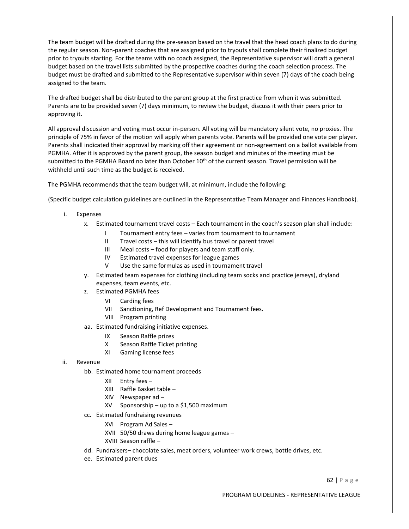The team budget will be drafted during the pre-season based on the travel that the head coach plans to do during the regular season. Non-parent coaches that are assigned prior to tryouts shall complete their finalized budget prior to tryouts starting. For the teams with no coach assigned, the Representative supervisor will draft a general budget based on the travel lists submitted by the prospective coaches during the coach selection process. The budget must be drafted and submitted to the Representative supervisor within seven (7) days of the coach being assigned to the team.

The drafted budget shall be distributed to the parent group at the first practice from when it was submitted. Parents are to be provided seven (7) days minimum, to review the budget, discuss it with their peers prior to approving it.

All approval discussion and voting must occur in-person. All voting will be mandatory silent vote, no proxies. The principle of 75% in favor of the motion will apply when parents vote. Parents will be provided one vote per player. Parents shall indicated their approval by marking off their agreement or non-agreement on a ballot available from PGMHA. After it is approved by the parent group, the season budget and minutes of the meeting must be submitted to the PGMHA Board no later than October 10<sup>th</sup> of the current season. Travel permission will be withheld until such time as the budget is received.

The PGMHA recommends that the team budget will, at minimum, include the following:

(Specific budget calculation guidelines are outlined in the Representative Team Manager and Finances Handbook).

- i. Expenses
	- x. Estimated tournament travel costs Each tournament in the coach's season plan shall include:
		- I Tournament entry fees varies from tournament to tournament
		- II Travel costs this will identify bus travel or parent travel
		- III Meal costs food for players and team staff only.
		- IV Estimated travel expenses for league games
		- V Use the same formulas as used in tournament travel
	- y. Estimated team expenses for clothing (including team socks and practice jerseys), dryland expenses, team events, etc.
	- z. Estimated PGMHA fees
		- VI Carding fees
		- VII Sanctioning, Ref Development and Tournament fees.
		- VIII Program printing
	- aa. Estimated fundraising initiative expenses.
		- IX Season Raffle prizes
		- X Season Raffle Ticket printing
		- XI Gaming license fees
- ii. Revenue
	- bb. Estimated home tournament proceeds
		- XII Entry fees –
		- XIII Raffle Basket table –
		- XIV Newspaper ad –
		- XV Sponsorship up to a \$1,500 maximum
	- cc. Estimated fundraising revenues
		- XVI Program Ad Sales –
		- XVII 50/50 draws during home league games –
		- XVIII Season raffle –
	- dd. Fundraisers– chocolate sales, meat orders, volunteer work crews, bottle drives, etc.
	- ee. Estimated parent dues

62 | P a g e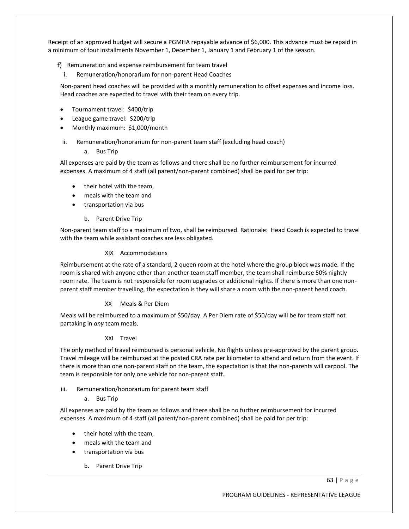Receipt of an approved budget will secure a PGMHA repayable advance of \$6,000. This advance must be repaid in a minimum of four installments November 1, December 1, January 1 and February 1 of the season.

### f) Remuneration and expense reimbursement for team travel

i. Remuneration/honorarium for non-parent Head Coaches

Non-parent head coaches will be provided with a monthly remuneration to offset expenses and income loss. Head coaches are expected to travel with their team on every trip.

- Tournament travel: \$400/trip
- League game travel: \$200/trip
- Monthly maximum: \$1,000/month
- ii. Remuneration/honorarium for non-parent team staff (excluding head coach)
	- a. Bus Trip

All expenses are paid by the team as follows and there shall be no further reimbursement for incurred expenses. A maximum of 4 staff (all parent/non-parent combined) shall be paid for per trip:

- their hotel with the team,
- meals with the team and
- transportation via bus
	- b. Parent Drive Trip

Non-parent team staff to a maximum of two, shall be reimbursed. Rationale: Head Coach is expected to travel with the team while assistant coaches are less obligated.

### XIX Accommodations

Reimbursement at the rate of a standard, 2 queen room at the hotel where the group block was made. If the room is shared with anyone other than another team staff member, the team shall reimburse 50% nightly room rate. The team is not responsible for room upgrades or additional nights. If there is more than one nonparent staff member travelling, the expectation is they will share a room with the non-parent head coach.

### XX Meals & Per Diem

Meals will be reimbursed to a maximum of \$50/day. A Per Diem rate of \$50/day will be for team staff not partaking in *any* team meals.

### XXI Travel

The only method of travel reimbursed is personal vehicle. No flights unless pre-approved by the parent group. Travel mileage will be reimbursed at the posted CRA rate per kilometer to attend and return from the event. If there is more than one non-parent staff on the team, the expectation is that the non-parents will carpool. The team is responsible for only one vehicle for non-parent staff.

- iii. Remuneration/honorarium for parent team staff
	- a. Bus Trip

All expenses are paid by the team as follows and there shall be no further reimbursement for incurred expenses. A maximum of 4 staff (all parent/non-parent combined) shall be paid for per trip:

- their hotel with the team,
- meals with the team and
- transportation via bus
	- b. Parent Drive Trip

63 | P a g e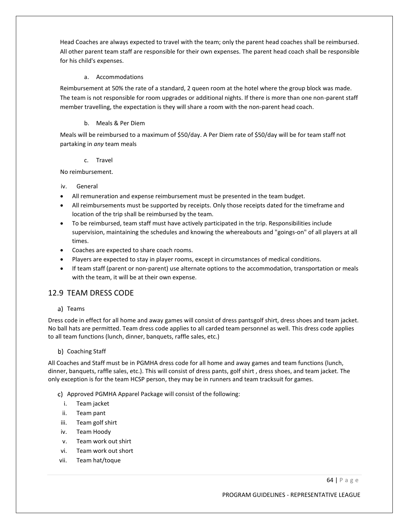Head Coaches are always expected to travel with the team; only the parent head coaches shall be reimbursed. All other parent team staff are responsible for their own expenses. The parent head coach shall be responsible for his child's expenses.

### a. Accommodations

Reimbursement at 50% the rate of a standard, 2 queen room at the hotel where the group block was made. The team is not responsible for room upgrades or additional nights. If there is more than one non-parent staff member travelling, the expectation is they will share a room with the non-parent head coach.

### b. Meals & Per Diem

Meals will be reimbursed to a maximum of \$50/day. A Per Diem rate of \$50/day will be for team staff not partaking in *any* team meals

### c. Travel

No reimbursement.

### iv. General

- All remuneration and expense reimbursement must be presented in the team budget.
- All reimbursements must be supported by receipts. Only those receipts dated for the timeframe and location of the trip shall be reimbursed by the team.
- To be reimbursed, team staff must have actively participated in the trip. Responsibilities include supervision, maintaining the schedules and knowing the whereabouts and "goings-on" of all players at all times.
- Coaches are expected to share coach rooms.
- Players are expected to stay in player rooms, except in circumstances of medical conditions.
- If team staff (parent or non-parent) use alternate options to the accommodation, transportation or meals with the team, it will be at their own expense.

# 12.9 TEAM DRESS CODE

a) Teams

Dress code in effect for all home and away games will consist of dress pantsgolf shirt, dress shoes and team jacket. No ball hats are permitted. Team dress code applies to all carded team personnel as well. This dress code applies to all team functions (lunch, dinner, banquets, raffle sales, etc.)

### b) Coaching Staff

All Coaches and Staff must be in PGMHA dress code for all home and away games and team functions (lunch, dinner, banquets, raffle sales, etc.). This will consist of dress pants, golf shirt , dress shoes, and team jacket. The only exception is for the team HCSP person, they may be in runners and team tracksuit for games.

- Approved PGMHA Apparel Package will consist of the following:
	- i. Team jacket
	- ii. Team pant
- iii. Team golf shirt
- iv. Team Hoody
- v. Team work out shirt
- vi. Team work out short
- vii. Team hat/toque

64 | P a g e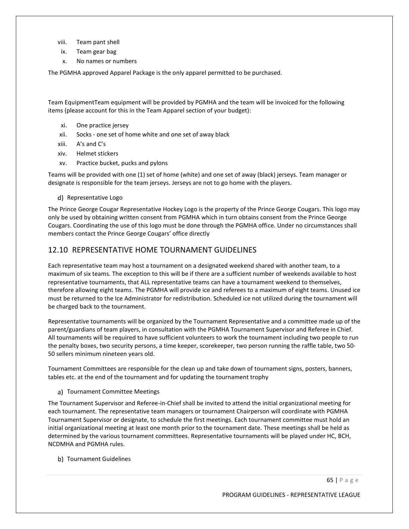- viii. Team pant shell
- ix. Team gear bag
- x. No names or numbers

The PGMHA approved Apparel Package is the only apparel permitted to be purchased.

Team EquipmentTeam equipment will be provided by PGMHA and the team will be invoiced for the following items (please account for this in the Team Apparel section of your budget):

- xi. One practice jersey
- xii. Socks one set of home white and one set of away black
- xiii. A's and C's
- xiv. Helmet stickers
- xv. Practice bucket, pucks and pylons

Teams will be provided with one (1) set of home (white) and one set of away (black) jerseys. Team manager or designate is responsible for the team jerseys. Jerseys are not to go home with the players.

d) Representative Logo

The Prince George Cougar Representative Hockey Logo is the property of the Prince George Cougars. This logo may only be used by obtaining written consent from PGMHA which in turn obtains consent from the Prince George Cougars. Coordinating the use of this logo must be done through the PGMHA office. Under no circumstances shall members contact the Prince George Cougars' office directly

### 12.10 REPRESENTATIVE HOME TOURNAMENT GUIDELINES

Each representative team may host a tournament on a designated weekend shared with another team, to a maximum of six teams. The exception to this will be if there are a sufficient number of weekends available to host representative tournaments, that ALL representative teams can have a tournament weekend to themselves, therefore allowing eight teams. The PGMHA will provide ice and referees to a maximum of eight teams. Unused ice must be returned to the Ice Administrator for redistribution. Scheduled ice not utilized during the tournament will be charged back to the tournament.

Representative tournaments will be organized by the Tournament Representative and a committee made up of the parent/guardians of team players, in consultation with the PGMHA Tournament Supervisor and Referee in Chief. All tournaments will be required to have sufficient volunteers to work the tournament including two people to run the penalty boxes, two security persons, a time keeper, scorekeeper, two person running the raffle table, two 50- 50 sellers minimum nineteen years old.

Tournament Committees are responsible for the clean up and take down of tournament signs, posters, banners, tables etc. at the end of the tournament and for updating the tournament trophy

a) Tournament Committee Meetings

The Tournament Supervisor and Referee-in-Chief shall be invited to attend the initial organizational meeting for each tournament. The representative team managers or tournament Chairperson will coordinate with PGMHA Tournament Supervisor or designate, to schedule the first meetings. Each tournament committee must hold an initial organizational meeting at least one month prior to the tournament date. These meetings shall be held as determined by the various tournament committees. Representative tournaments will be played under HC, BCH, NCDMHA and PGMHA rules.

b) Tournament Guidelines

65 | P a g e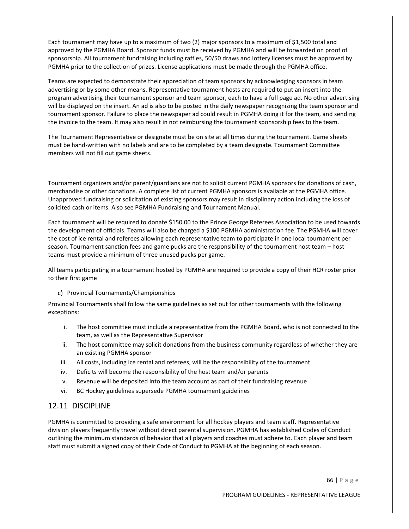Each tournament may have up to a maximum of two (2) major sponsors to a maximum of \$1,500 total and approved by the PGMHA Board. Sponsor funds must be received by PGMHA and will be forwarded on proof of sponsorship. All tournament fundraising including raffles, 50/50 draws and lottery licenses must be approved by PGMHA prior to the collection of prizes. License applications must be made through the PGMHA office.

Teams are expected to demonstrate their appreciation of team sponsors by acknowledging sponsors in team advertising or by some other means. Representative tournament hosts are required to put an insert into the program advertising their tournament sponsor and team sponsor, each to have a full page ad. No other advertising will be displayed on the insert. An ad is also to be posted in the daily newspaper recognizing the team sponsor and tournament sponsor. Failure to place the newspaper ad could result in PGMHA doing it for the team, and sending the invoice to the team. It may also result in not reimbursing the tournament sponsorship fees to the team.

The Tournament Representative or designate must be on site at all times during the tournament. Game sheets must be hand-written with no labels and are to be completed by a team designate. Tournament Committee members will not fill out game sheets.

Tournament organizers and/or parent/guardians are not to solicit current PGMHA sponsors for donations of cash, merchandise or other donations. A complete list of current PGMHA sponsors is available at the PGMHA office. Unapproved fundraising or solicitation of existing sponsors may result in disciplinary action including the loss of solicited cash or items. Also see PGMHA Fundraising and Tournament Manual.

Each tournament will be required to donate \$150.00 to the Prince George Referees Association to be used towards the development of officials. Teams will also be charged a \$100 PGMHA administration fee. The PGMHA will cover the cost of ice rental and referees allowing each representative team to participate in one local tournament per season. Tournament sanction fees and game pucks are the responsibility of the tournament host team – host teams must provide a minimum of three unused pucks per game.

All teams participating in a tournament hosted by PGMHA are required to provide a copy of their HCR roster prior to their first game

#### c) Provincial Tournaments/Championships

Provincial Tournaments shall follow the same guidelines as set out for other tournaments with the following exceptions:

- i. The host committee must include a representative from the PGMHA Board, who is not connected to the team, as well as the Representative Supervisor
- ii. The host committee may solicit donations from the business community regardless of whether they are an existing PGMHA sponsor
- iii. All costs, including ice rental and referees, will be the responsibility of the tournament
- iv. Deficits will become the responsibility of the host team and/or parents
- v. Revenue will be deposited into the team account as part of their fundraising revenue
- vi. BC Hockey guidelines supersede PGMHA tournament guidelines

# 12.11 DISCIPLINE

PGMHA is committed to providing a safe environment for all hockey players and team staff. Representative division players frequently travel without direct parental supervision. PGMHA has established Codes of Conduct outlining the minimum standards of behavior that all players and coaches must adhere to. Each player and team staff must submit a signed copy of their Code of Conduct to PGMHA at the beginning of each season.

66 | P a g e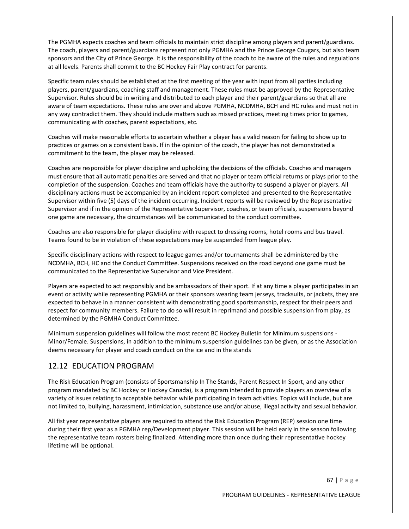The PGMHA expects coaches and team officials to maintain strict discipline among players and parent/guardians. The coach, players and parent/guardians represent not only PGMHA and the Prince George Cougars, but also team sponsors and the City of Prince George. It is the responsibility of the coach to be aware of the rules and regulations at all levels. Parents shall commit to the BC Hockey Fair Play contract for parents.

Specific team rules should be established at the first meeting of the year with input from all parties including players, parent/guardians, coaching staff and management. These rules must be approved by the Representative Supervisor. Rules should be in writing and distributed to each player and their parent/guardians so that all are aware of team expectations. These rules are over and above PGMHA, NCDMHA, BCH and HC rules and must not in any way contradict them. They should include matters such as missed practices, meeting times prior to games, communicating with coaches, parent expectations, etc.

Coaches will make reasonable efforts to ascertain whether a player has a valid reason for failing to show up to practices or games on a consistent basis. If in the opinion of the coach, the player has not demonstrated a commitment to the team, the player may be released.

Coaches are responsible for player discipline and upholding the decisions of the officials. Coaches and managers must ensure that all automatic penalties are served and that no player or team official returns or plays prior to the completion of the suspension. Coaches and team officials have the authority to suspend a player or players. All disciplinary actions must be accompanied by an incident report completed and presented to the Representative Supervisor within five (5) days of the incident occurring. Incident reports will be reviewed by the Representative Supervisor and if in the opinion of the Representative Supervisor, coaches, or team officials, suspensions beyond one game are necessary, the circumstances will be communicated to the conduct committee.

Coaches are also responsible for player discipline with respect to dressing rooms, hotel rooms and bus travel. Teams found to be in violation of these expectations may be suspended from league play.

Specific disciplinary actions with respect to league games and/or tournaments shall be administered by the NCDMHA, BCH, HC and the Conduct Committee. Suspensions received on the road beyond one game must be communicated to the Representative Supervisor and Vice President.

Players are expected to act responsibly and be ambassadors of their sport. If at any time a player participates in an event or activity while representing PGMHA or their sponsors wearing team jerseys, tracksuits, or jackets, they are expected to behave in a manner consistent with demonstrating good sportsmanship, respect for their peers and respect for community members. Failure to do so will result in reprimand and possible suspension from play, as determined by the PGMHA Conduct Committee.

Minimum suspension guidelines will follow the most recent BC Hockey Bulletin for Minimum suspensions - Minor/Female. Suspensions, in addition to the minimum suspension guidelines can be given, or as the Association deems necessary for player and coach conduct on the ice and in the stands

# 12.12 EDUCATION PROGRAM

The Risk Education Program (consists of Sportsmanship In The Stands, Parent Respect In Sport, and any other program mandated by BC Hockey or Hockey Canada), is a program intended to provide players an overview of a variety of issues relating to acceptable behavior while participating in team activities. Topics will include, but are not limited to, bullying, harassment, intimidation, substance use and/or abuse, illegal activity and sexual behavior.

All fist year representative players are required to attend the Risk Education Program (REP) session one time during their first year as a PGMHA rep/Development player. This session will be held early in the season following the representative team rosters being finalized. Attending more than once during their representative hockey lifetime will be optional.

67 | P a g e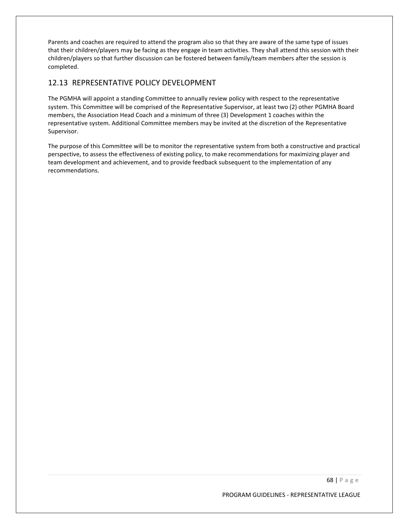Parents and coaches are required to attend the program also so that they are aware of the same type of issues that their children/players may be facing as they engage in team activities. They shall attend this session with their children/players so that further discussion can be fostered between family/team members after the session is completed.

# 12.13 REPRESENTATIVE POLICY DEVELOPMENT

The PGMHA will appoint a standing Committee to annually review policy with respect to the representative system. This Committee will be comprised of the Representative Supervisor, at least two (2) other PGMHA Board members, the Association Head Coach and a minimum of three (3) Development 1 coaches within the representative system. Additional Committee members may be invited at the discretion of the Representative Supervisor.

The purpose of this Committee will be to monitor the representative system from both a constructive and practical perspective, to assess the effectiveness of existing policy, to make recommendations for maximizing player and team development and achievement, and to provide feedback subsequent to the implementation of any recommendations.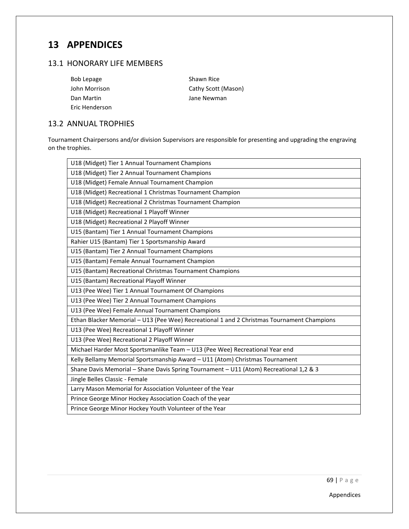# **13 APPENDICES**

# 13.1 HONORARY LIFE MEMBERS

| <b>Bob Lepage</b> |  |  |  |
|-------------------|--|--|--|
| John Morrison     |  |  |  |
| Dan Martin        |  |  |  |
| Eric Henderson    |  |  |  |

Shawn Rice Cathy Scott (Mason) Jane Newman

# 13.2 ANNUAL TROPHIES

Tournament Chairpersons and/or division Supervisors are responsible for presenting and upgrading the engraving on the trophies.

| U18 (Midget) Tier 1 Annual Tournament Champions                                            |
|--------------------------------------------------------------------------------------------|
| U18 (Midget) Tier 2 Annual Tournament Champions                                            |
| U18 (Midget) Female Annual Tournament Champion                                             |
| U18 (Midget) Recreational 1 Christmas Tournament Champion                                  |
| U18 (Midget) Recreational 2 Christmas Tournament Champion                                  |
| U18 (Midget) Recreational 1 Playoff Winner                                                 |
| U18 (Midget) Recreational 2 Playoff Winner                                                 |
| U15 (Bantam) Tier 1 Annual Tournament Champions                                            |
| Rahier U15 (Bantam) Tier 1 Sportsmanship Award                                             |
| U15 (Bantam) Tier 2 Annual Tournament Champions                                            |
| U15 (Bantam) Female Annual Tournament Champion                                             |
| U15 (Bantam) Recreational Christmas Tournament Champions                                   |
| U15 (Bantam) Recreational Playoff Winner                                                   |
| U13 (Pee Wee) Tier 1 Annual Tournament Of Champions                                        |
| U13 (Pee Wee) Tier 2 Annual Tournament Champions                                           |
| U13 (Pee Wee) Female Annual Tournament Champions                                           |
| Ethan Blacker Memorial - U13 (Pee Wee) Recreational 1 and 2 Christmas Tournament Champions |
| U13 (Pee Wee) Recreational 1 Playoff Winner                                                |
| U13 (Pee Wee) Recreational 2 Playoff Winner                                                |
| Michael Harder Most Sportsmanlike Team - U13 (Pee Wee) Recreational Year end               |
| Kelly Bellamy Memorial Sportsmanship Award - U11 (Atom) Christmas Tournament               |
| Shane Davis Memorial - Shane Davis Spring Tournament - U11 (Atom) Recreational 1,2 & 3     |
| Jingle Belles Classic - Female                                                             |
| Larry Mason Memorial for Association Volunteer of the Year                                 |
| Prince George Minor Hockey Association Coach of the year                                   |
| Prince George Minor Hockey Youth Volunteer of the Year                                     |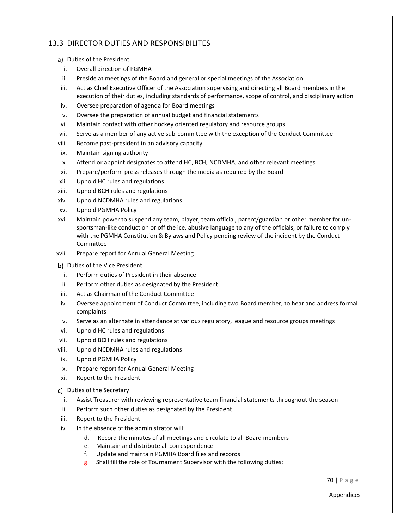# 13.3 DIRECTOR DUTIES AND RESPONSIBILITES

- a) Duties of the President
	- i. Overall direction of PGMHA
- ii. Preside at meetings of the Board and general or special meetings of the Association
- iii. Act as Chief Executive Officer of the Association supervising and directing all Board members in the execution of their duties, including standards of performance, scope of control, and disciplinary action
- iv. Oversee preparation of agenda for Board meetings
- v. Oversee the preparation of annual budget and financial statements
- vi. Maintain contact with other hockey oriented regulatory and resource groups
- vii. Serve as a member of any active sub-committee with the exception of the Conduct Committee
- viii. Become past-president in an advisory capacity
- ix. Maintain signing authority
- x. Attend or appoint designates to attend HC, BCH, NCDMHA, and other relevant meetings
- xi. Prepare/perform press releases through the media as required by the Board
- xii. Uphold HC rules and regulations
- xiii. Uphold BCH rules and regulations
- xiv. Uphold NCDMHA rules and regulations
- xv. Uphold PGMHA Policy
- xvi. Maintain power to suspend any team, player, team official, parent/guardian or other member for unsportsman-like conduct on or off the ice, abusive language to any of the officials, or failure to comply with the PGMHA Constitution & Bylaws and Policy pending review of the incident by the Conduct Committee
- xvii. Prepare report for Annual General Meeting
- b) Duties of the Vice President
	- i. Perform duties of President in their absence
- ii. Perform other duties as designated by the President
- iii. Act as Chairman of the Conduct Committee
- iv. Oversee appointment of Conduct Committee, including two Board member, to hear and address formal complaints
- v. Serve as an alternate in attendance at various regulatory, league and resource groups meetings
- vi. Uphold HC rules and regulations
- vii. Uphold BCH rules and regulations
- viii. Uphold NCDMHA rules and regulations
- ix. Uphold PGMHA Policy
- x. Prepare report for Annual General Meeting
- xi. Report to the President
- c) Duties of the Secretary
	- i. Assist Treasurer with reviewing representative team financial statements throughout the season
- ii. Perform such other duties as designated by the President
- iii. Report to the President
- iv. In the absence of the administrator will:
	- d. Record the minutes of all meetings and circulate to all Board members
	- e. Maintain and distribute all correspondence
	- f. Update and maintain PGMHA Board files and records
	- g. Shall fill the role of Tournament Supervisor with the following duties:

70 | P a g e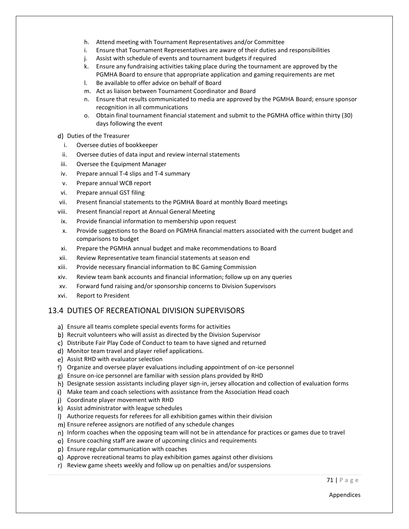- h. Attend meeting with Tournament Representatives and/or Committee
- i. Ensure that Tournament Representatives are aware of their duties and responsibilities
- j. Assist with schedule of events and tournament budgets if required
- k. Ensure any fundraising activities taking place during the tournament are approved by the PGMHA Board to ensure that appropriate application and gaming requirements are met
- l. Be available to offer advice on behalf of Board
- m. Act as liaison between Tournament Coordinator and Board
- n. Ensure that results communicated to media are approved by the PGMHA Board; ensure sponsor recognition in all communications
- o. Obtain final tournament financial statement and submit to the PGMHA office within thirty (30) days following the event
- d) Duties of the Treasurer
	- i. Oversee duties of bookkeeper
- ii. Oversee duties of data input and review internal statements
- iii. Oversee the Equipment Manager
- iv. Prepare annual T-4 slips and T-4 summary
- v. Prepare annual WCB report
- vi. Prepare annual GST filing
- vii. Present financial statements to the PGMHA Board at monthly Board meetings
- viii. Present financial report at Annual General Meeting
- ix. Provide financial information to membership upon request
- x. Provide suggestions to the Board on PGMHA financial matters associated with the current budget and comparisons to budget
- xi. Prepare the PGMHA annual budget and make recommendations to Board
- xii. Review Representative team financial statements at season end
- xiii. Provide necessary financial information to BC Gaming Commission
- xiv. Review team bank accounts and financial information; follow up on any queries
- xv. Forward fund raising and/or sponsorship concerns to Division Supervisors
- xvi. Report to President

#### 13.4 DUTIES OF RECREATIONAL DIVISION SUPERVISORS

- a) Ensure all teams complete special events forms for activities
- b) Recruit volunteers who will assist as directed by the Division Supervisor
- Distribute Fair Play Code of Conduct to team to have signed and returned
- Monitor team travel and player relief applications.
- e) Assist RHD with evaluator selection
- Organize and oversee player evaluations including appointment of on-ice personnel
- Ensure on-ice personnel are familiar with session plans provided by RHD
- h) Designate session assistants including player sign-in, jersey allocation and collection of evaluation forms
- Make team and coach selections with assistance from the Association Head coach
- Coordinate player movement with RHD
- Assist administrator with league schedules
- Authorize requests for referees for all exhibition games within their division
- Ensure referee assignors are notified of any schedule changes
- n) Inform coaches when the opposing team will not be in attendance for practices or games due to travel
- Ensure coaching staff are aware of upcoming clinics and requirements
- Ensure regular communication with coaches
- Approve recreational teams to play exhibition games against other divisions
- r) Review game sheets weekly and follow up on penalties and/or suspensions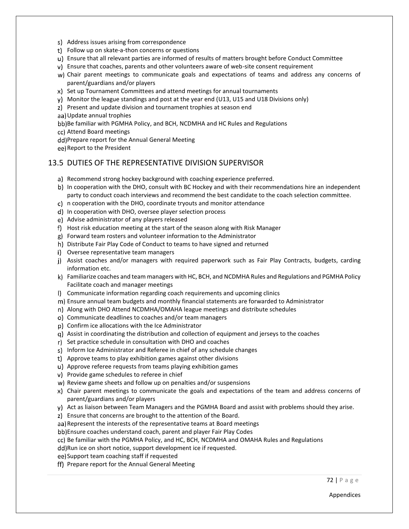- s) Address issues arising from correspondence
- Follow up on skate-a-thon concerns or questions
- u) Ensure that all relevant parties are informed of results of matters brought before Conduct Committee
- v) Ensure that coaches, parents and other volunteers aware of web-site consent requirement
- w) Chair parent meetings to communicate goals and expectations of teams and address any concerns of parent/guardians and/or players
- x) Set up Tournament Committees and attend meetings for annual tournaments
- y) Monitor the league standings and post at the year end (U13, U15 and U18 Divisions only)
- Present and update division and tournament trophies at season end
- Update annual trophies
- bb) Be familiar with PGMHA Policy, and BCH, NCDMHA and HC Rules and Regulations
- Attend Board meetings
- dd) Prepare report for the Annual General Meeting
- ee) Report to the President

#### 13.5 DUTIES OF THE REPRESENTATIVE DIVISION SUPERVISOR

- a) Recommend strong hockey background with coaching experience preferred.
- b) In cooperation with the DHO, consult with BC Hockey and with their recommendations hire an independent party to conduct coach interviews and recommend the best candidate to the coach selection committee.
- n cooperation with the DHO, coordinate tryouts and monitor attendance
- d) In cooperation with DHO, oversee player selection process
- Advise administrator of any players released
- f) Host risk education meeting at the start of the season along with Risk Manager
- Forward team rosters and volunteer information to the Administrator
- h) Distribute Fair Play Code of Conduct to teams to have signed and returned
- i) Oversee representative team managers
- j) Assist coaches and/or managers with required paperwork such as Fair Play Contracts, budgets, carding information etc.
- k) Familiarize coaches and team managers with HC, BCH, and NCDMHA Rules and Regulations and PGMHA Policy Facilitate coach and manager meetings
- Communicate information regarding coach requirements and upcoming clinics
- Ensure annual team budgets and monthly financial statements are forwarded to Administrator
- Along with DHO Attend NCDMHA/OMAHA league meetings and distribute schedules
- o) Communicate deadlines to coaches and/or team managers
- p) Confirm ice allocations with the Ice Administrator
- Assist in coordinating the distribution and collection of equipment and jerseys to the coaches
- r) Set practice schedule in consultation with DHO and coaches
- s) Inform Ice Administrator and Referee in chief of any schedule changes
- Approve teams to play exhibition games against other divisions
- Approve referee requests from teams playing exhibition games
- v) Provide game schedules to referee in chief
- w) Review game sheets and follow up on penalties and/or suspensions
- x) Chair parent meetings to communicate the goals and expectations of the team and address concerns of parent/guardians and/or players
- y) Act as liaison between Team Managers and the PGMHA Board and assist with problems should they arise.
- Ensure that concerns are brought to the attention of the Board.
- aa) Represent the interests of the representative teams at Board meetings
- bb) Ensure coaches understand coach, parent and player Fair Play Codes
- cc) Be familiar with the PGMHA Policy, and HC, BCH, NCDMHA and OMAHA Rules and Regulations
- dd) Run ice on short notice, support development ice if requested.
- ee) Support team coaching staff if requested
- ff) Prepare report for the Annual General Meeting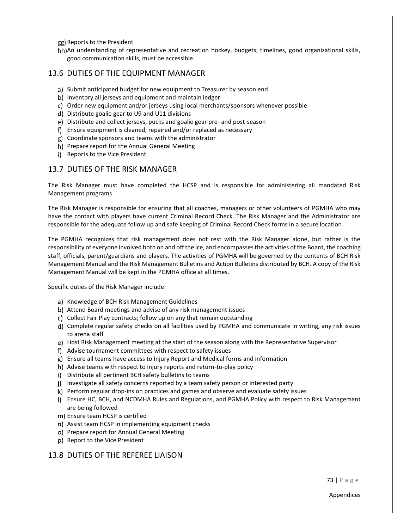gg) Reports to the President

hh)An understanding of representative and recreation hockey, budgets, timelines, good organizational skills, good communication skills, must be accessible.

#### 13.6 DUTIES OF THE EQUIPMENT MANAGER

- a) Submit anticipated budget for new equipment to Treasurer by season end
- b) Inventory all jerseys and equipment and maintain ledger
- Order new equipment and/or jerseys using local merchants/sponsors whenever possible
- Distribute goalie gear to U9 and U11 divisions
- Distribute and collect jerseys, pucks and goalie gear pre- and post-season
- Ensure equipment is cleaned, repaired and/or replaced as necessary
- Coordinate sponsors and teams with the administrator
- h) Prepare report for the Annual General Meeting
- i) Reports to the Vice President

#### 13.7 DUTIES OF THE RISK MANAGER

The Risk Manager must have completed the HCSP and is responsible for administering all mandated Risk Management programs

The Risk Manager is responsible for ensuring that all coaches, managers or other volunteers of PGMHA who may have the contact with players have current Criminal Record Check. The Risk Manager and the Administrator are responsible for the adequate follow up and safe keeping of Criminal Record Check forms in a secure location.

The PGMHA recognizes that risk management does not rest with the Risk Manager alone, but rather is the responsibility of everyone involved both on and off the ice, and encompasses the activities of the Board, the coaching staff, officials, parent/guardians and players. The activities of PGMHA will be governed by the contents of BCH Risk Management Manual and the Risk Management Bulletins and Action Bulletins distributed by BCH. A copy of the Risk Management Manual will be kept in the PGMHA office at all times.

Specific duties of the Risk Manager include:

- a) Knowledge of BCH Risk Management Guidelines
- b) Attend Board meetings and advise of any risk management issues
- c) Collect Fair Play contracts; follow up on any that remain outstanding
- d) Complete regular safety checks on all facilities used by PGMHA and communicate in writing, any risk issues to arena staff
- e) Host Risk Management meeting at the start of the season along with the Representative Supervisor
- Advise tournament committees with respect to safety issues
- Ensure all teams have access to Injury Report and Medical forms and information
- h) Advise teams with respect to injury reports and return-to-play policy
- i) Distribute all pertinent BCH safety bulletins to teams
- j) Investigate all safety concerns reported by a team safety person or interested party
- k) Perform regular drop-ins on practices and games and observe and evaluate safety issues
- Ensure HC, BCH, and NCDMHA Rules and Regulations, and PGMHA Policy with respect to Risk Management are being followed
- m) Ensure team HCSP is certified
- n) Assist team HCSP in implementing equipment checks
- o) Prepare report for Annual General Meeting
- p) Report to the Vice President

# 13.8 DUTIES OF THE REFEREE LIAISON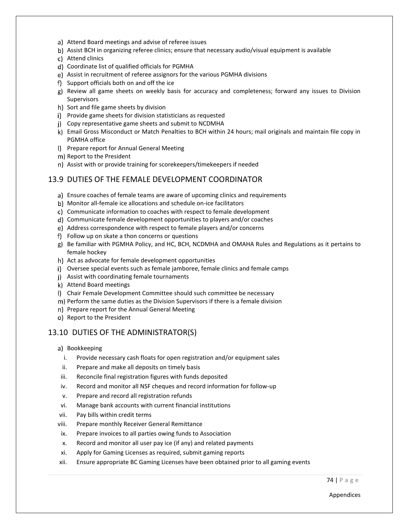- a) Attend Board meetings and advise of referee issues
- b) Assist BCH in organizing referee clinics; ensure that necessary audio/visual equipment is available
- Attend clinics
- Coordinate list of qualified officials for PGMHA
- Assist in recruitment of referee assignors for the various PGMHA divisions
- f) Support officials both on and off the ice
- g) Review all game sheets on weekly basis for accuracy and completeness; forward any issues to Division Supervisors
- h) Sort and file game sheets by division
- i) Provide game sheets for division statisticians as requested
- Copy representative game sheets and submit to NCDMHA
- k) Email Gross Misconduct or Match Penalties to BCH within 24 hours; mail originals and maintain file copy in PGMHA office
- I) Prepare report for Annual General Meeting
- m) Report to the President
- n) Assist with or provide training for scorekeepers/timekeepers if needed

#### 13.9 DUTIES OF THE FEMALE DEVELOPMENT COORDINATOR

- Ensure coaches of female teams are aware of upcoming clinics and requirements
- Monitor all-female ice allocations and schedule on-ice facilitators
- c) Communicate information to coaches with respect to female development
- Communicate female development opportunities to players and/or coaches
- Address correspondence with respect to female players and/or concerns
- f) Follow up on skate a thon concerns or questions
- g) Be familiar with PGMHA Policy, and HC, BCH, NCDMHA and OMAHA Rules and Regulations as it pertains to female hockey
- h) Act as advocate for female development opportunities
- Oversee special events such as female jamboree, female clinics and female camps
- Assist with coordinating female tournaments
- k) Attend Board meetings
- Chair Female Development Committee should such committee be necessary
- m) Perform the same duties as the Division Supervisors if there is a female division
- n) Prepare report for the Annual General Meeting
- o) Report to the President

### 13.10 DUTIES OF THE ADMINISTRATOR(S)

- a) Bookkeeping
	- i. Provide necessary cash floats for open registration and/or equipment sales
- ii. Prepare and make all deposits on timely basis
- iii. Reconcile final registration figures with funds deposited
- iv. Record and monitor all NSF cheques and record information for follow-up
- v. Prepare and record all registration refunds
- vi. Manage bank accounts with current financial institutions
- vii. Pay bills within credit terms
- viii. Prepare monthly Receiver General Remittance
- ix. Prepare invoices to all parties owing funds to Association
- x. Record and monitor all user pay ice (if any) and related payments
- xi. Apply for Gaming Licenses as required, submit gaming reports
- xii. Ensure appropriate BC Gaming Licenses have been obtained prior to all gaming events

74 | P a g e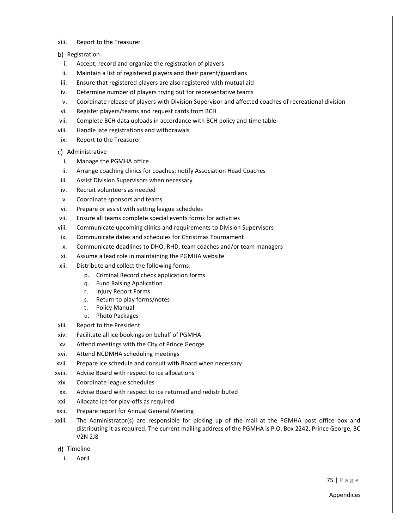- xiii. Report to the Treasurer
- b) Registration
	- i. Accept, record and organize the registration of players
- ii. Maintain a list of registered players and their parent/guardians
- iii. Ensure that registered players are also registered with mutual aid
- iv. Determine number of players trying out for representative teams
- v. Coordinate release of players with Division Supervisor and affected coaches of recreational division
- vi. Register players/teams and request cards from BCH
- vii. Complete BCH data uploads in accordance with BCH policy and time table
- viii. Handle late registrations and withdrawals
- ix. Report to the Treasurer
- c) Administrative
	- i. Manage the PGMHA office
- ii. Arrange coaching clinics for coaches; notify Association Head Coaches
- iii. Assist Division Supervisors when necessary
- iv. Recruit volunteers as needed
- v. Coordinate sponsors and teams
- vi. Prepare or assist with setting league schedules
- vii. Ensure all teams complete special events forms for activities
- viii. Communicate upcoming clinics and requirements to Division Supervisors
- ix. Communicate dates and schedules for Christmas Tournament
- x. Communicate deadlines to DHO, RHD, team coaches and/or team managers
- xi. Assume a lead role in maintaining the PGMHA website
- xii. Distribute and collect the following forms:
	- p. Criminal Record check application forms
	- q. Fund Raising Application
	- r. Injury Report Forms
	- s. Return to play forms/notes
	- t. Policy Manual
	- u. Photo Packages
- xiii. Report to the President
- xiv. Facilitate all ice bookings on behalf of PGMHA
- xv. Attend meetings with the City of Prince George
- xvi. Attend NCDMHA scheduling meetings
- xvii. Prepare ice schedule and consult with Board when necessary
- xviii. Advise Board with respect to ice allocations
- xix. Coordinate league schedules
- xx. Advise Board with respect to ice returned and redistributed
- xxi. Allocate ice for play-offs as required
- xxii. Prepare report for Annual General Meeting
- xxiii. The Administrator(s) are responsible for picking up of the mail at the PGMHA post office box and distributing it as required. The current mailing address of the PGMHA is P.O. Box 2242, Prince George, BC V2N 2J8
- d) Timeline
	- i. April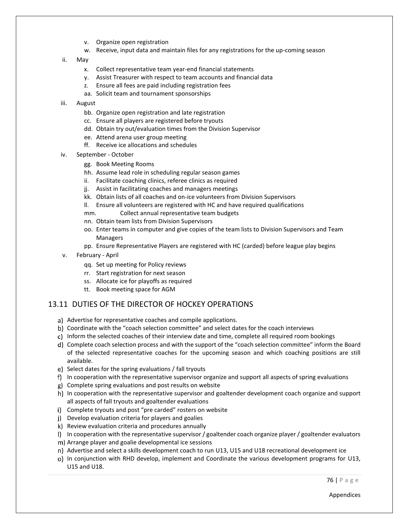- v. Organize open registration
- w. Receive, input data and maintain files for any registrations for the up-coming season
- ii. May
	- x. Collect representative team year-end financial statements
	- y. Assist Treasurer with respect to team accounts and financial data
	- z. Ensure all fees are paid including registration fees
	- aa. Solicit team and tournament sponsorships
- iii. August
	- bb. Organize open registration and late registration
	- cc. Ensure all players are registered before tryouts
	- dd. Obtain try out/evaluation times from the Division Supervisor
	- ee. Attend arena user group meeting
	- ff. Receive ice allocations and schedules
- iv. September October
	- gg. Book Meeting Rooms
	- hh. Assume lead role in scheduling regular season games
	- ii. Facilitate coaching clinics, referee clinics as required
	- jj. Assist in facilitating coaches and managers meetings
	- kk. Obtain lists of all coaches and on-ice volunteers from Division Supervisors
	- ll. Ensure all volunteers are registered with HC and have required qualifications
	- mm. Collect annual representative team budgets
	- nn. Obtain team lists from Division Supervisors
	- oo. Enter teams in computer and give copies of the team lists to Division Supervisors and Team Managers
	- pp. Ensure Representative Players are registered with HC (carded) before league play begins
- v. February April
	- qq. Set up meeting for Policy reviews
	- rr. Start registration for next season
	- ss. Allocate ice for playoffs as required
	- tt. Book meeting space for AGM

#### 13.11 DUTIES OF THE DIRECTOR OF HOCKEY OPERATIONS

- a) Advertise for representative coaches and compile applications.
- Coordinate with the "coach selection committee" and select dates for the coach interviews
- c) Inform the selected coaches of their interview date and time, complete all required room bookings
- d) Complete coach selection process and with the support of the "coach selection committee" inform the Board of the selected representative coaches for the upcoming season and which coaching positions are still available.
- e) Select dates for the spring evaluations / fall tryouts
- f) In cooperation with the representative supervisor organize and support all aspects of spring evaluations
- Complete spring evaluations and post results on website
- h) In cooperation with the representative supervisor and goaltender development coach organize and support all aspects of fall tryouts and goaltender evaluations
- i) Complete tryouts and post "pre carded" rosters on website
- Develop evaluation criteria for players and goalies
- k) Review evaluation criteria and procedures annually
- In cooperation with the representative supervisor / goaltender coach organize player / goaltender evaluators
- Arrange player and goalie developmental ice sessions
- n) Advertise and select a skills development coach to run U13, U15 and U18 recreational development ice
- o) In conjunction with RHD develop, implement and Coordinate the various development programs for U13, U15 and U18.

76 | P a g e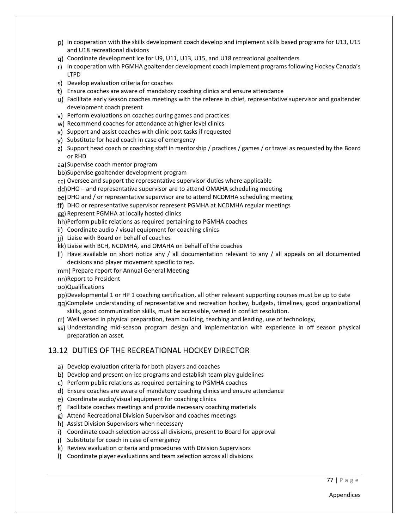- In cooperation with the skills development coach develop and implement skills based programs for U13, U15 and U18 recreational divisions
- Coordinate development ice for U9, U11, U13, U15, and U18 recreational goaltenders
- r) In cooperation with PGMHA goaltender development coach implement programs following Hockey Canada's LTPD
- Develop evaluation criteria for coaches
- Ensure coaches are aware of mandatory coaching clinics and ensure attendance
- u) Facilitate early season coaches meetings with the referee in chief, representative supervisor and goaltender development coach present
- Perform evaluations on coaches during games and practices
- w) Recommend coaches for attendance at higher level clinics
- x) Support and assist coaches with clinic post tasks if requested
- y) Substitute for head coach in case of emergency
- z) Support head coach or coaching staff in mentorship / practices / games / or travel as requested by the Board or RHD
- aa) Supervise coach mentor program
- bb)Supervise goaltender development program
- cc) Oversee and support the representative supervisor duties where applicable
- DHO and representative supervisor are to attend OMAHA scheduling meeting
- DHO and / or representative supervisor are to attend NCDMHA scheduling meeting
- DHO or representative supervisor represent PGMHA at NCDMHA regular meetings
- gg) Represent PGMHA at locally hosted clinics
- hh) Perform public relations as required pertaining to PGMHA coaches
- Coordinate audio / visual equipment for coaching clinics
- jj) Liaise with Board on behalf of coaches
- Liaise with BCH, NCDMHA, and OMAHA on behalf of the coaches
- II) Have available on short notice any  $/$  all documentation relevant to any  $/$  all appeals on all documented decisions and player movement specific to rep.
- mm) Prepare report for Annual General Meeting
- nn) Report to President
- Qualifications
- pp)Developmental 1 or HP 1 coaching certification, all other relevant supporting courses must be up to date Complete understanding of representative and recreation hockey, budgets, timelines, good organizational
- skills, good communication skills, must be accessible, versed in conflict resolution.
- Well versed in physical preparation, team building, teaching and leading, use of technology,
- ss) Understanding mid-season program design and implementation with experience in off season physical preparation an asset.

#### 13.12 DUTIES OF THE RECREATIONAL HOCKEY DIRECTOR

- a) Develop evaluation criteria for both players and coaches
- b) Develop and present on-ice programs and establish team play guidelines
- Perform public relations as required pertaining to PGMHA coaches
- Ensure coaches are aware of mandatory coaching clinics and ensure attendance
- Coordinate audio/visual equipment for coaching clinics
- Facilitate coaches meetings and provide necessary coaching materials
- Attend Recreational Division Supervisor and coaches meetings
- h) Assist Division Supervisors when necessary
- Coordinate coach selection across all divisions, present to Board for approval
- j) Substitute for coach in case of emergency
- Review evaluation criteria and procedures with Division Supervisors
- Coordinate player evaluations and team selection across all divisions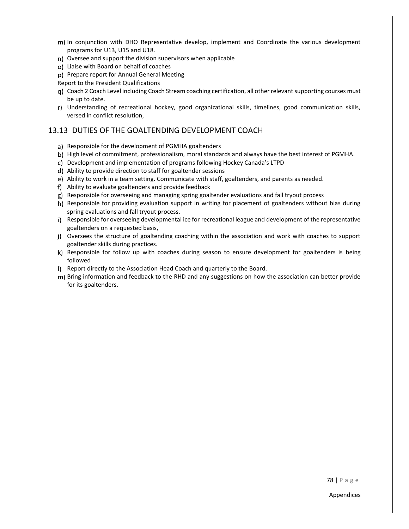- In conjunction with DHO Representative develop, implement and Coordinate the various development programs for U13, U15 and U18.
- Oversee and support the division supervisors when applicable
- Liaise with Board on behalf of coaches
- p) Prepare report for Annual General Meeting

Report to the President Qualifications

- Coach 2 Coach Level including Coach Stream coaching certification, all other relevant supporting courses must be up to date.
- r) Understanding of recreational hockey, good organizational skills, timelines, good communication skills, versed in conflict resolution,

#### 13.13 DUTIES OF THE GOALTENDING DEVELOPMENT COACH

- a) Responsible for the development of PGMHA goaltenders
- b) High level of commitment, professionalism, moral standards and always have the best interest of PGMHA.
- Development and implementation of programs following Hockey Canada's LTPD
- Ability to provide direction to staff for goaltender sessions
- e) Ability to work in a team setting. Communicate with staff, goaltenders, and parents as needed.
- Ability to evaluate goaltenders and provide feedback
- Responsible for overseeing and managing spring goaltender evaluations and fall tryout process
- h) Responsible for providing evaluation support in writing for placement of goaltenders without bias during spring evaluations and fall tryout process.
- i) Responsible for overseeing developmental ice for recreational league and development of the representative goaltenders on a requested basis,
- Oversees the structure of goaltending coaching within the association and work with coaches to support goaltender skills during practices.
- k) Responsible for follow up with coaches during season to ensure development for goaltenders is being followed
- Report directly to the Association Head Coach and quarterly to the Board.
- m) Bring information and feedback to the RHD and any suggestions on how the association can better provide for its goaltenders.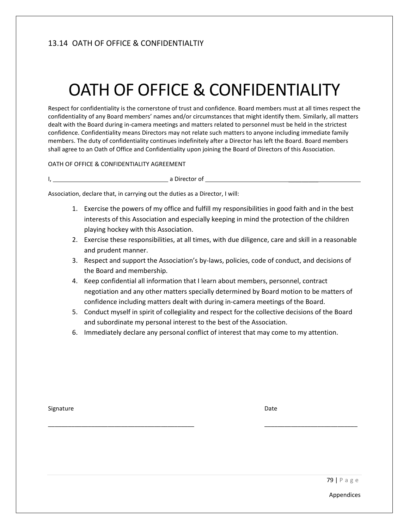# 13.14 OATH OF OFFICE & CONFIDENTIALTIY

# OATH OF OFFICE & CONFIDENTIALITY

Respect for confidentiality is the cornerstone of trust and confidence. Board members must at all times respect the confidentiality of any Board members' names and/or circumstances that might identify them. Similarly, all matters dealt with the Board during in-camera meetings and matters related to personnel must be held in the strictest confidence. Confidentiality means Directors may not relate such matters to anyone including immediate family members. The duty of confidentiality continues indefinitely after a Director has left the Board. Board members shall agree to an Oath of Office and Confidentiality upon joining the Board of Directors of this Association.

#### OATH OF OFFICE & CONFIDENTIALITY AGREEMENT

I, a Director of \_\_\_\_\_\_\_\_\_

Association, declare that, in carrying out the duties as a Director, I will:

- 1. Exercise the powers of my office and fulfill my responsibilities in good faith and in the best interests of this Association and especially keeping in mind the protection of the children playing hockey with this Association.
- 2. Exercise these responsibilities, at all times, with due diligence, care and skill in a reasonable and prudent manner.
- 3. Respect and support the Association's by-laws, policies, code of conduct, and decisions of the Board and membership.
- 4. Keep confidential all information that I learn about members, personnel, contract negotiation and any other matters specially determined by Board motion to be matters of confidence including matters dealt with during in-camera meetings of the Board.
- 5. Conduct myself in spirit of collegiality and respect for the collective decisions of the Board and subordinate my personal interest to the best of the Association.
- 6. Immediately declare any personal conflict of interest that may come to my attention.

\_\_\_\_\_\_\_\_\_\_\_\_\_\_\_\_\_\_\_\_\_\_\_\_\_\_\_\_\_\_\_\_\_\_\_\_\_\_\_\_\_\_\_\_ \_\_\_\_\_\_\_\_\_\_\_\_\_\_\_\_\_\_\_\_\_\_\_\_\_\_\_\_

Signature **Date**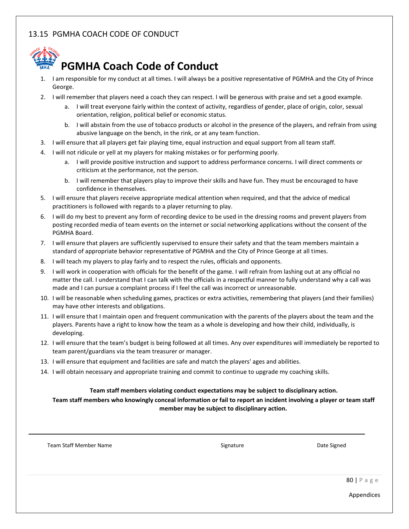# 13.15 PGMHA COACH CODE OF CONDUCT



# **PGMHA Coach Code of Conduct**

- 1. I am responsible for my conduct at all times. I will always be a positive representative of PGMHA and the City of Prince George.
- 2. I will remember that players need a coach they can respect. I will be generous with praise and set a good example.
	- a. I will treat everyone fairly within the context of activity, regardless of gender, place of origin, color, sexual orientation, religion, political belief or economic status.
	- b. I will abstain from the use of tobacco products or alcohol in the presence of the players, and refrain from using abusive language on the bench, in the rink, or at any team function.
- 3. I will ensure that all players get fair playing time, equal instruction and equal support from all team staff.
- 4. I will not ridicule or yell at my players for making mistakes or for performing poorly.
	- a. I will provide positive instruction and support to address performance concerns. I will direct comments or criticism at the performance, not the person.
	- b. I will remember that players play to improve their skills and have fun. They must be encouraged to have confidence in themselves.
- 5. I will ensure that players receive appropriate medical attention when required, and that the advice of medical practitioners is followed with regards to a player returning to play.
- 6. I will do my best to prevent any form of recording device to be used in the dressing rooms and prevent players from posting recorded media of team events on the internet or social networking applications without the consent of the PGMHA Board.
- 7. I will ensure that players are sufficiently supervised to ensure their safety and that the team members maintain a standard of appropriate behavior representative of PGMHA and the City of Prince George at all times.
- 8. I will teach my players to play fairly and to respect the rules, officials and opponents.
- 9. I will work in cooperation with officials for the benefit of the game. I will refrain from lashing out at any official no matter the call. I understand that I can talk with the officials in a respectful manner to fully understand why a call was made and I can pursue a complaint process if I feel the call was incorrect or unreasonable.
- 10. I will be reasonable when scheduling games, practices or extra activities, remembering that players (and their families) may have other interests and obligations.
- 11. I will ensure that I maintain open and frequent communication with the parents of the players about the team and the players. Parents have a right to know how the team as a whole is developing and how their child, individually, is developing.
- 12. I will ensure that the team's budget is being followed at all times. Any over expenditures will immediately be reported to team parent/guardians via the team treasurer or manager.
- 13. I will ensure that equipment and facilities are safe and match the players' ages and abilities.
- 14. I will obtain necessary and appropriate training and commit to continue to upgrade my coaching skills.

#### **Team staff members violating conduct expectations may be subject to disciplinary action.**

**Team staff members who knowingly conceal information or fail to report an incident involving a player or team staff member may be subject to disciplinary action.**

Team Staff Member Name Signature Signature Signature Date Signed Date Signed